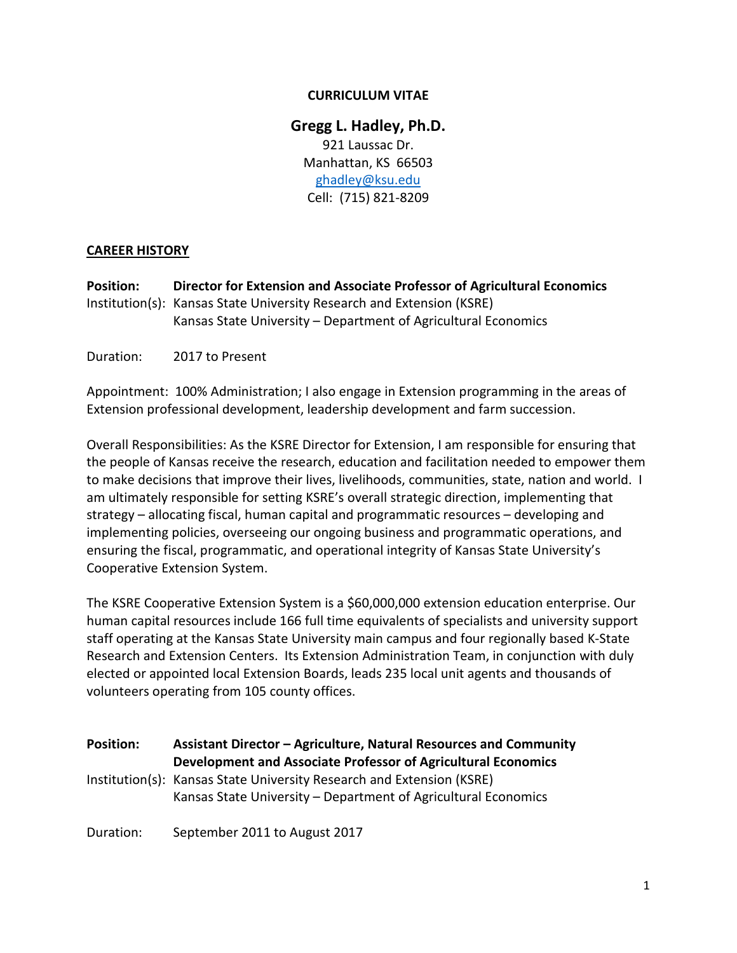### **CURRICULUM VITAE**

**Gregg L. Hadley, Ph.D.** 921 Laussac Dr. Manhattan, KS 66503 [ghadley@ksu.edu](mailto:ghadley@ksu.edu) Cell: (715) 821-8209

#### **CAREER HISTORY**

**Position: Director for Extension and Associate Professor of Agricultural Economics** Institution(s): Kansas State University Research and Extension (KSRE) Kansas State University – Department of Agricultural Economics

Duration: 2017 to Present

Appointment: 100% Administration; I also engage in Extension programming in the areas of Extension professional development, leadership development and farm succession.

Overall Responsibilities: As the KSRE Director for Extension, I am responsible for ensuring that the people of Kansas receive the research, education and facilitation needed to empower them to make decisions that improve their lives, livelihoods, communities, state, nation and world. I am ultimately responsible for setting KSRE's overall strategic direction, implementing that strategy – allocating fiscal, human capital and programmatic resources – developing and implementing policies, overseeing our ongoing business and programmatic operations, and ensuring the fiscal, programmatic, and operational integrity of Kansas State University's Cooperative Extension System.

The KSRE Cooperative Extension System is a \$60,000,000 extension education enterprise. Our human capital resources include 166 full time equivalents of specialists and university support staff operating at the Kansas State University main campus and four regionally based K-State Research and Extension Centers. Its Extension Administration Team, in conjunction with duly elected or appointed local Extension Boards, leads 235 local unit agents and thousands of volunteers operating from 105 county offices.

| <b>Position:</b> | Assistant Director - Agriculture, Natural Resources and Community<br>Development and Associate Professor of Agricultural Economics      |
|------------------|-----------------------------------------------------------------------------------------------------------------------------------------|
|                  | Institution(s): Kansas State University Research and Extension (KSRE)<br>Kansas State University – Department of Agricultural Economics |
| Duration:        | September 2011 to August 2017                                                                                                           |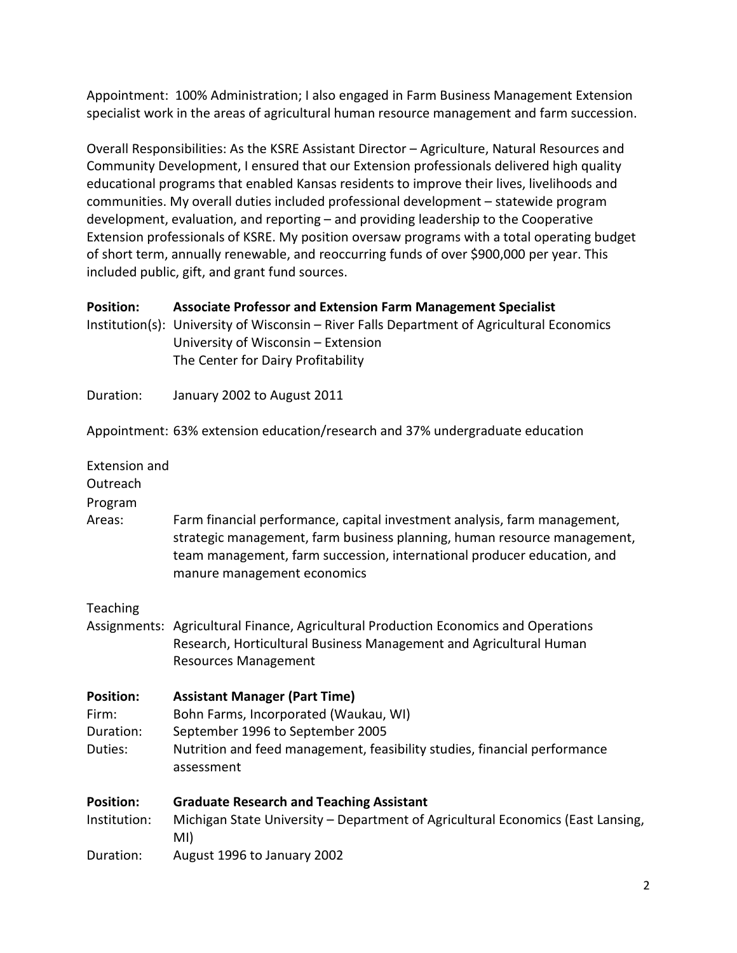Appointment: 100% Administration; I also engaged in Farm Business Management Extension specialist work in the areas of agricultural human resource management and farm succession.

Overall Responsibilities: As the KSRE Assistant Director – Agriculture, Natural Resources and Community Development, I ensured that our Extension professionals delivered high quality educational programs that enabled Kansas residents to improve their lives, livelihoods and communities. My overall duties included professional development – statewide program development, evaluation, and reporting – and providing leadership to the Cooperative Extension professionals of KSRE. My position oversaw programs with a total operating budget of short term, annually renewable, and reoccurring funds of over \$900,000 per year. This included public, gift, and grant fund sources.

| <b>Position:</b>                                  | <b>Associate Professor and Extension Farm Management Specialist</b><br>Institution(s): University of Wisconsin - River Falls Department of Agricultural Economics<br>University of Wisconsin - Extension<br>The Center for Dairy Profitability                  |
|---------------------------------------------------|-----------------------------------------------------------------------------------------------------------------------------------------------------------------------------------------------------------------------------------------------------------------|
| Duration:                                         | January 2002 to August 2011                                                                                                                                                                                                                                     |
|                                                   | Appointment: 63% extension education/research and 37% undergraduate education                                                                                                                                                                                   |
| <b>Extension and</b><br>Outreach<br>Program       |                                                                                                                                                                                                                                                                 |
| Areas:                                            | Farm financial performance, capital investment analysis, farm management,<br>strategic management, farm business planning, human resource management,<br>team management, farm succession, international producer education, and<br>manure management economics |
| Teaching                                          | Assignments: Agricultural Finance, Agricultural Production Economics and Operations<br>Research, Horticultural Business Management and Agricultural Human<br><b>Resources Management</b>                                                                        |
| <b>Position:</b><br>Firm:<br>Duration:<br>Duties: | <b>Assistant Manager (Part Time)</b><br>Bohn Farms, Incorporated (Waukau, WI)<br>September 1996 to September 2005<br>Nutrition and feed management, feasibility studies, financial performance<br>assessment                                                    |
| <b>Position:</b><br>Institution:                  | <b>Graduate Research and Teaching Assistant</b><br>Michigan State University - Department of Agricultural Economics (East Lansing,<br>MI)                                                                                                                       |
| Duration:                                         | August 1996 to January 2002                                                                                                                                                                                                                                     |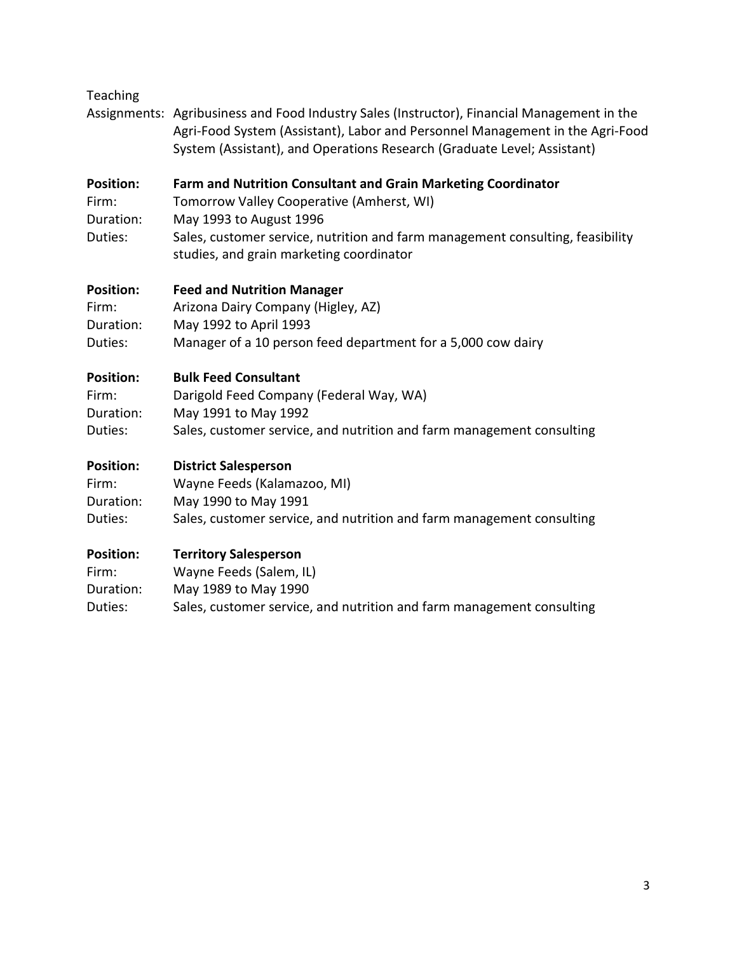| Teaching                                          | Assignments: Agribusiness and Food Industry Sales (Instructor), Financial Management in the<br>Agri-Food System (Assistant), Labor and Personnel Management in the Agri-Food<br>System (Assistant), and Operations Research (Graduate Level; Assistant)             |
|---------------------------------------------------|---------------------------------------------------------------------------------------------------------------------------------------------------------------------------------------------------------------------------------------------------------------------|
| <b>Position:</b><br>Firm:<br>Duration:<br>Duties: | Farm and Nutrition Consultant and Grain Marketing Coordinator<br>Tomorrow Valley Cooperative (Amherst, WI)<br>May 1993 to August 1996<br>Sales, customer service, nutrition and farm management consulting, feasibility<br>studies, and grain marketing coordinator |
| <b>Position:</b>                                  | <b>Feed and Nutrition Manager</b>                                                                                                                                                                                                                                   |
| Firm:                                             | Arizona Dairy Company (Higley, AZ)                                                                                                                                                                                                                                  |
| Duration:                                         | May 1992 to April 1993                                                                                                                                                                                                                                              |
| Duties:                                           | Manager of a 10 person feed department for a 5,000 cow dairy                                                                                                                                                                                                        |
| <b>Position:</b>                                  | <b>Bulk Feed Consultant</b>                                                                                                                                                                                                                                         |
| Firm:                                             | Darigold Feed Company (Federal Way, WA)                                                                                                                                                                                                                             |
| Duration:                                         | May 1991 to May 1992                                                                                                                                                                                                                                                |
| Duties:                                           | Sales, customer service, and nutrition and farm management consulting                                                                                                                                                                                               |
| <b>Position:</b>                                  | <b>District Salesperson</b>                                                                                                                                                                                                                                         |
| Firm:                                             | Wayne Feeds (Kalamazoo, MI)                                                                                                                                                                                                                                         |
| Duration:                                         | May 1990 to May 1991                                                                                                                                                                                                                                                |
| Duties:                                           | Sales, customer service, and nutrition and farm management consulting                                                                                                                                                                                               |
| <b>Position:</b>                                  | <b>Territory Salesperson</b>                                                                                                                                                                                                                                        |
| Firm:                                             | Wayne Feeds (Salem, IL)                                                                                                                                                                                                                                             |
| Duration:                                         | May 1989 to May 1990                                                                                                                                                                                                                                                |
| Duties:                                           | Sales, customer service, and nutrition and farm management consulting                                                                                                                                                                                               |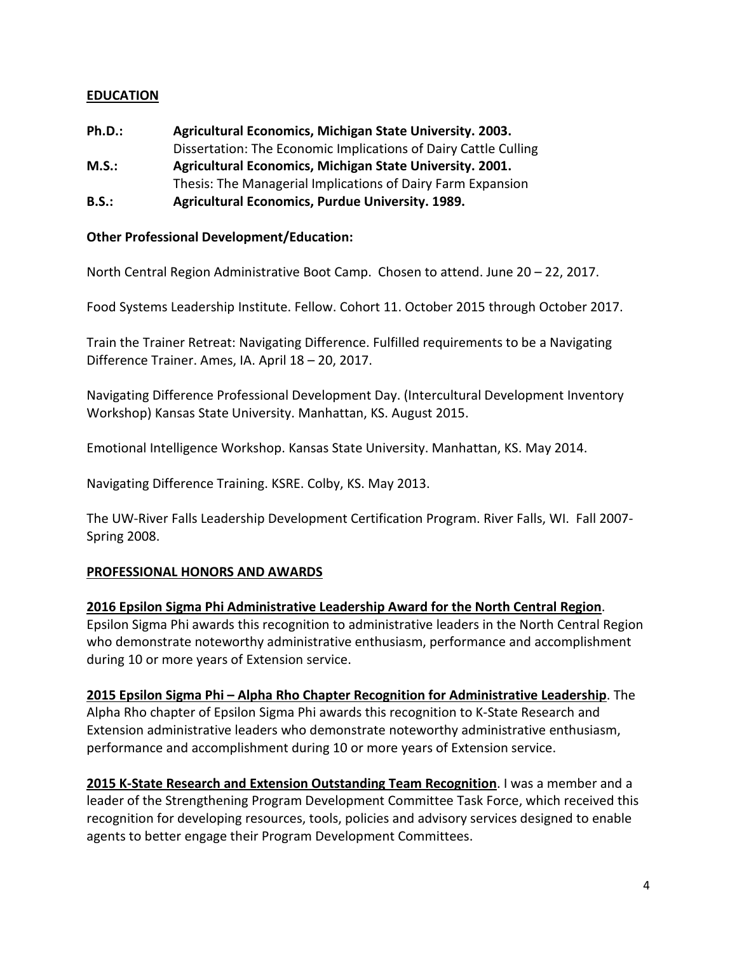### **EDUCATION**

**Ph.D.: Agricultural Economics, Michigan State University. 2003.** Dissertation: The Economic Implications of Dairy Cattle Culling **M.S.: Agricultural Economics, Michigan State University. 2001.** Thesis: The Managerial Implications of Dairy Farm Expansion **B.S.: Agricultural Economics, Purdue University. 1989.**

#### **Other Professional Development/Education:**

North Central Region Administrative Boot Camp. Chosen to attend. June 20 – 22, 2017.

Food Systems Leadership Institute. Fellow. Cohort 11. October 2015 through October 2017.

Train the Trainer Retreat: Navigating Difference. Fulfilled requirements to be a Navigating Difference Trainer. Ames, IA. April 18 – 20, 2017.

Navigating Difference Professional Development Day. (Intercultural Development Inventory Workshop) Kansas State University. Manhattan, KS. August 2015.

Emotional Intelligence Workshop. Kansas State University. Manhattan, KS. May 2014.

Navigating Difference Training. KSRE. Colby, KS. May 2013.

The UW-River Falls Leadership Development Certification Program. River Falls, WI. Fall 2007- Spring 2008.

### **PROFESSIONAL HONORS AND AWARDS**

#### **2016 Epsilon Sigma Phi Administrative Leadership Award for the North Central Region**.

Epsilon Sigma Phi awards this recognition to administrative leaders in the North Central Region who demonstrate noteworthy administrative enthusiasm, performance and accomplishment during 10 or more years of Extension service.

**2015 Epsilon Sigma Phi – Alpha Rho Chapter Recognition for Administrative Leadership**. The Alpha Rho chapter of Epsilon Sigma Phi awards this recognition to K-State Research and Extension administrative leaders who demonstrate noteworthy administrative enthusiasm, performance and accomplishment during 10 or more years of Extension service.

**2015 K-State Research and Extension Outstanding Team Recognition**. I was a member and a leader of the Strengthening Program Development Committee Task Force, which received this recognition for developing resources, tools, policies and advisory services designed to enable agents to better engage their Program Development Committees.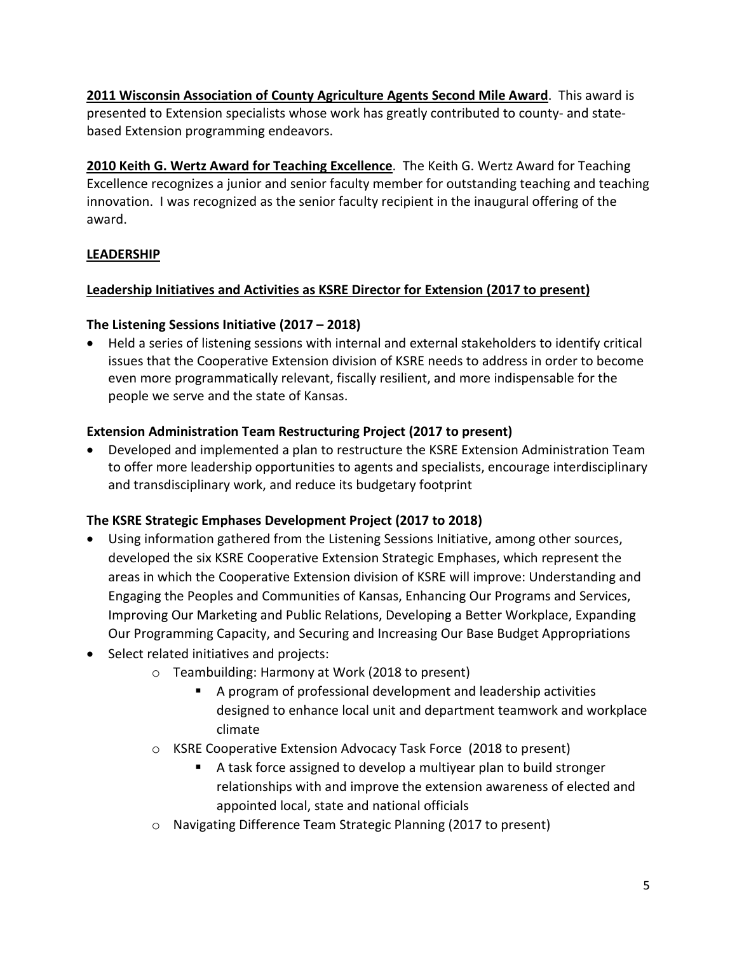**2011 Wisconsin Association of County Agriculture Agents Second Mile Award**. This award is presented to Extension specialists whose work has greatly contributed to county- and statebased Extension programming endeavors.

**2010 Keith G. Wertz Award for Teaching Excellence**. The Keith G. Wertz Award for Teaching Excellence recognizes a junior and senior faculty member for outstanding teaching and teaching innovation. I was recognized as the senior faculty recipient in the inaugural offering of the award.

## **LEADERSHIP**

## **Leadership Initiatives and Activities as KSRE Director for Extension (2017 to present)**

## **The Listening Sessions Initiative (2017 – 2018)**

• Held a series of listening sessions with internal and external stakeholders to identify critical issues that the Cooperative Extension division of KSRE needs to address in order to become even more programmatically relevant, fiscally resilient, and more indispensable for the people we serve and the state of Kansas.

## **Extension Administration Team Restructuring Project (2017 to present)**

• Developed and implemented a plan to restructure the KSRE Extension Administration Team to offer more leadership opportunities to agents and specialists, encourage interdisciplinary and transdisciplinary work, and reduce its budgetary footprint

# **The KSRE Strategic Emphases Development Project (2017 to 2018)**

- Using information gathered from the Listening Sessions Initiative, among other sources, developed the six KSRE Cooperative Extension Strategic Emphases, which represent the areas in which the Cooperative Extension division of KSRE will improve: Understanding and Engaging the Peoples and Communities of Kansas, Enhancing Our Programs and Services, Improving Our Marketing and Public Relations, Developing a Better Workplace, Expanding Our Programming Capacity, and Securing and Increasing Our Base Budget Appropriations
- Select related initiatives and projects:
	- o Teambuilding: Harmony at Work (2018 to present)
		- A program of professional development and leadership activities designed to enhance local unit and department teamwork and workplace climate
	- o KSRE Cooperative Extension Advocacy Task Force (2018 to present)
		- A task force assigned to develop a multiyear plan to build stronger relationships with and improve the extension awareness of elected and appointed local, state and national officials
	- o Navigating Difference Team Strategic Planning (2017 to present)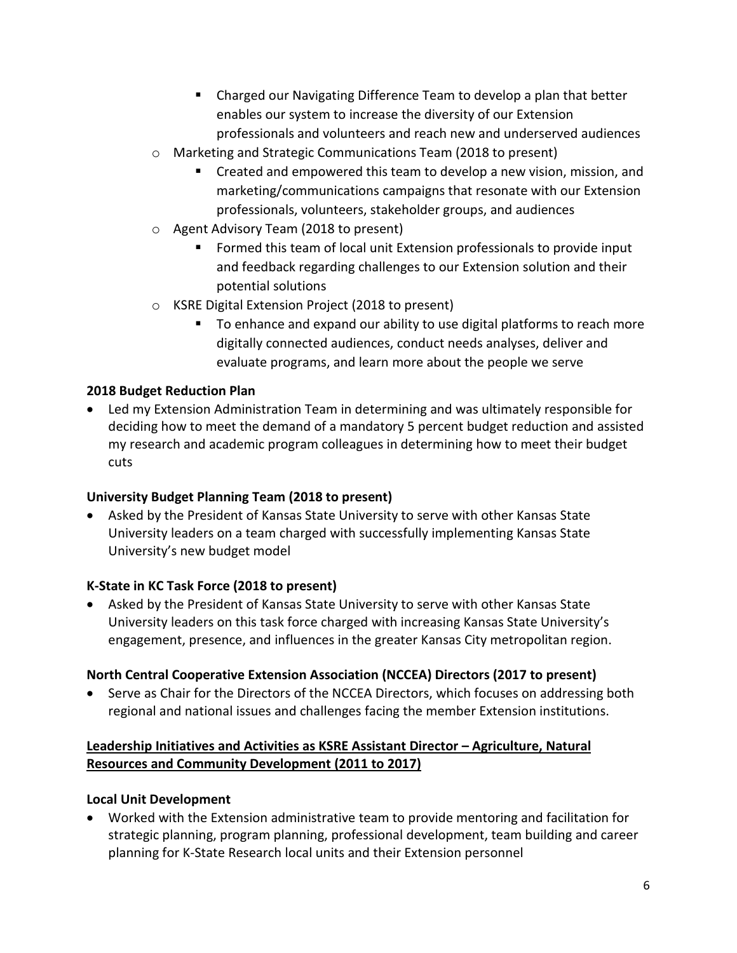- Charged our Navigating Difference Team to develop a plan that better enables our system to increase the diversity of our Extension professionals and volunteers and reach new and underserved audiences
- o Marketing and Strategic Communications Team (2018 to present)
	- **EXP** Created and empowered this team to develop a new vision, mission, and marketing/communications campaigns that resonate with our Extension professionals, volunteers, stakeholder groups, and audiences
- o Agent Advisory Team (2018 to present)
	- Formed this team of local unit Extension professionals to provide input and feedback regarding challenges to our Extension solution and their potential solutions
- o KSRE Digital Extension Project (2018 to present)
	- To enhance and expand our ability to use digital platforms to reach more digitally connected audiences, conduct needs analyses, deliver and evaluate programs, and learn more about the people we serve

## **2018 Budget Reduction Plan**

• Led my Extension Administration Team in determining and was ultimately responsible for deciding how to meet the demand of a mandatory 5 percent budget reduction and assisted my research and academic program colleagues in determining how to meet their budget cuts

## **University Budget Planning Team (2018 to present)**

• Asked by the President of Kansas State University to serve with other Kansas State University leaders on a team charged with successfully implementing Kansas State University's new budget model

## **K-State in KC Task Force (2018 to present)**

• Asked by the President of Kansas State University to serve with other Kansas State University leaders on this task force charged with increasing Kansas State University's engagement, presence, and influences in the greater Kansas City metropolitan region.

## **North Central Cooperative Extension Association (NCCEA) Directors (2017 to present)**

• Serve as Chair for the Directors of the NCCEA Directors, which focuses on addressing both regional and national issues and challenges facing the member Extension institutions.

## **Leadership Initiatives and Activities as KSRE Assistant Director – Agriculture, Natural Resources and Community Development (2011 to 2017)**

## **Local Unit Development**

• Worked with the Extension administrative team to provide mentoring and facilitation for strategic planning, program planning, professional development, team building and career planning for K-State Research local units and their Extension personnel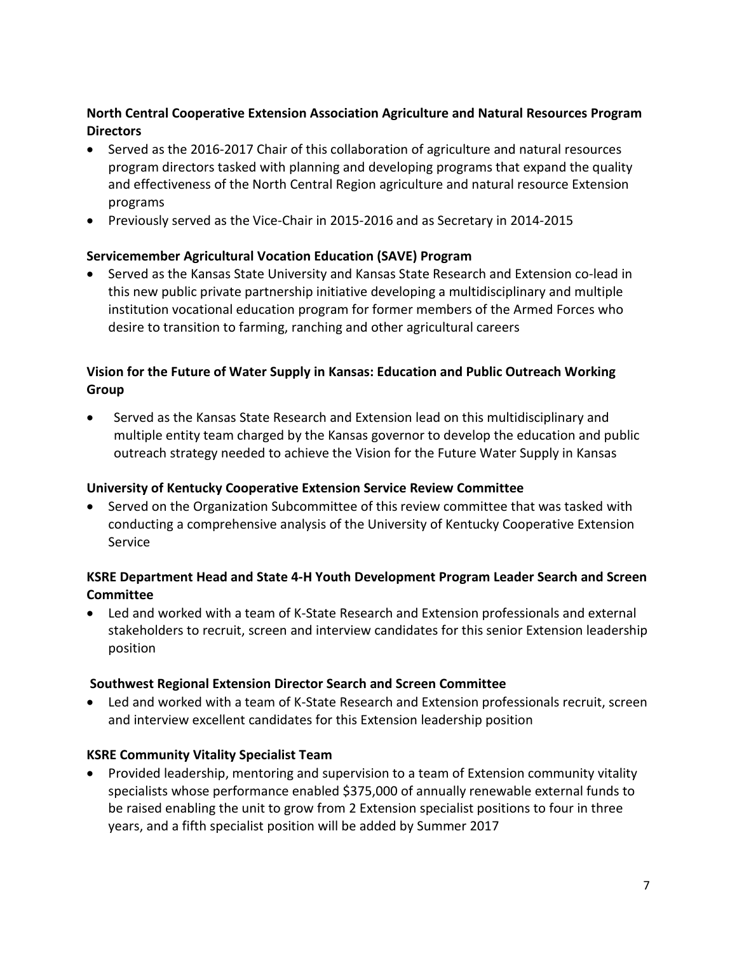## **North Central Cooperative Extension Association Agriculture and Natural Resources Program Directors**

- Served as the 2016-2017 Chair of this collaboration of agriculture and natural resources program directors tasked with planning and developing programs that expand the quality and effectiveness of the North Central Region agriculture and natural resource Extension programs
- Previously served as the Vice-Chair in 2015-2016 and as Secretary in 2014-2015

## **Servicemember Agricultural Vocation Education (SAVE) Program**

• Served as the Kansas State University and Kansas State Research and Extension co-lead in this new public private partnership initiative developing a multidisciplinary and multiple institution vocational education program for former members of the Armed Forces who desire to transition to farming, ranching and other agricultural careers

# **Vision for the Future of Water Supply in Kansas: Education and Public Outreach Working Group**

• Served as the Kansas State Research and Extension lead on this multidisciplinary and multiple entity team charged by the Kansas governor to develop the education and public outreach strategy needed to achieve the Vision for the Future Water Supply in Kansas

## **University of Kentucky Cooperative Extension Service Review Committee**

• Served on the Organization Subcommittee of this review committee that was tasked with conducting a comprehensive analysis of the University of Kentucky Cooperative Extension Service

## **KSRE Department Head and State 4-H Youth Development Program Leader Search and Screen Committee**

• Led and worked with a team of K-State Research and Extension professionals and external stakeholders to recruit, screen and interview candidates for this senior Extension leadership position

## **Southwest Regional Extension Director Search and Screen Committee**

• Led and worked with a team of K-State Research and Extension professionals recruit, screen and interview excellent candidates for this Extension leadership position

## **KSRE Community Vitality Specialist Team**

• Provided leadership, mentoring and supervision to a team of Extension community vitality specialists whose performance enabled \$375,000 of annually renewable external funds to be raised enabling the unit to grow from 2 Extension specialist positions to four in three years, and a fifth specialist position will be added by Summer 2017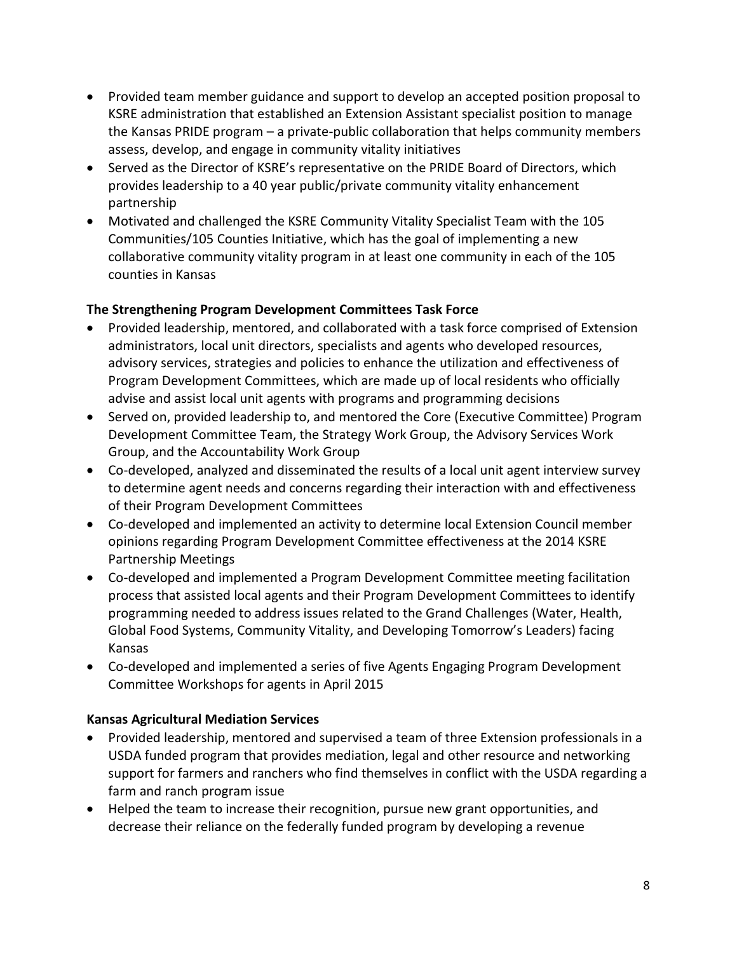- Provided team member guidance and support to develop an accepted position proposal to KSRE administration that established an Extension Assistant specialist position to manage the Kansas PRIDE program – a private-public collaboration that helps community members assess, develop, and engage in community vitality initiatives
- Served as the Director of KSRE's representative on the PRIDE Board of Directors, which provides leadership to a 40 year public/private community vitality enhancement partnership
- Motivated and challenged the KSRE Community Vitality Specialist Team with the 105 Communities/105 Counties Initiative, which has the goal of implementing a new collaborative community vitality program in at least one community in each of the 105 counties in Kansas

## **The Strengthening Program Development Committees Task Force**

- Provided leadership, mentored, and collaborated with a task force comprised of Extension administrators, local unit directors, specialists and agents who developed resources, advisory services, strategies and policies to enhance the utilization and effectiveness of Program Development Committees, which are made up of local residents who officially advise and assist local unit agents with programs and programming decisions
- Served on, provided leadership to, and mentored the Core (Executive Committee) Program Development Committee Team, the Strategy Work Group, the Advisory Services Work Group, and the Accountability Work Group
- Co-developed, analyzed and disseminated the results of a local unit agent interview survey to determine agent needs and concerns regarding their interaction with and effectiveness of their Program Development Committees
- Co-developed and implemented an activity to determine local Extension Council member opinions regarding Program Development Committee effectiveness at the 2014 KSRE Partnership Meetings
- Co-developed and implemented a Program Development Committee meeting facilitation process that assisted local agents and their Program Development Committees to identify programming needed to address issues related to the Grand Challenges (Water, Health, Global Food Systems, Community Vitality, and Developing Tomorrow's Leaders) facing Kansas
- Co-developed and implemented a series of five Agents Engaging Program Development Committee Workshops for agents in April 2015

## **Kansas Agricultural Mediation Services**

- Provided leadership, mentored and supervised a team of three Extension professionals in a USDA funded program that provides mediation, legal and other resource and networking support for farmers and ranchers who find themselves in conflict with the USDA regarding a farm and ranch program issue
- Helped the team to increase their recognition, pursue new grant opportunities, and decrease their reliance on the federally funded program by developing a revenue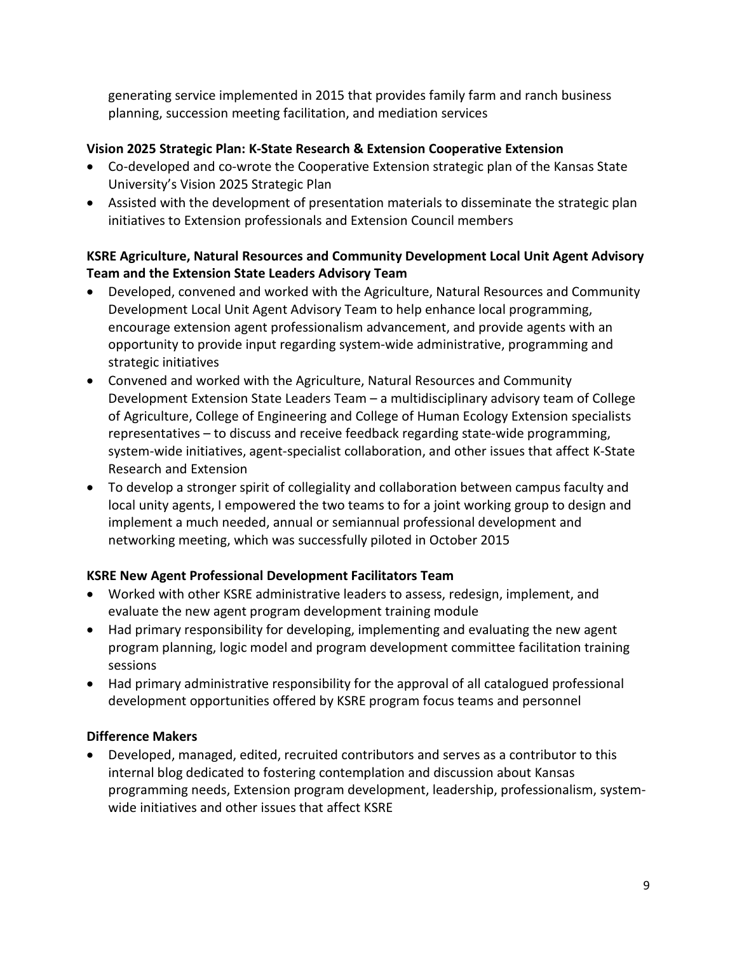generating service implemented in 2015 that provides family farm and ranch business planning, succession meeting facilitation, and mediation services

## **Vision 2025 Strategic Plan: K-State Research & Extension Cooperative Extension**

- Co-developed and co-wrote the Cooperative Extension strategic plan of the Kansas State University's Vision 2025 Strategic Plan
- Assisted with the development of presentation materials to disseminate the strategic plan initiatives to Extension professionals and Extension Council members

## **KSRE Agriculture, Natural Resources and Community Development Local Unit Agent Advisory Team and the Extension State Leaders Advisory Team**

- Developed, convened and worked with the Agriculture, Natural Resources and Community Development Local Unit Agent Advisory Team to help enhance local programming, encourage extension agent professionalism advancement, and provide agents with an opportunity to provide input regarding system-wide administrative, programming and strategic initiatives
- Convened and worked with the Agriculture, Natural Resources and Community Development Extension State Leaders Team – a multidisciplinary advisory team of College of Agriculture, College of Engineering and College of Human Ecology Extension specialists representatives – to discuss and receive feedback regarding state-wide programming, system-wide initiatives, agent-specialist collaboration, and other issues that affect K-State Research and Extension
- To develop a stronger spirit of collegiality and collaboration between campus faculty and local unity agents, I empowered the two teams to for a joint working group to design and implement a much needed, annual or semiannual professional development and networking meeting, which was successfully piloted in October 2015

## **KSRE New Agent Professional Development Facilitators Team**

- Worked with other KSRE administrative leaders to assess, redesign, implement, and evaluate the new agent program development training module
- Had primary responsibility for developing, implementing and evaluating the new agent program planning, logic model and program development committee facilitation training sessions
- Had primary administrative responsibility for the approval of all catalogued professional development opportunities offered by KSRE program focus teams and personnel

## **Difference Makers**

• Developed, managed, edited, recruited contributors and serves as a contributor to this internal blog dedicated to fostering contemplation and discussion about Kansas programming needs, Extension program development, leadership, professionalism, systemwide initiatives and other issues that affect KSRE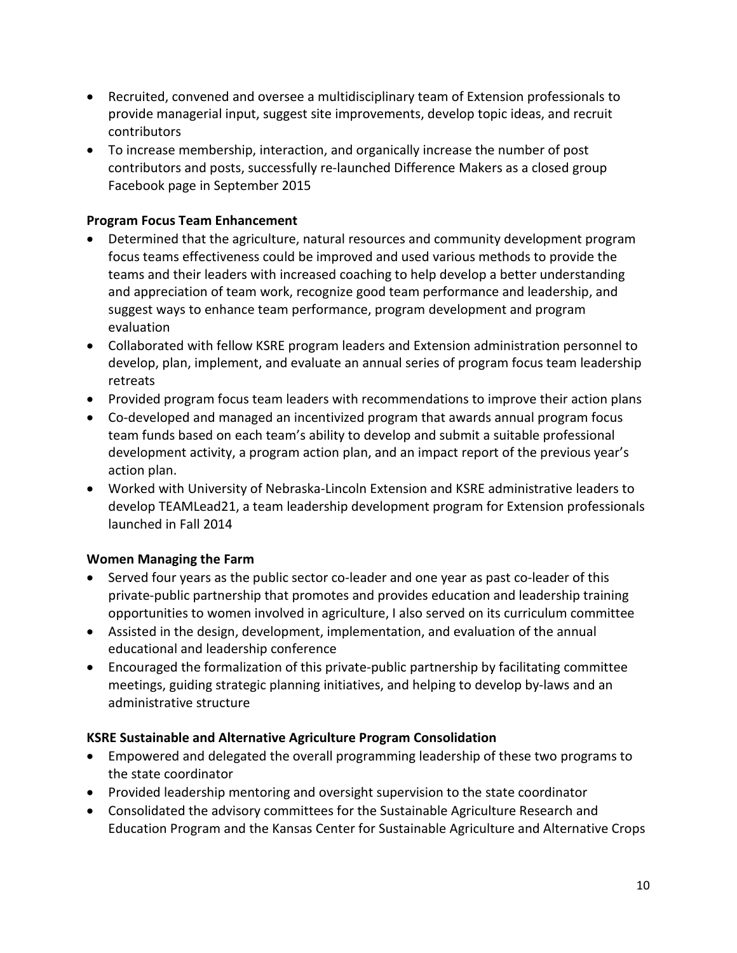- Recruited, convened and oversee a multidisciplinary team of Extension professionals to provide managerial input, suggest site improvements, develop topic ideas, and recruit contributors
- To increase membership, interaction, and organically increase the number of post contributors and posts, successfully re-launched Difference Makers as a closed group Facebook page in September 2015

## **Program Focus Team Enhancement**

- Determined that the agriculture, natural resources and community development program focus teams effectiveness could be improved and used various methods to provide the teams and their leaders with increased coaching to help develop a better understanding and appreciation of team work, recognize good team performance and leadership, and suggest ways to enhance team performance, program development and program evaluation
- Collaborated with fellow KSRE program leaders and Extension administration personnel to develop, plan, implement, and evaluate an annual series of program focus team leadership retreats
- Provided program focus team leaders with recommendations to improve their action plans
- Co-developed and managed an incentivized program that awards annual program focus team funds based on each team's ability to develop and submit a suitable professional development activity, a program action plan, and an impact report of the previous year's action plan.
- Worked with University of Nebraska-Lincoln Extension and KSRE administrative leaders to develop TEAMLead21, a team leadership development program for Extension professionals launched in Fall 2014

## **Women Managing the Farm**

- Served four years as the public sector co-leader and one year as past co-leader of this private-public partnership that promotes and provides education and leadership training opportunities to women involved in agriculture, I also served on its curriculum committee
- Assisted in the design, development, implementation, and evaluation of the annual educational and leadership conference
- Encouraged the formalization of this private-public partnership by facilitating committee meetings, guiding strategic planning initiatives, and helping to develop by-laws and an administrative structure

## **KSRE Sustainable and Alternative Agriculture Program Consolidation**

- Empowered and delegated the overall programming leadership of these two programs to the state coordinator
- Provided leadership mentoring and oversight supervision to the state coordinator
- Consolidated the advisory committees for the Sustainable Agriculture Research and Education Program and the Kansas Center for Sustainable Agriculture and Alternative Crops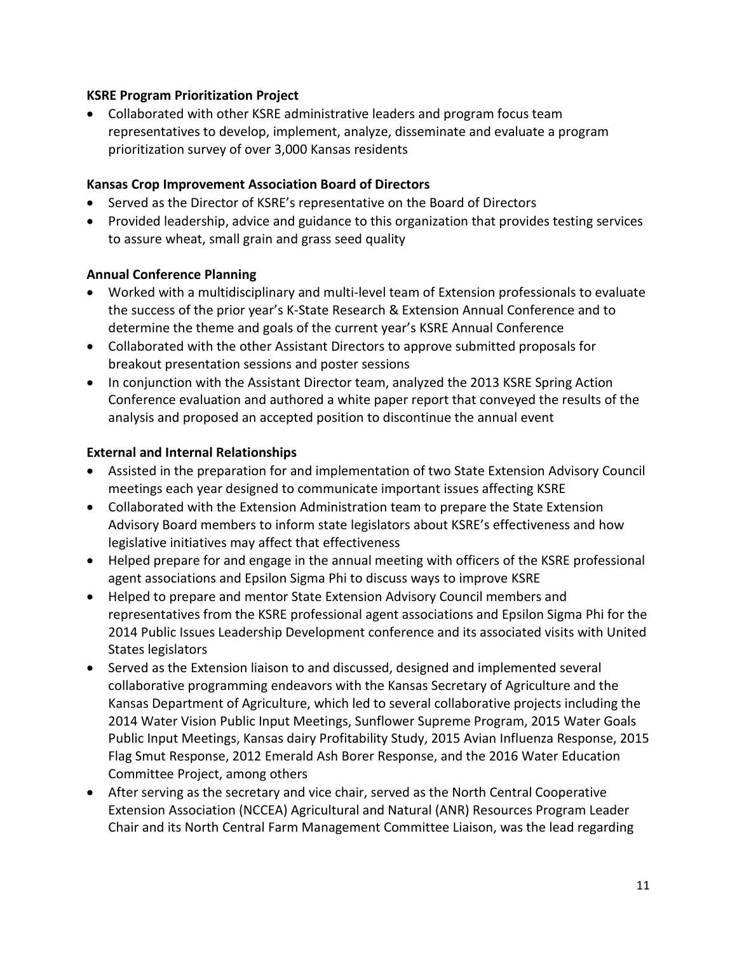### **KSRE Program Prioritization Project**

• Collaborated with other KSRE administrative leaders and program focus team representatives to develop, implement, analyze, disseminate and evaluate a program prioritization survey of over 3,000 Kansas residents

### **Kansas Crop Improvement Association Board of Directors**

- Served as the Director of KSRE's representative on the Board of Directors
- Provided leadership, advice and guidance to this organization that provides testing services to assure wheat, small grain and grass seed quality

### **Annual Conference Planning**

- Worked with a multidisciplinary and multi-level team of Extension professionals to evaluate the success of the prior year's K-State Research & Extension Annual Conference and to determine the theme and goals of the current year's KSRE Annual Conference
- Collaborated with the other Assistant Directors to approve submitted proposals for breakout presentation sessions and poster sessions
- In conjunction with the Assistant Director team, analyzed the 2013 KSRE Spring Action Conference evaluation and authored a white paper report that conveyed the results of the analysis and proposed an accepted position to discontinue the annual event

### **External and Internal Relationships**

- Assisted in the preparation for and implementation of two State Extension Advisory Council meetings each year designed to communicate important issues affecting KSRE
- Collaborated with the Extension Administration team to prepare the State Extension Advisory Board members to inform state legislators about KSRE's effectiveness and how legislative initiatives may affect that effectiveness
- Helped prepare for and engage in the annual meeting with officers of the KSRE professional agent associations and Epsilon Sigma Phi to discuss ways to improve KSRE
- Helped to prepare and mentor State Extension Advisory Council members and representatives from the KSRE professional agent associations and Epsilon Sigma Phi for the 2014 Public Issues Leadership Development conference and its associated visits with United States legislators
- Served as the Extension liaison to and discussed, designed and implemented several collaborative programming endeavors with the Kansas Secretary of Agriculture and the Kansas Department of Agriculture, which led to several collaborative projects including the 2014 Water Vision Public Input Meetings, Sunflower Supreme Program, 2015 Water Goals Public Input Meetings, Kansas dairy Profitability Study, 2015 Avian Influenza Response, 2015 Flag Smut Response, 2012 Emerald Ash Borer Response, and the 2016 Water Education Committee Project, among others
- After serving as the secretary and vice chair, served as the North Central Cooperative Extension Association (NCCEA) Agricultural and Natural (ANR) Resources Program Leader Chair and its North Central Farm Management Committee Liaison, was the lead regarding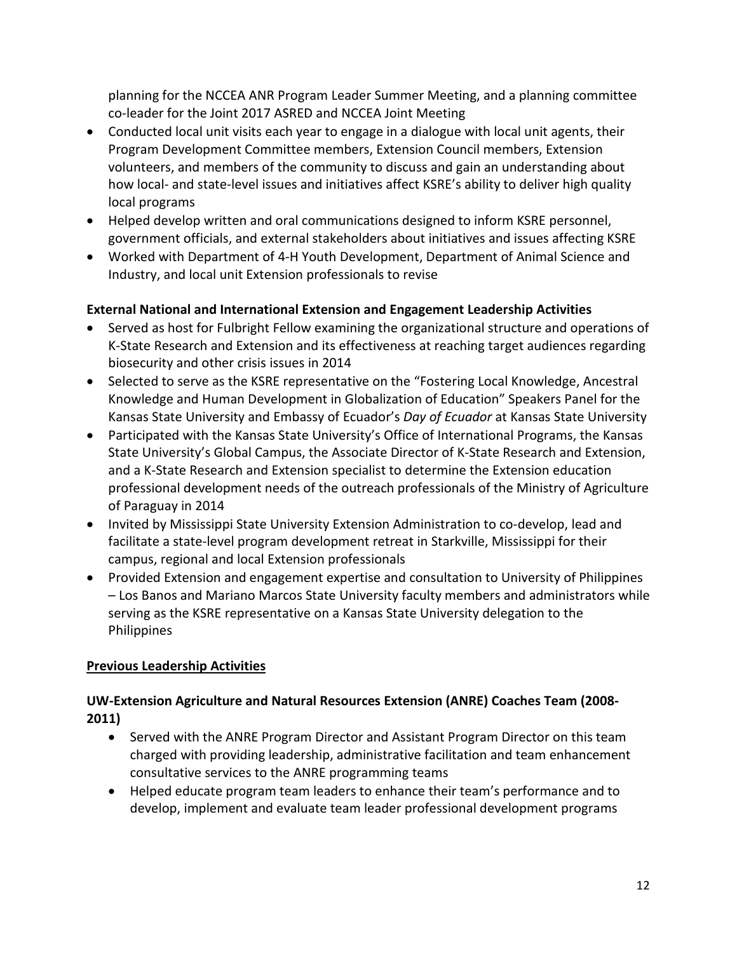planning for the NCCEA ANR Program Leader Summer Meeting, and a planning committee co-leader for the Joint 2017 ASRED and NCCEA Joint Meeting

- Conducted local unit visits each year to engage in a dialogue with local unit agents, their Program Development Committee members, Extension Council members, Extension volunteers, and members of the community to discuss and gain an understanding about how local- and state-level issues and initiatives affect KSRE's ability to deliver high quality local programs
- Helped develop written and oral communications designed to inform KSRE personnel, government officials, and external stakeholders about initiatives and issues affecting KSRE
- Worked with Department of 4-H Youth Development, Department of Animal Science and Industry, and local unit Extension professionals to revise

## **External National and International Extension and Engagement Leadership Activities**

- Served as host for Fulbright Fellow examining the organizational structure and operations of K-State Research and Extension and its effectiveness at reaching target audiences regarding biosecurity and other crisis issues in 2014
- Selected to serve as the KSRE representative on the "Fostering Local Knowledge, Ancestral Knowledge and Human Development in Globalization of Education" Speakers Panel for the Kansas State University and Embassy of Ecuador's *Day of Ecuador* at Kansas State University
- Participated with the Kansas State University's Office of International Programs, the Kansas State University's Global Campus, the Associate Director of K-State Research and Extension, and a K-State Research and Extension specialist to determine the Extension education professional development needs of the outreach professionals of the Ministry of Agriculture of Paraguay in 2014
- Invited by Mississippi State University Extension Administration to co-develop, lead and facilitate a state-level program development retreat in Starkville, Mississippi for their campus, regional and local Extension professionals
- Provided Extension and engagement expertise and consultation to University of Philippines – Los Banos and Mariano Marcos State University faculty members and administrators while serving as the KSRE representative on a Kansas State University delegation to the Philippines

## **Previous Leadership Activities**

# **UW-Extension Agriculture and Natural Resources Extension (ANRE) Coaches Team (2008- 2011)**

- Served with the ANRE Program Director and Assistant Program Director on this team charged with providing leadership, administrative facilitation and team enhancement consultative services to the ANRE programming teams
- Helped educate program team leaders to enhance their team's performance and to develop, implement and evaluate team leader professional development programs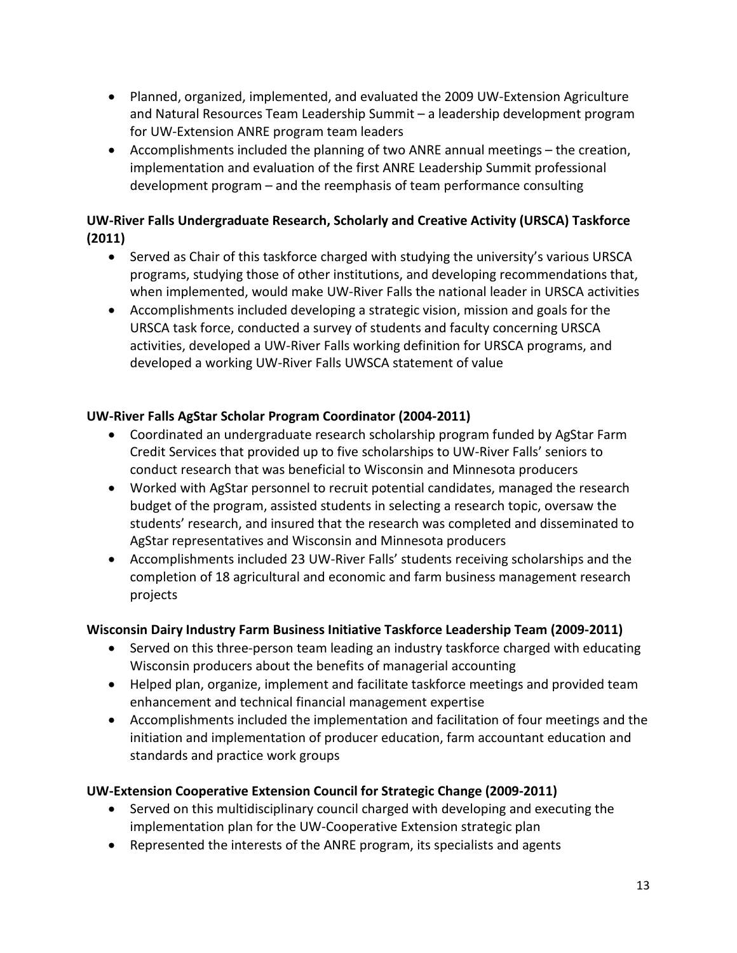- Planned, organized, implemented, and evaluated the 2009 UW-Extension Agriculture and Natural Resources Team Leadership Summit – a leadership development program for UW-Extension ANRE program team leaders
- Accomplishments included the planning of two ANRE annual meetings the creation, implementation and evaluation of the first ANRE Leadership Summit professional development program – and the reemphasis of team performance consulting

# **UW-River Falls Undergraduate Research, Scholarly and Creative Activity (URSCA) Taskforce (2011)**

- Served as Chair of this taskforce charged with studying the university's various URSCA programs, studying those of other institutions, and developing recommendations that, when implemented, would make UW-River Falls the national leader in URSCA activities
- Accomplishments included developing a strategic vision, mission and goals for the URSCA task force, conducted a survey of students and faculty concerning URSCA activities, developed a UW-River Falls working definition for URSCA programs, and developed a working UW-River Falls UWSCA statement of value

# **UW-River Falls AgStar Scholar Program Coordinator (2004-2011)**

- Coordinated an undergraduate research scholarship program funded by AgStar Farm Credit Services that provided up to five scholarships to UW-River Falls' seniors to conduct research that was beneficial to Wisconsin and Minnesota producers
- Worked with AgStar personnel to recruit potential candidates, managed the research budget of the program, assisted students in selecting a research topic, oversaw the students' research, and insured that the research was completed and disseminated to AgStar representatives and Wisconsin and Minnesota producers
- Accomplishments included 23 UW-River Falls' students receiving scholarships and the completion of 18 agricultural and economic and farm business management research projects

# **Wisconsin Dairy Industry Farm Business Initiative Taskforce Leadership Team (2009-2011)**

- Served on this three-person team leading an industry taskforce charged with educating Wisconsin producers about the benefits of managerial accounting
- Helped plan, organize, implement and facilitate taskforce meetings and provided team enhancement and technical financial management expertise
- Accomplishments included the implementation and facilitation of four meetings and the initiation and implementation of producer education, farm accountant education and standards and practice work groups

# **UW-Extension Cooperative Extension Council for Strategic Change (2009-2011)**

- Served on this multidisciplinary council charged with developing and executing the implementation plan for the UW-Cooperative Extension strategic plan
- Represented the interests of the ANRE program, its specialists and agents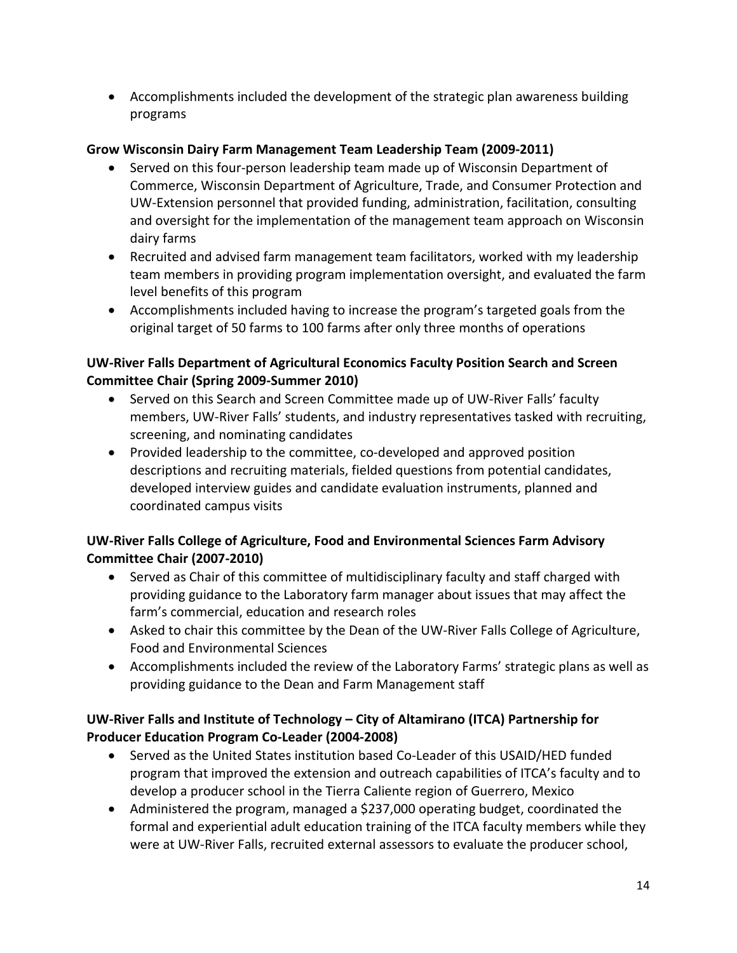• Accomplishments included the development of the strategic plan awareness building programs

## **Grow Wisconsin Dairy Farm Management Team Leadership Team (2009-2011)**

- Served on this four-person leadership team made up of Wisconsin Department of Commerce, Wisconsin Department of Agriculture, Trade, and Consumer Protection and UW-Extension personnel that provided funding, administration, facilitation, consulting and oversight for the implementation of the management team approach on Wisconsin dairy farms
- Recruited and advised farm management team facilitators, worked with my leadership team members in providing program implementation oversight, and evaluated the farm level benefits of this program
- Accomplishments included having to increase the program's targeted goals from the original target of 50 farms to 100 farms after only three months of operations

## **UW-River Falls Department of Agricultural Economics Faculty Position Search and Screen Committee Chair (Spring 2009-Summer 2010)**

- Served on this Search and Screen Committee made up of UW-River Falls' faculty members, UW-River Falls' students, and industry representatives tasked with recruiting, screening, and nominating candidates
- Provided leadership to the committee, co-developed and approved position descriptions and recruiting materials, fielded questions from potential candidates, developed interview guides and candidate evaluation instruments, planned and coordinated campus visits

## **UW-River Falls College of Agriculture, Food and Environmental Sciences Farm Advisory Committee Chair (2007-2010)**

- Served as Chair of this committee of multidisciplinary faculty and staff charged with providing guidance to the Laboratory farm manager about issues that may affect the farm's commercial, education and research roles
- Asked to chair this committee by the Dean of the UW-River Falls College of Agriculture, Food and Environmental Sciences
- Accomplishments included the review of the Laboratory Farms' strategic plans as well as providing guidance to the Dean and Farm Management staff

# **UW-River Falls and Institute of Technology – City of Altamirano (ITCA) Partnership for Producer Education Program Co-Leader (2004-2008)**

- Served as the United States institution based Co-Leader of this USAID/HED funded program that improved the extension and outreach capabilities of ITCA's faculty and to develop a producer school in the Tierra Caliente region of Guerrero, Mexico
- Administered the program, managed a \$237,000 operating budget, coordinated the formal and experiential adult education training of the ITCA faculty members while they were at UW-River Falls, recruited external assessors to evaluate the producer school,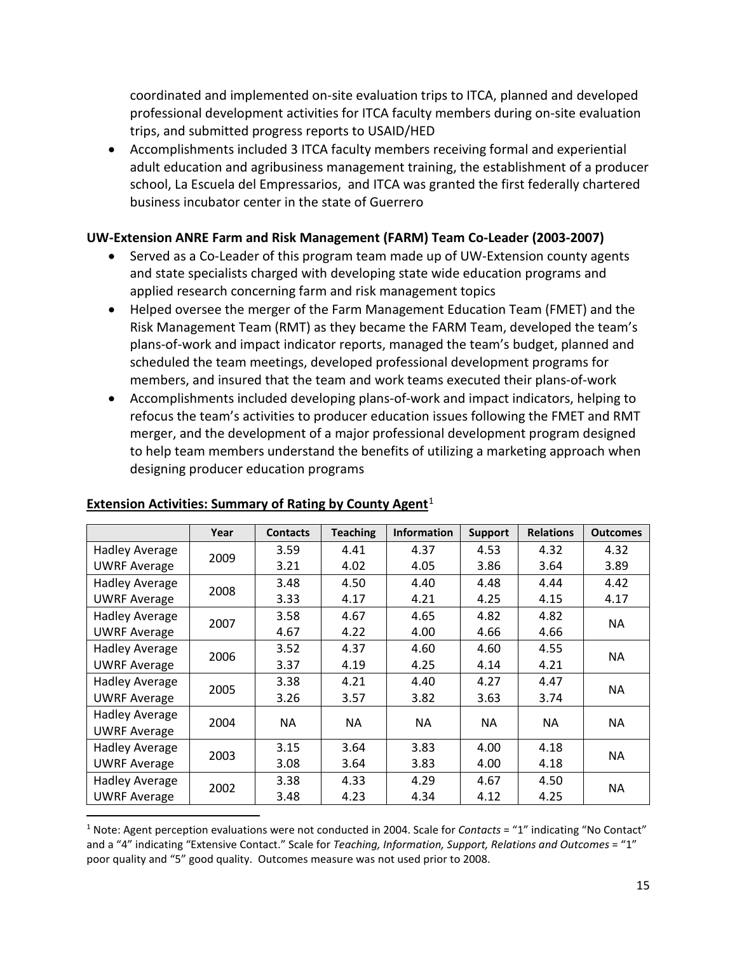coordinated and implemented on-site evaluation trips to ITCA, planned and developed professional development activities for ITCA faculty members during on-site evaluation trips, and submitted progress reports to USAID/HED

• Accomplishments included 3 ITCA faculty members receiving formal and experiential adult education and agribusiness management training, the establishment of a producer school, La Escuela del Empressarios, and ITCA was granted the first federally chartered business incubator center in the state of Guerrero

## **UW-Extension ANRE Farm and Risk Management (FARM) Team Co-Leader (2003-2007)**

- Served as a Co-Leader of this program team made up of UW-Extension county agents and state specialists charged with developing state wide education programs and applied research concerning farm and risk management topics
- Helped oversee the merger of the Farm Management Education Team (FMET) and the Risk Management Team (RMT) as they became the FARM Team, developed the team's plans-of-work and impact indicator reports, managed the team's budget, planned and scheduled the team meetings, developed professional development programs for members, and insured that the team and work teams executed their plans-of-work
- Accomplishments included developing plans-of-work and impact indicators, helping to refocus the team's activities to producer education issues following the FMET and RMT merger, and the development of a major professional development program designed to help team members understand the benefits of utilizing a marketing approach when designing producer education programs

|                       | Year | <b>Contacts</b> | <b>Teaching</b> | <b>Information</b> | <b>Support</b> | <b>Relations</b> | <b>Outcomes</b> |
|-----------------------|------|-----------------|-----------------|--------------------|----------------|------------------|-----------------|
| <b>Hadley Average</b> | 2009 | 3.59            | 4.41            | 4.37               | 4.53           | 4.32             | 4.32            |
| <b>UWRF Average</b>   |      | 3.21            | 4.02            | 4.05               | 3.86           | 3.64             | 3.89            |
| Hadley Average        | 2008 | 3.48            | 4.50            | 4.40               | 4.48           | 4.44             | 4.42            |
| <b>UWRF Average</b>   |      | 3.33            | 4.17            | 4.21               | 4.25           | 4.15             | 4.17            |
| <b>Hadley Average</b> | 2007 | 3.58            | 4.67            | 4.65               | 4.82           | 4.82             | NA.             |
| <b>UWRF Average</b>   |      | 4.67            | 4.22            | 4.00               | 4.66           | 4.66             |                 |
| Hadley Average        | 2006 | 3.52            | 4.37            | 4.60               | 4.60           | 4.55             | <b>NA</b>       |
| <b>UWRF Average</b>   |      | 3.37            | 4.19            | 4.25               | 4.14           | 4.21             |                 |
| <b>Hadley Average</b> | 2005 | 3.38            | 4.21            | 4.40               | 4.27           | 4.47             | <b>NA</b>       |
| <b>UWRF Average</b>   |      | 3.26            | 3.57            | 3.82               | 3.63           | 3.74             |                 |
| <b>Hadley Average</b> | 2004 | <b>NA</b>       | NA              | NA.                | NA.            | <b>NA</b>        | <b>NA</b>       |
| <b>UWRF Average</b>   |      |                 |                 |                    |                |                  |                 |
| <b>Hadley Average</b> | 2003 | 3.15            | 3.64            | 3.83               | 4.00           | 4.18             | NA.             |
| <b>UWRF Average</b>   |      | 3.08            | 3.64            | 3.83               | 4.00           | 4.18             |                 |
| Hadley Average        | 2002 | 3.38            | 4.33            | 4.29               | 4.67           | 4.50             | <b>NA</b>       |
| <b>UWRF Average</b>   |      | 3.48            | 4.23            | 4.34               | 4.12           | 4.25             |                 |

### **Extension Activities: Summary of Rating by County Agent**<sup>[1](#page-14-0)</sup>

<span id="page-14-0"></span> <sup>1</sup> Note: Agent perception evaluations were not conducted in 2004. Scale for *Contacts* = "1" indicating "No Contact" and a "4" indicating "Extensive Contact." Scale for *Teaching, Information, Support, Relations and Outcomes* = "1" poor quality and "5" good quality. Outcomes measure was not used prior to 2008.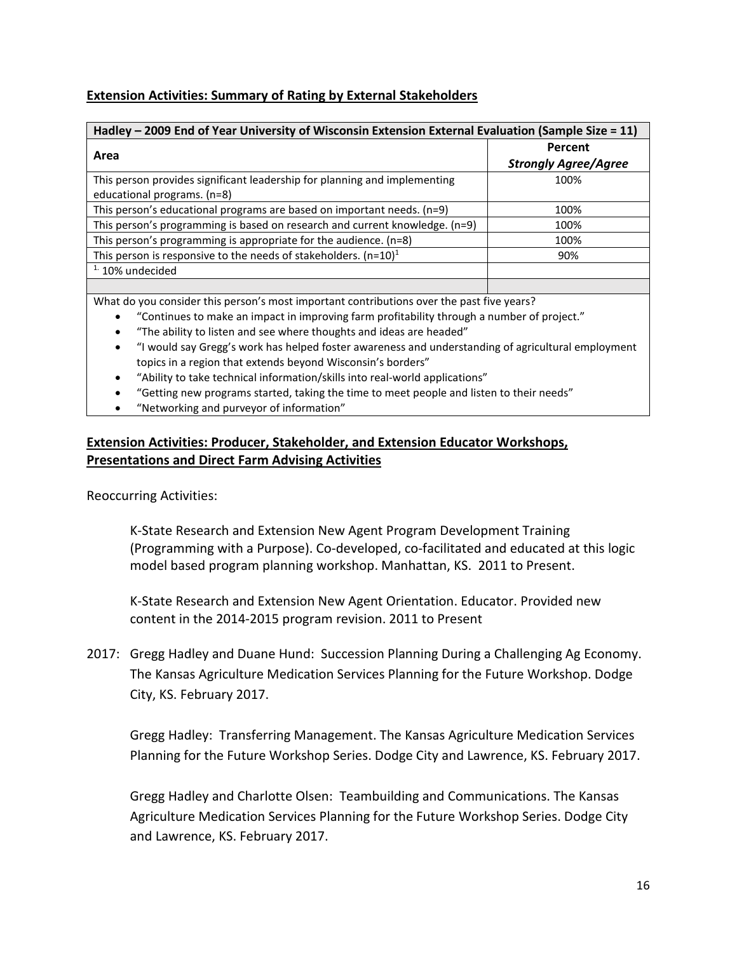## **Extension Activities: Summary of Rating by External Stakeholders**

| Hadley - 2009 End of Year University of Wisconsin Extension External Evaluation (Sample Size = 11) |                             |  |  |  |  |
|----------------------------------------------------------------------------------------------------|-----------------------------|--|--|--|--|
|                                                                                                    | Percent                     |  |  |  |  |
| Area                                                                                               | <b>Strongly Agree/Agree</b> |  |  |  |  |
| This person provides significant leadership for planning and implementing                          | 100%                        |  |  |  |  |
| educational programs. (n=8)                                                                        |                             |  |  |  |  |
| This person's educational programs are based on important needs. (n=9)                             | 100%                        |  |  |  |  |
| This person's programming is based on research and current knowledge. (n=9)                        | 100%                        |  |  |  |  |
| This person's programming is appropriate for the audience. (n=8)                                   | 100%                        |  |  |  |  |
| This person is responsive to the needs of stakeholders. $(n=10)^1$                                 | 90%                         |  |  |  |  |
| $1.10\%$ undecided                                                                                 |                             |  |  |  |  |
|                                                                                                    |                             |  |  |  |  |

What do you consider this person's most important contributions over the past five years?

- "Continues to make an impact in improving farm profitability through a number of project."
- "The ability to listen and see where thoughts and ideas are headed"
- "I would say Gregg's work has helped foster awareness and understanding of agricultural employment topics in a region that extends beyond Wisconsin's borders"
- "Ability to take technical information/skills into real-world applications"
- "Getting new programs started, taking the time to meet people and listen to their needs"
- "Networking and purveyor of information"

### **Extension Activities: Producer, Stakeholder, and Extension Educator Workshops, Presentations and Direct Farm Advising Activities**

Reoccurring Activities:

K-State Research and Extension New Agent Program Development Training (Programming with a Purpose). Co-developed, co-facilitated and educated at this logic model based program planning workshop. Manhattan, KS. 2011 to Present.

K-State Research and Extension New Agent Orientation. Educator. Provided new content in the 2014-2015 program revision. 2011 to Present

2017: Gregg Hadley and Duane Hund: Succession Planning During a Challenging Ag Economy. The Kansas Agriculture Medication Services Planning for the Future Workshop. Dodge City, KS. February 2017.

Gregg Hadley: Transferring Management. The Kansas Agriculture Medication Services Planning for the Future Workshop Series. Dodge City and Lawrence, KS. February 2017.

Gregg Hadley and Charlotte Olsen: Teambuilding and Communications. The Kansas Agriculture Medication Services Planning for the Future Workshop Series. Dodge City and Lawrence, KS. February 2017.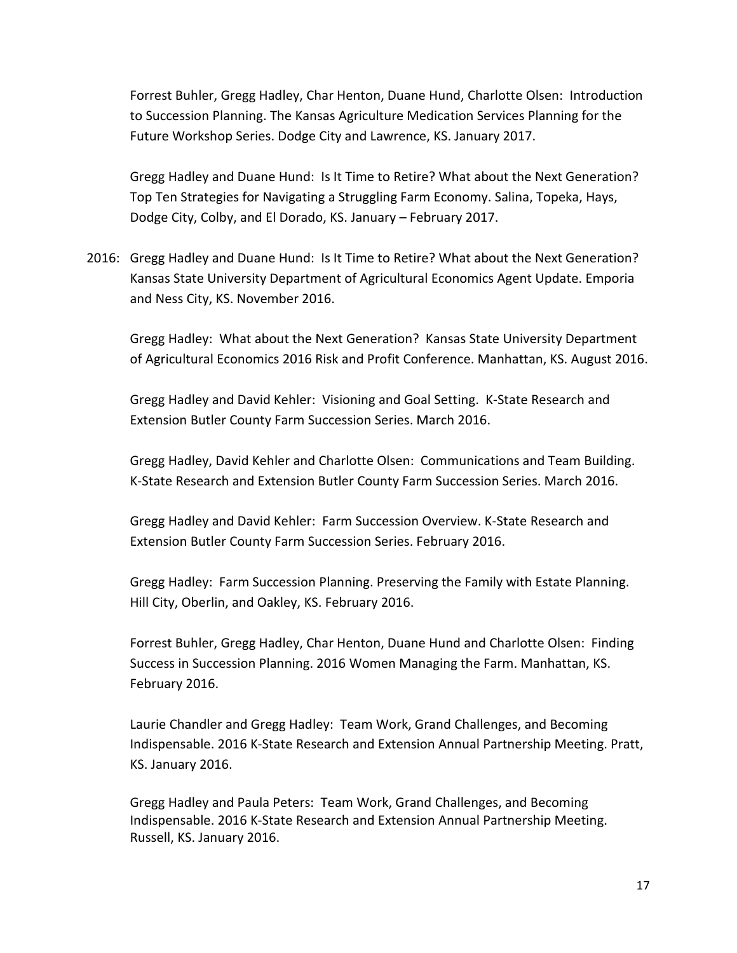Forrest Buhler, Gregg Hadley, Char Henton, Duane Hund, Charlotte Olsen: Introduction to Succession Planning. The Kansas Agriculture Medication Services Planning for the Future Workshop Series. Dodge City and Lawrence, KS. January 2017.

Gregg Hadley and Duane Hund: Is It Time to Retire? What about the Next Generation? Top Ten Strategies for Navigating a Struggling Farm Economy. Salina, Topeka, Hays, Dodge City, Colby, and El Dorado, KS. January – February 2017.

2016: Gregg Hadley and Duane Hund: Is It Time to Retire? What about the Next Generation? Kansas State University Department of Agricultural Economics Agent Update. Emporia and Ness City, KS. November 2016.

Gregg Hadley: What about the Next Generation? Kansas State University Department of Agricultural Economics 2016 Risk and Profit Conference. Manhattan, KS. August 2016.

Gregg Hadley and David Kehler: Visioning and Goal Setting. K-State Research and Extension Butler County Farm Succession Series. March 2016.

Gregg Hadley, David Kehler and Charlotte Olsen: Communications and Team Building. K-State Research and Extension Butler County Farm Succession Series. March 2016.

Gregg Hadley and David Kehler: Farm Succession Overview. K-State Research and Extension Butler County Farm Succession Series. February 2016.

Gregg Hadley: Farm Succession Planning. Preserving the Family with Estate Planning. Hill City, Oberlin, and Oakley, KS. February 2016.

Forrest Buhler, Gregg Hadley, Char Henton, Duane Hund and Charlotte Olsen: Finding Success in Succession Planning. 2016 Women Managing the Farm. Manhattan, KS. February 2016.

Laurie Chandler and Gregg Hadley: Team Work, Grand Challenges, and Becoming Indispensable. 2016 K-State Research and Extension Annual Partnership Meeting. Pratt, KS. January 2016.

Gregg Hadley and Paula Peters: Team Work, Grand Challenges, and Becoming Indispensable. 2016 K-State Research and Extension Annual Partnership Meeting. Russell, KS. January 2016.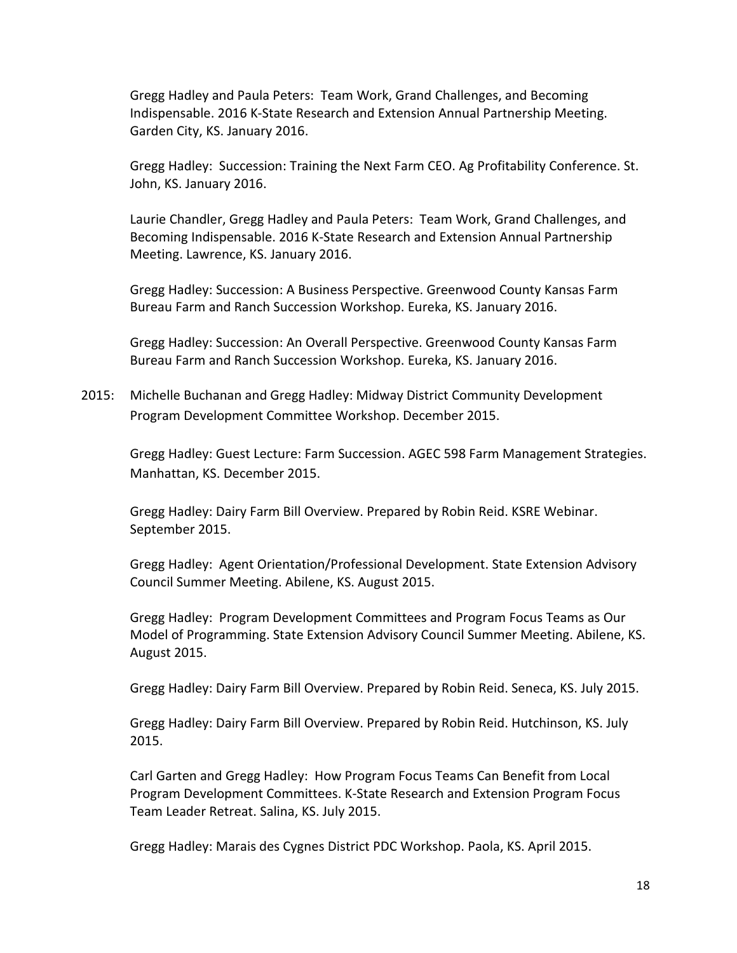Gregg Hadley and Paula Peters: Team Work, Grand Challenges, and Becoming Indispensable. 2016 K-State Research and Extension Annual Partnership Meeting. Garden City, KS. January 2016.

Gregg Hadley: Succession: Training the Next Farm CEO. Ag Profitability Conference. St. John, KS. January 2016.

Laurie Chandler, Gregg Hadley and Paula Peters: Team Work, Grand Challenges, and Becoming Indispensable. 2016 K-State Research and Extension Annual Partnership Meeting. Lawrence, KS. January 2016.

Gregg Hadley: Succession: A Business Perspective. Greenwood County Kansas Farm Bureau Farm and Ranch Succession Workshop. Eureka, KS. January 2016.

Gregg Hadley: Succession: An Overall Perspective. Greenwood County Kansas Farm Bureau Farm and Ranch Succession Workshop. Eureka, KS. January 2016.

2015: Michelle Buchanan and Gregg Hadley: Midway District Community Development Program Development Committee Workshop. December 2015.

Gregg Hadley: Guest Lecture: Farm Succession. AGEC 598 Farm Management Strategies. Manhattan, KS. December 2015.

Gregg Hadley: Dairy Farm Bill Overview. Prepared by Robin Reid. KSRE Webinar. September 2015.

Gregg Hadley: Agent Orientation/Professional Development. State Extension Advisory Council Summer Meeting. Abilene, KS. August 2015.

Gregg Hadley: Program Development Committees and Program Focus Teams as Our Model of Programming. State Extension Advisory Council Summer Meeting. Abilene, KS. August 2015.

Gregg Hadley: Dairy Farm Bill Overview. Prepared by Robin Reid. Seneca, KS. July 2015.

Gregg Hadley: Dairy Farm Bill Overview. Prepared by Robin Reid. Hutchinson, KS. July 2015.

Carl Garten and Gregg Hadley: How Program Focus Teams Can Benefit from Local Program Development Committees. K-State Research and Extension Program Focus Team Leader Retreat. Salina, KS. July 2015.

Gregg Hadley: Marais des Cygnes District PDC Workshop. Paola, KS. April 2015.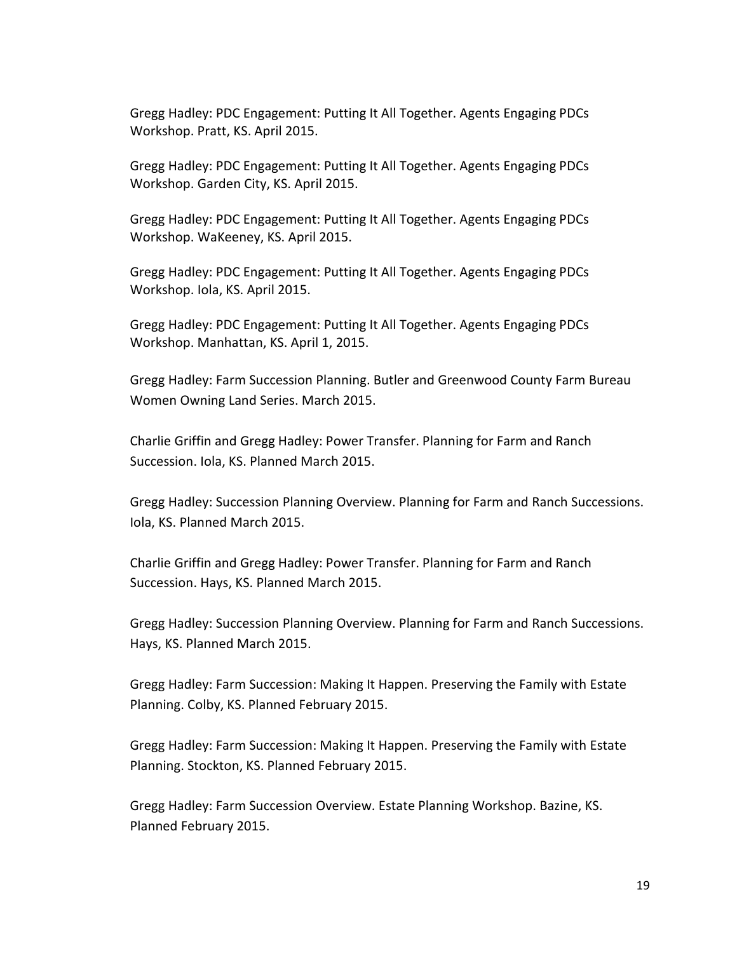Gregg Hadley: PDC Engagement: Putting It All Together. Agents Engaging PDCs Workshop. Pratt, KS. April 2015.

Gregg Hadley: PDC Engagement: Putting It All Together. Agents Engaging PDCs Workshop. Garden City, KS. April 2015.

Gregg Hadley: PDC Engagement: Putting It All Together. Agents Engaging PDCs Workshop. WaKeeney, KS. April 2015.

Gregg Hadley: PDC Engagement: Putting It All Together. Agents Engaging PDCs Workshop. Iola, KS. April 2015.

Gregg Hadley: PDC Engagement: Putting It All Together. Agents Engaging PDCs Workshop. Manhattan, KS. April 1, 2015.

Gregg Hadley: Farm Succession Planning. Butler and Greenwood County Farm Bureau Women Owning Land Series. March 2015.

Charlie Griffin and Gregg Hadley: Power Transfer. Planning for Farm and Ranch Succession. Iola, KS. Planned March 2015.

Gregg Hadley: Succession Planning Overview. Planning for Farm and Ranch Successions. Iola, KS. Planned March 2015.

Charlie Griffin and Gregg Hadley: Power Transfer. Planning for Farm and Ranch Succession. Hays, KS. Planned March 2015.

Gregg Hadley: Succession Planning Overview. Planning for Farm and Ranch Successions. Hays, KS. Planned March 2015.

Gregg Hadley: Farm Succession: Making It Happen. Preserving the Family with Estate Planning. Colby, KS. Planned February 2015.

Gregg Hadley: Farm Succession: Making It Happen. Preserving the Family with Estate Planning. Stockton, KS. Planned February 2015.

Gregg Hadley: Farm Succession Overview. Estate Planning Workshop. Bazine, KS. Planned February 2015.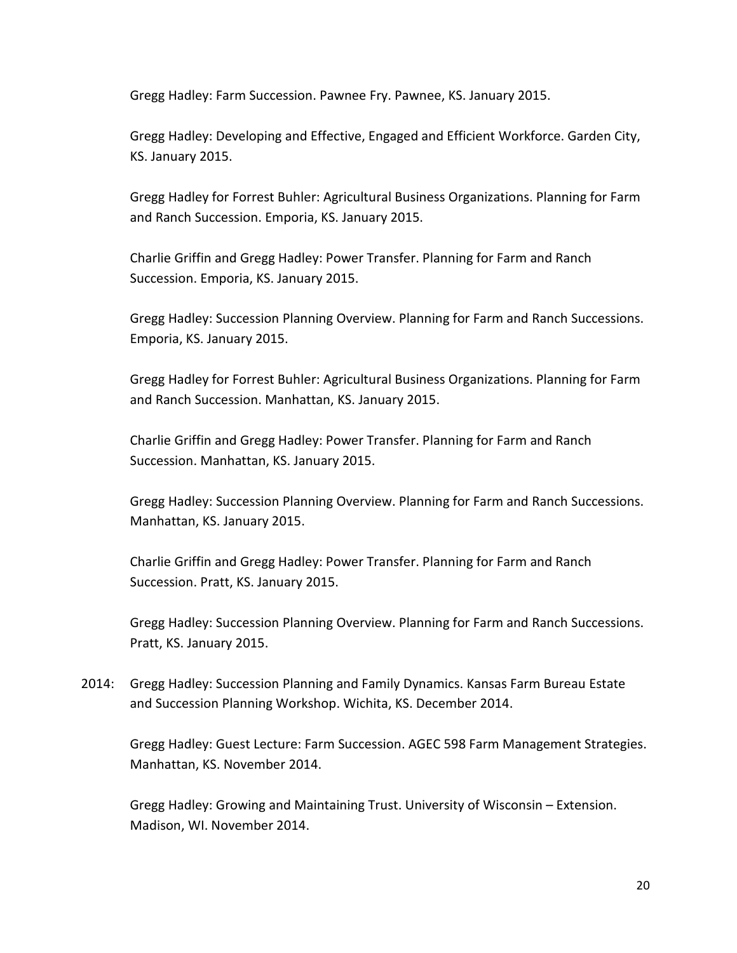Gregg Hadley: Farm Succession. Pawnee Fry. Pawnee, KS. January 2015.

Gregg Hadley: Developing and Effective, Engaged and Efficient Workforce. Garden City, KS. January 2015.

Gregg Hadley for Forrest Buhler: Agricultural Business Organizations. Planning for Farm and Ranch Succession. Emporia, KS. January 2015.

Charlie Griffin and Gregg Hadley: Power Transfer. Planning for Farm and Ranch Succession. Emporia, KS. January 2015.

Gregg Hadley: Succession Planning Overview. Planning for Farm and Ranch Successions. Emporia, KS. January 2015.

Gregg Hadley for Forrest Buhler: Agricultural Business Organizations. Planning for Farm and Ranch Succession. Manhattan, KS. January 2015.

Charlie Griffin and Gregg Hadley: Power Transfer. Planning for Farm and Ranch Succession. Manhattan, KS. January 2015.

Gregg Hadley: Succession Planning Overview. Planning for Farm and Ranch Successions. Manhattan, KS. January 2015.

Charlie Griffin and Gregg Hadley: Power Transfer. Planning for Farm and Ranch Succession. Pratt, KS. January 2015.

Gregg Hadley: Succession Planning Overview. Planning for Farm and Ranch Successions. Pratt, KS. January 2015.

2014: Gregg Hadley: Succession Planning and Family Dynamics. Kansas Farm Bureau Estate and Succession Planning Workshop. Wichita, KS. December 2014.

Gregg Hadley: Guest Lecture: Farm Succession. AGEC 598 Farm Management Strategies. Manhattan, KS. November 2014.

Gregg Hadley: Growing and Maintaining Trust. University of Wisconsin – Extension. Madison, WI. November 2014.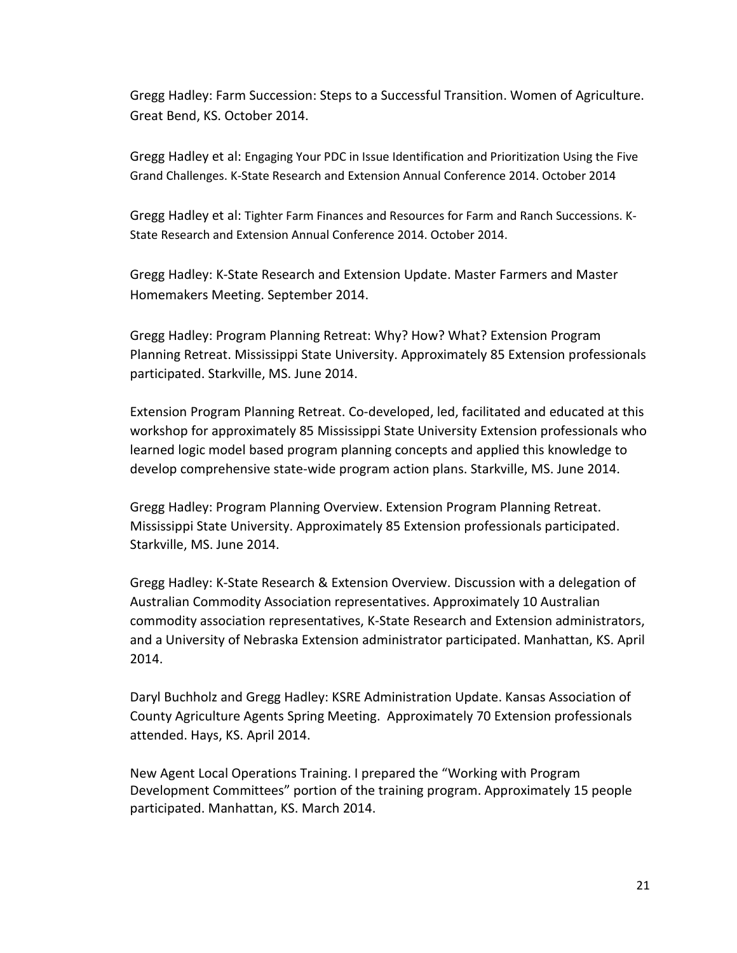Gregg Hadley: Farm Succession: Steps to a Successful Transition. Women of Agriculture. Great Bend, KS. October 2014.

Gregg Hadley et al: Engaging Your PDC in Issue Identification and Prioritization Using the Five Grand Challenges. K-State Research and Extension Annual Conference 2014. October 2014

Gregg Hadley et al: Tighter Farm Finances and Resources for Farm and Ranch Successions. K-State Research and Extension Annual Conference 2014. October 2014.

Gregg Hadley: K-State Research and Extension Update. Master Farmers and Master Homemakers Meeting. September 2014.

Gregg Hadley: Program Planning Retreat: Why? How? What? Extension Program Planning Retreat. Mississippi State University. Approximately 85 Extension professionals participated. Starkville, MS. June 2014.

Extension Program Planning Retreat. Co-developed, led, facilitated and educated at this workshop for approximately 85 Mississippi State University Extension professionals who learned logic model based program planning concepts and applied this knowledge to develop comprehensive state-wide program action plans. Starkville, MS. June 2014.

Gregg Hadley: Program Planning Overview. Extension Program Planning Retreat. Mississippi State University. Approximately 85 Extension professionals participated. Starkville, MS. June 2014.

Gregg Hadley: K-State Research & Extension Overview. Discussion with a delegation of Australian Commodity Association representatives. Approximately 10 Australian commodity association representatives, K-State Research and Extension administrators, and a University of Nebraska Extension administrator participated. Manhattan, KS. April 2014.

Daryl Buchholz and Gregg Hadley: KSRE Administration Update. Kansas Association of County Agriculture Agents Spring Meeting. Approximately 70 Extension professionals attended. Hays, KS. April 2014.

New Agent Local Operations Training. I prepared the "Working with Program Development Committees" portion of the training program. Approximately 15 people participated. Manhattan, KS. March 2014.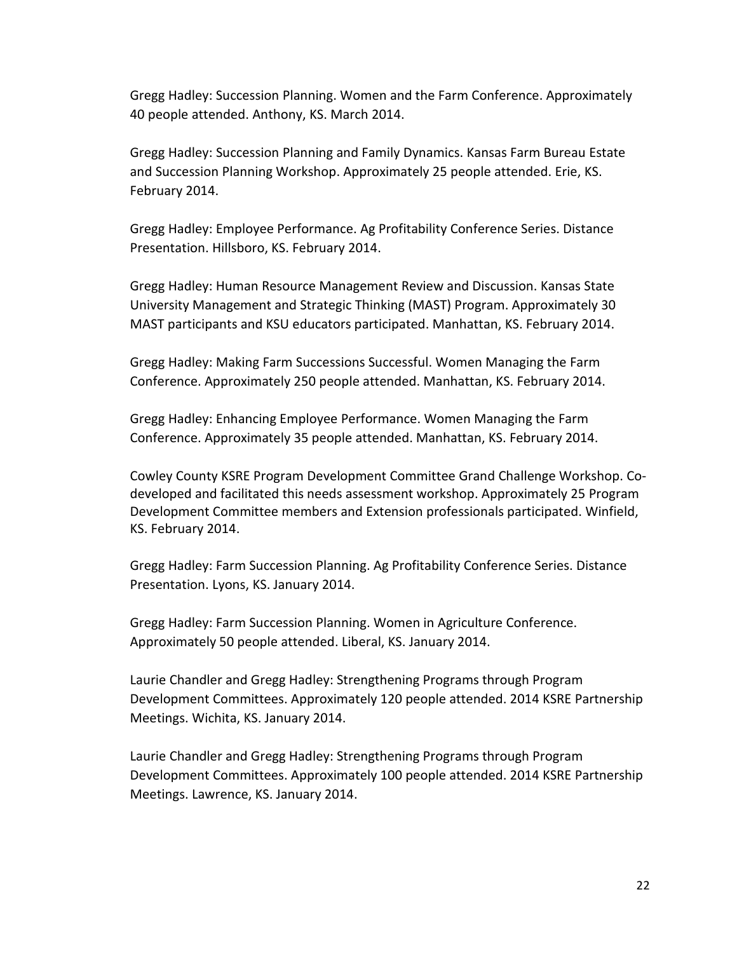Gregg Hadley: Succession Planning. Women and the Farm Conference. Approximately 40 people attended. Anthony, KS. March 2014.

Gregg Hadley: Succession Planning and Family Dynamics. Kansas Farm Bureau Estate and Succession Planning Workshop. Approximately 25 people attended. Erie, KS. February 2014.

Gregg Hadley: Employee Performance. Ag Profitability Conference Series. Distance Presentation. Hillsboro, KS. February 2014.

Gregg Hadley: Human Resource Management Review and Discussion. Kansas State University Management and Strategic Thinking (MAST) Program. Approximately 30 MAST participants and KSU educators participated. Manhattan, KS. February 2014.

Gregg Hadley: Making Farm Successions Successful. Women Managing the Farm Conference. Approximately 250 people attended. Manhattan, KS. February 2014.

Gregg Hadley: Enhancing Employee Performance. Women Managing the Farm Conference. Approximately 35 people attended. Manhattan, KS. February 2014.

Cowley County KSRE Program Development Committee Grand Challenge Workshop. Codeveloped and facilitated this needs assessment workshop. Approximately 25 Program Development Committee members and Extension professionals participated. Winfield, KS. February 2014.

Gregg Hadley: Farm Succession Planning. Ag Profitability Conference Series. Distance Presentation. Lyons, KS. January 2014.

Gregg Hadley: Farm Succession Planning. Women in Agriculture Conference. Approximately 50 people attended. Liberal, KS. January 2014.

Laurie Chandler and Gregg Hadley: Strengthening Programs through Program Development Committees. Approximately 120 people attended. 2014 KSRE Partnership Meetings. Wichita, KS. January 2014.

Laurie Chandler and Gregg Hadley: Strengthening Programs through Program Development Committees. Approximately 100 people attended. 2014 KSRE Partnership Meetings. Lawrence, KS. January 2014.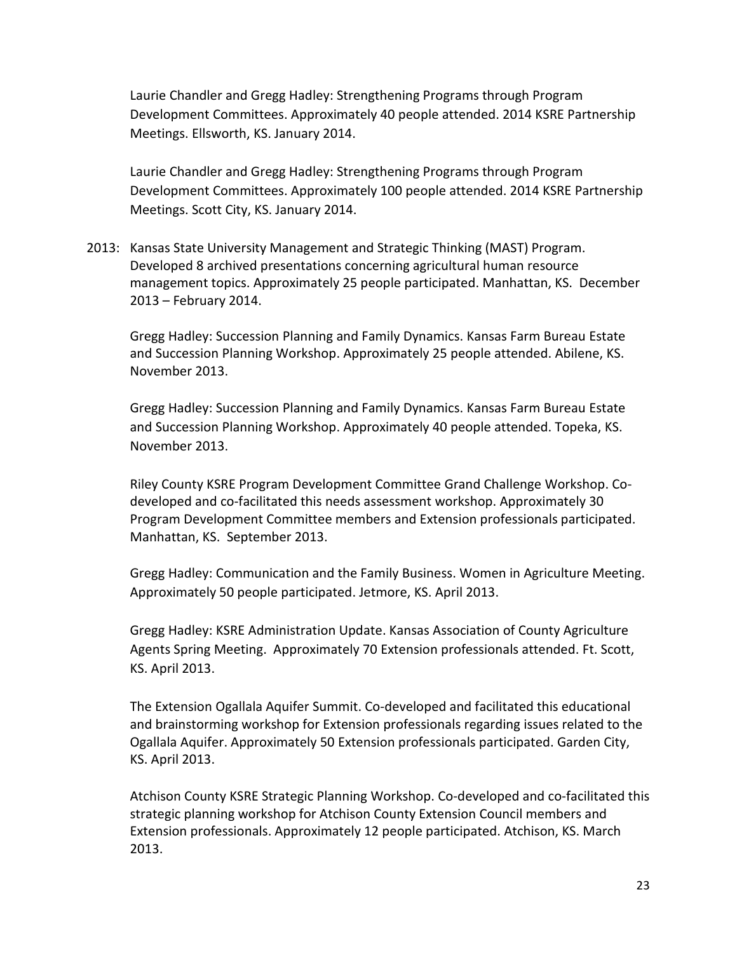Laurie Chandler and Gregg Hadley: Strengthening Programs through Program Development Committees. Approximately 40 people attended. 2014 KSRE Partnership Meetings. Ellsworth, KS. January 2014.

Laurie Chandler and Gregg Hadley: Strengthening Programs through Program Development Committees. Approximately 100 people attended. 2014 KSRE Partnership Meetings. Scott City, KS. January 2014.

2013: Kansas State University Management and Strategic Thinking (MAST) Program. Developed 8 archived presentations concerning agricultural human resource management topics. Approximately 25 people participated. Manhattan, KS. December 2013 – February 2014.

Gregg Hadley: Succession Planning and Family Dynamics. Kansas Farm Bureau Estate and Succession Planning Workshop. Approximately 25 people attended. Abilene, KS. November 2013.

Gregg Hadley: Succession Planning and Family Dynamics. Kansas Farm Bureau Estate and Succession Planning Workshop. Approximately 40 people attended. Topeka, KS. November 2013.

Riley County KSRE Program Development Committee Grand Challenge Workshop. Codeveloped and co-facilitated this needs assessment workshop. Approximately 30 Program Development Committee members and Extension professionals participated. Manhattan, KS. September 2013.

Gregg Hadley: Communication and the Family Business. Women in Agriculture Meeting. Approximately 50 people participated. Jetmore, KS. April 2013.

Gregg Hadley: KSRE Administration Update. Kansas Association of County Agriculture Agents Spring Meeting. Approximately 70 Extension professionals attended. Ft. Scott, KS. April 2013.

The Extension Ogallala Aquifer Summit. Co-developed and facilitated this educational and brainstorming workshop for Extension professionals regarding issues related to the Ogallala Aquifer. Approximately 50 Extension professionals participated. Garden City, KS. April 2013.

Atchison County KSRE Strategic Planning Workshop. Co-developed and co-facilitated this strategic planning workshop for Atchison County Extension Council members and Extension professionals. Approximately 12 people participated. Atchison, KS. March 2013.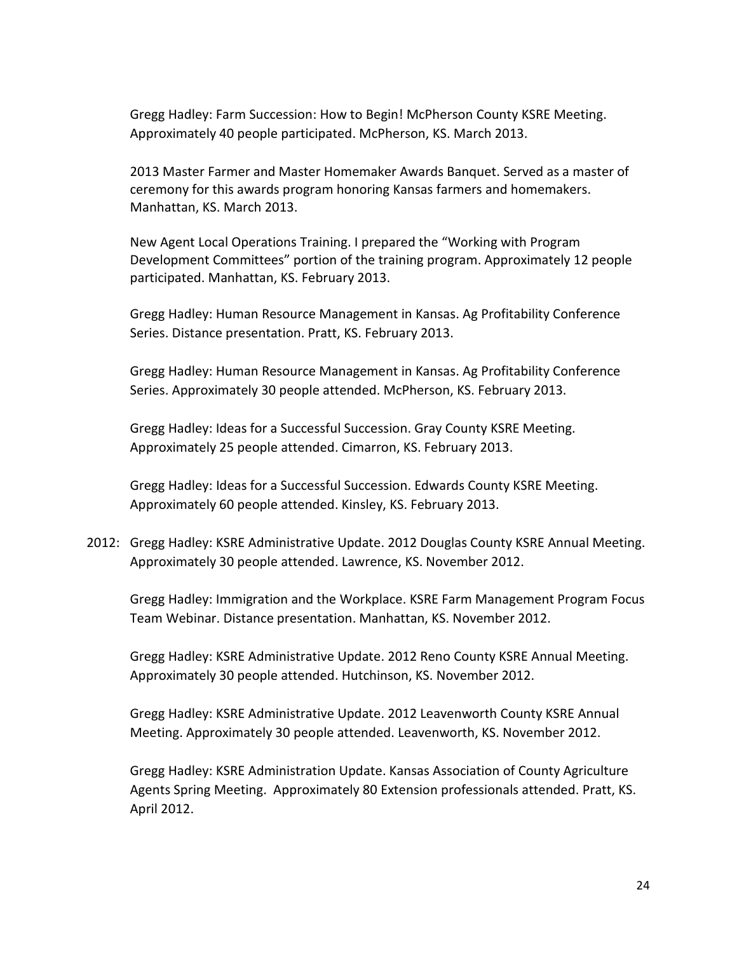Gregg Hadley: Farm Succession: How to Begin! McPherson County KSRE Meeting. Approximately 40 people participated. McPherson, KS. March 2013.

2013 Master Farmer and Master Homemaker Awards Banquet. Served as a master of ceremony for this awards program honoring Kansas farmers and homemakers. Manhattan, KS. March 2013.

New Agent Local Operations Training. I prepared the "Working with Program Development Committees" portion of the training program. Approximately 12 people participated. Manhattan, KS. February 2013.

Gregg Hadley: Human Resource Management in Kansas. Ag Profitability Conference Series. Distance presentation. Pratt, KS. February 2013.

Gregg Hadley: Human Resource Management in Kansas. Ag Profitability Conference Series. Approximately 30 people attended. McPherson, KS. February 2013.

Gregg Hadley: Ideas for a Successful Succession. Gray County KSRE Meeting. Approximately 25 people attended. Cimarron, KS. February 2013.

Gregg Hadley: Ideas for a Successful Succession. Edwards County KSRE Meeting. Approximately 60 people attended. Kinsley, KS. February 2013.

2012: Gregg Hadley: KSRE Administrative Update. 2012 Douglas County KSRE Annual Meeting. Approximately 30 people attended. Lawrence, KS. November 2012.

Gregg Hadley: Immigration and the Workplace. KSRE Farm Management Program Focus Team Webinar. Distance presentation. Manhattan, KS. November 2012.

Gregg Hadley: KSRE Administrative Update. 2012 Reno County KSRE Annual Meeting. Approximately 30 people attended. Hutchinson, KS. November 2012.

Gregg Hadley: KSRE Administrative Update. 2012 Leavenworth County KSRE Annual Meeting. Approximately 30 people attended. Leavenworth, KS. November 2012.

Gregg Hadley: KSRE Administration Update. Kansas Association of County Agriculture Agents Spring Meeting. Approximately 80 Extension professionals attended. Pratt, KS. April 2012.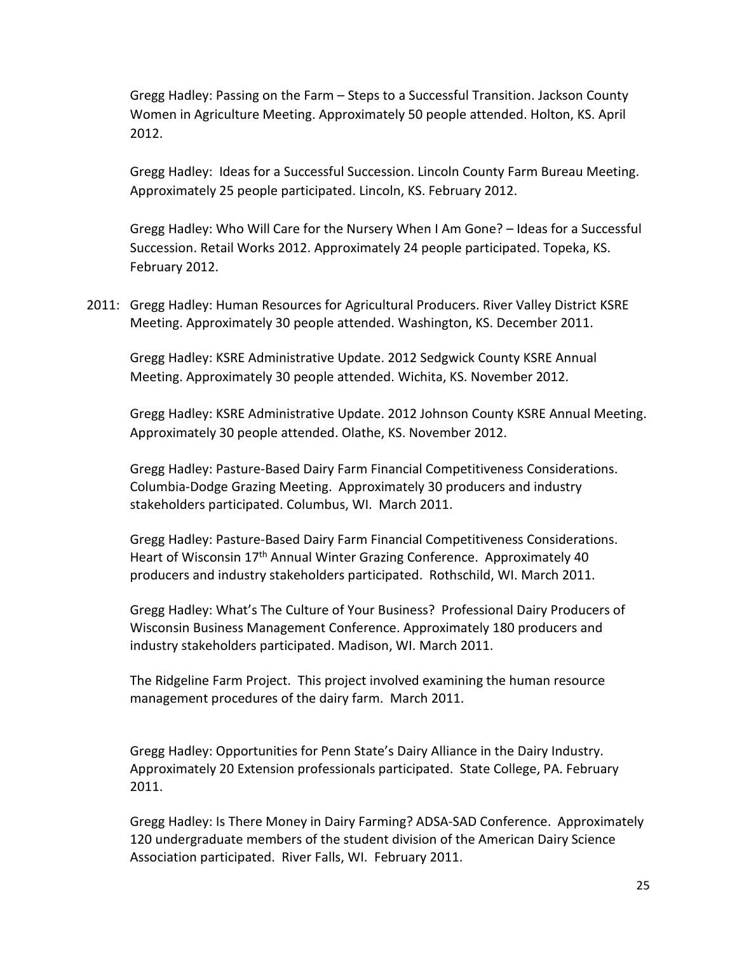Gregg Hadley: Passing on the Farm – Steps to a Successful Transition. Jackson County Women in Agriculture Meeting. Approximately 50 people attended. Holton, KS. April 2012.

Gregg Hadley: Ideas for a Successful Succession. Lincoln County Farm Bureau Meeting. Approximately 25 people participated. Lincoln, KS. February 2012.

Gregg Hadley: Who Will Care for the Nursery When I Am Gone? – Ideas for a Successful Succession. Retail Works 2012. Approximately 24 people participated. Topeka, KS. February 2012.

2011: Gregg Hadley: Human Resources for Agricultural Producers. River Valley District KSRE Meeting. Approximately 30 people attended. Washington, KS. December 2011.

Gregg Hadley: KSRE Administrative Update. 2012 Sedgwick County KSRE Annual Meeting. Approximately 30 people attended. Wichita, KS. November 2012.

Gregg Hadley: KSRE Administrative Update. 2012 Johnson County KSRE Annual Meeting. Approximately 30 people attended. Olathe, KS. November 2012.

Gregg Hadley: Pasture-Based Dairy Farm Financial Competitiveness Considerations. Columbia-Dodge Grazing Meeting. Approximately 30 producers and industry stakeholders participated. Columbus, WI. March 2011.

Gregg Hadley: Pasture-Based Dairy Farm Financial Competitiveness Considerations. Heart of Wisconsin 17<sup>th</sup> Annual Winter Grazing Conference. Approximately 40 producers and industry stakeholders participated. Rothschild, WI. March 2011.

Gregg Hadley: What's The Culture of Your Business? Professional Dairy Producers of Wisconsin Business Management Conference. Approximately 180 producers and industry stakeholders participated. Madison, WI. March 2011.

The Ridgeline Farm Project. This project involved examining the human resource management procedures of the dairy farm. March 2011.

Gregg Hadley: Opportunities for Penn State's Dairy Alliance in the Dairy Industry. Approximately 20 Extension professionals participated. State College, PA. February 2011.

Gregg Hadley: Is There Money in Dairy Farming? ADSA-SAD Conference. Approximately 120 undergraduate members of the student division of the American Dairy Science Association participated. River Falls, WI. February 2011.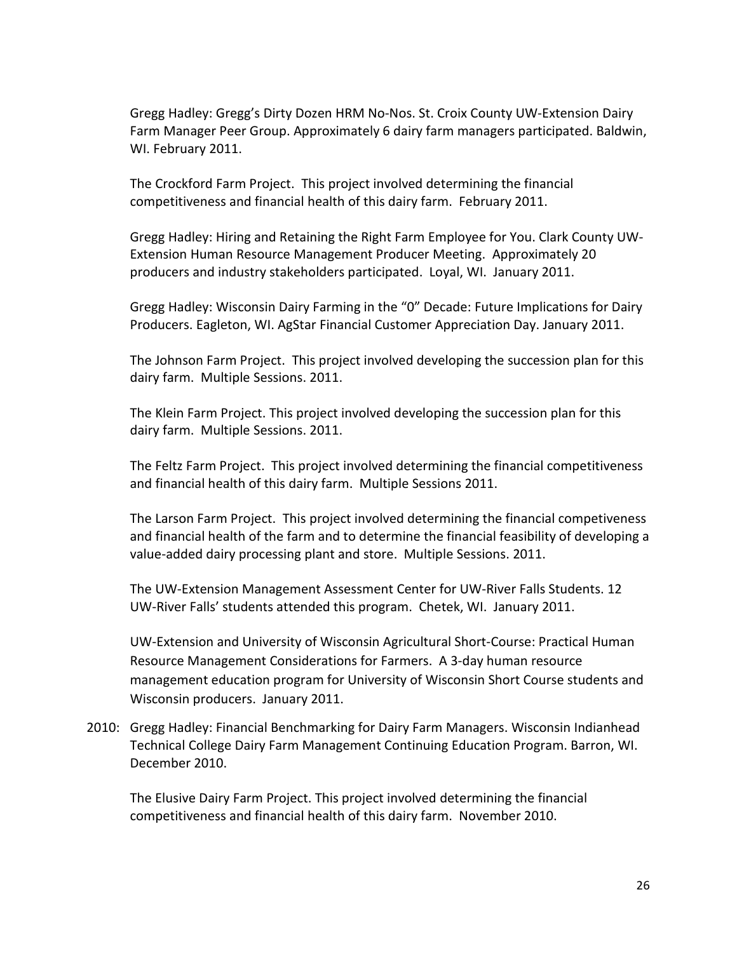Gregg Hadley: Gregg's Dirty Dozen HRM No-Nos. St. Croix County UW-Extension Dairy Farm Manager Peer Group. Approximately 6 dairy farm managers participated. Baldwin, WI. February 2011.

The Crockford Farm Project. This project involved determining the financial competitiveness and financial health of this dairy farm. February 2011.

Gregg Hadley: Hiring and Retaining the Right Farm Employee for You. Clark County UW-Extension Human Resource Management Producer Meeting. Approximately 20 producers and industry stakeholders participated. Loyal, WI. January 2011.

Gregg Hadley: Wisconsin Dairy Farming in the "0" Decade: Future Implications for Dairy Producers. Eagleton, WI. AgStar Financial Customer Appreciation Day. January 2011.

The Johnson Farm Project. This project involved developing the succession plan for this dairy farm. Multiple Sessions. 2011.

The Klein Farm Project. This project involved developing the succession plan for this dairy farm. Multiple Sessions. 2011.

The Feltz Farm Project. This project involved determining the financial competitiveness and financial health of this dairy farm. Multiple Sessions 2011.

The Larson Farm Project. This project involved determining the financial competiveness and financial health of the farm and to determine the financial feasibility of developing a value-added dairy processing plant and store. Multiple Sessions. 2011.

The UW-Extension Management Assessment Center for UW-River Falls Students. 12 UW-River Falls' students attended this program. Chetek, WI. January 2011.

UW-Extension and University of Wisconsin Agricultural Short-Course: Practical Human Resource Management Considerations for Farmers. A 3-day human resource management education program for University of Wisconsin Short Course students and Wisconsin producers. January 2011.

2010: Gregg Hadley: Financial Benchmarking for Dairy Farm Managers. Wisconsin Indianhead Technical College Dairy Farm Management Continuing Education Program. Barron, WI. December 2010.

The Elusive Dairy Farm Project. This project involved determining the financial competitiveness and financial health of this dairy farm. November 2010.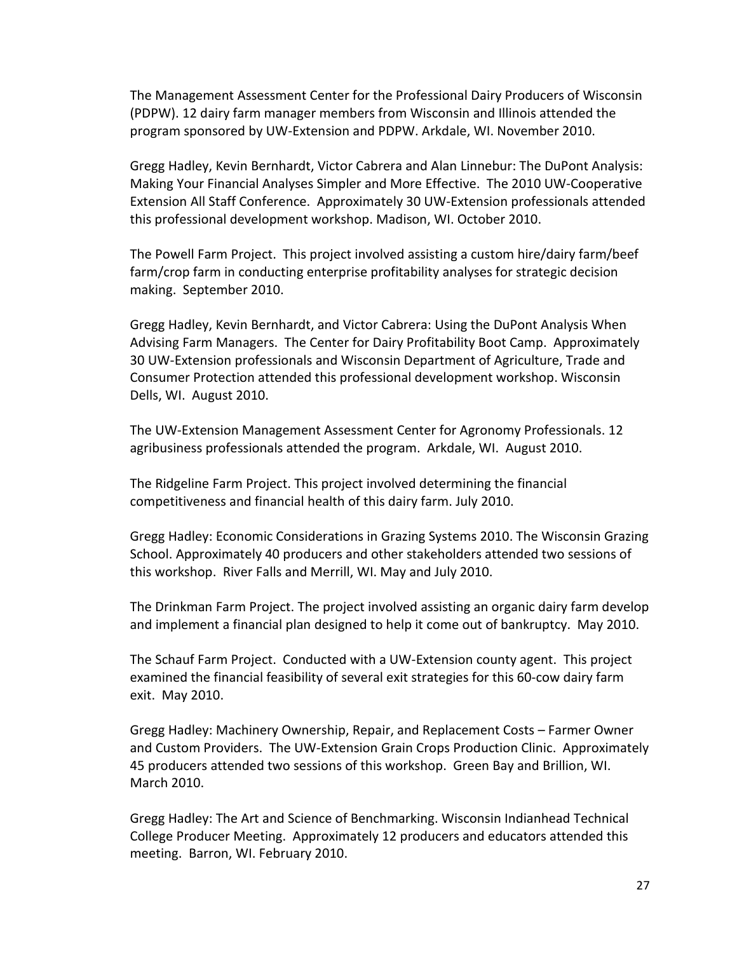The Management Assessment Center for the Professional Dairy Producers of Wisconsin (PDPW). 12 dairy farm manager members from Wisconsin and Illinois attended the program sponsored by UW-Extension and PDPW. Arkdale, WI. November 2010.

Gregg Hadley, Kevin Bernhardt, Victor Cabrera and Alan Linnebur: The DuPont Analysis: Making Your Financial Analyses Simpler and More Effective. The 2010 UW-Cooperative Extension All Staff Conference. Approximately 30 UW-Extension professionals attended this professional development workshop. Madison, WI. October 2010.

The Powell Farm Project. This project involved assisting a custom hire/dairy farm/beef farm/crop farm in conducting enterprise profitability analyses for strategic decision making. September 2010.

Gregg Hadley, Kevin Bernhardt, and Victor Cabrera: Using the DuPont Analysis When Advising Farm Managers. The Center for Dairy Profitability Boot Camp. Approximately 30 UW-Extension professionals and Wisconsin Department of Agriculture, Trade and Consumer Protection attended this professional development workshop. Wisconsin Dells, WI. August 2010.

The UW-Extension Management Assessment Center for Agronomy Professionals. 12 agribusiness professionals attended the program. Arkdale, WI. August 2010.

The Ridgeline Farm Project. This project involved determining the financial competitiveness and financial health of this dairy farm. July 2010.

Gregg Hadley: Economic Considerations in Grazing Systems 2010. The Wisconsin Grazing School. Approximately 40 producers and other stakeholders attended two sessions of this workshop. River Falls and Merrill, WI. May and July 2010.

The Drinkman Farm Project. The project involved assisting an organic dairy farm develop and implement a financial plan designed to help it come out of bankruptcy. May 2010.

The Schauf Farm Project. Conducted with a UW-Extension county agent. This project examined the financial feasibility of several exit strategies for this 60-cow dairy farm exit. May 2010.

Gregg Hadley: Machinery Ownership, Repair, and Replacement Costs – Farmer Owner and Custom Providers. The UW-Extension Grain Crops Production Clinic. Approximately 45 producers attended two sessions of this workshop. Green Bay and Brillion, WI. March 2010.

Gregg Hadley: The Art and Science of Benchmarking. Wisconsin Indianhead Technical College Producer Meeting. Approximately 12 producers and educators attended this meeting. Barron, WI. February 2010.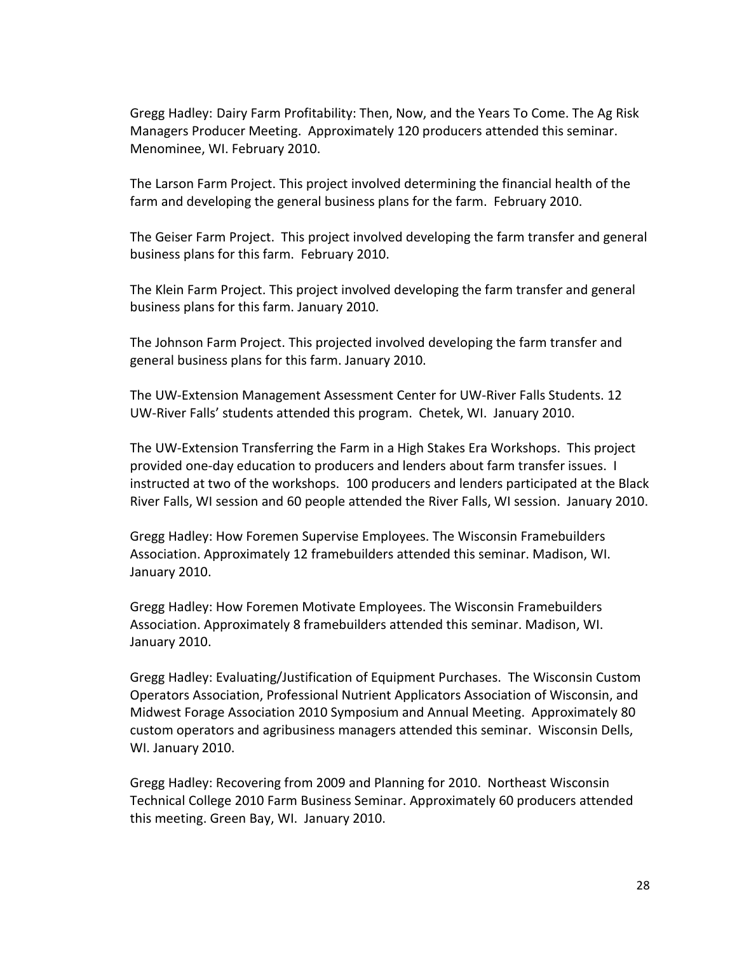Gregg Hadley: Dairy Farm Profitability: Then, Now, and the Years To Come. The Ag Risk Managers Producer Meeting. Approximately 120 producers attended this seminar. Menominee, WI. February 2010.

The Larson Farm Project. This project involved determining the financial health of the farm and developing the general business plans for the farm. February 2010.

The Geiser Farm Project. This project involved developing the farm transfer and general business plans for this farm. February 2010.

The Klein Farm Project. This project involved developing the farm transfer and general business plans for this farm. January 2010.

The Johnson Farm Project. This projected involved developing the farm transfer and general business plans for this farm. January 2010.

The UW-Extension Management Assessment Center for UW-River Falls Students. 12 UW-River Falls' students attended this program. Chetek, WI. January 2010.

The UW-Extension Transferring the Farm in a High Stakes Era Workshops. This project provided one-day education to producers and lenders about farm transfer issues. I instructed at two of the workshops. 100 producers and lenders participated at the Black River Falls, WI session and 60 people attended the River Falls, WI session. January 2010.

Gregg Hadley: How Foremen Supervise Employees. The Wisconsin Framebuilders Association. Approximately 12 framebuilders attended this seminar. Madison, WI. January 2010.

Gregg Hadley: How Foremen Motivate Employees. The Wisconsin Framebuilders Association. Approximately 8 framebuilders attended this seminar. Madison, WI. January 2010.

Gregg Hadley: Evaluating/Justification of Equipment Purchases. The Wisconsin Custom Operators Association, Professional Nutrient Applicators Association of Wisconsin, and Midwest Forage Association 2010 Symposium and Annual Meeting. Approximately 80 custom operators and agribusiness managers attended this seminar. Wisconsin Dells, WI. January 2010.

Gregg Hadley: Recovering from 2009 and Planning for 2010. Northeast Wisconsin Technical College 2010 Farm Business Seminar. Approximately 60 producers attended this meeting. Green Bay, WI. January 2010.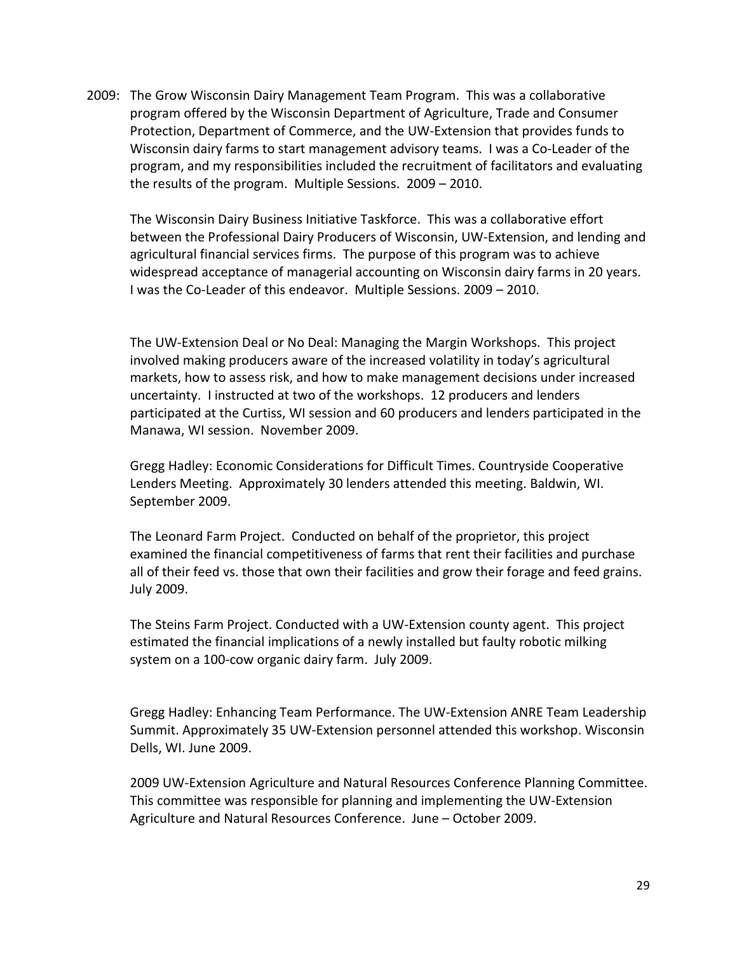2009: The Grow Wisconsin Dairy Management Team Program. This was a collaborative program offered by the Wisconsin Department of Agriculture, Trade and Consumer Protection, Department of Commerce, and the UW-Extension that provides funds to Wisconsin dairy farms to start management advisory teams. I was a Co-Leader of the program, and my responsibilities included the recruitment of facilitators and evaluating the results of the program. Multiple Sessions. 2009 – 2010.

The Wisconsin Dairy Business Initiative Taskforce. This was a collaborative effort between the Professional Dairy Producers of Wisconsin, UW-Extension, and lending and agricultural financial services firms. The purpose of this program was to achieve widespread acceptance of managerial accounting on Wisconsin dairy farms in 20 years. I was the Co-Leader of this endeavor. Multiple Sessions. 2009 – 2010.

The UW-Extension Deal or No Deal: Managing the Margin Workshops. This project involved making producers aware of the increased volatility in today's agricultural markets, how to assess risk, and how to make management decisions under increased uncertainty. I instructed at two of the workshops. 12 producers and lenders participated at the Curtiss, WI session and 60 producers and lenders participated in the Manawa, WI session. November 2009.

Gregg Hadley: Economic Considerations for Difficult Times. Countryside Cooperative Lenders Meeting. Approximately 30 lenders attended this meeting. Baldwin, WI. September 2009.

The Leonard Farm Project. Conducted on behalf of the proprietor, this project examined the financial competitiveness of farms that rent their facilities and purchase all of their feed vs. those that own their facilities and grow their forage and feed grains. July 2009.

The Steins Farm Project. Conducted with a UW-Extension county agent. This project estimated the financial implications of a newly installed but faulty robotic milking system on a 100-cow organic dairy farm. July 2009.

Gregg Hadley: Enhancing Team Performance. The UW-Extension ANRE Team Leadership Summit. Approximately 35 UW-Extension personnel attended this workshop. Wisconsin Dells, WI. June 2009.

2009 UW-Extension Agriculture and Natural Resources Conference Planning Committee. This committee was responsible for planning and implementing the UW-Extension Agriculture and Natural Resources Conference. June – October 2009.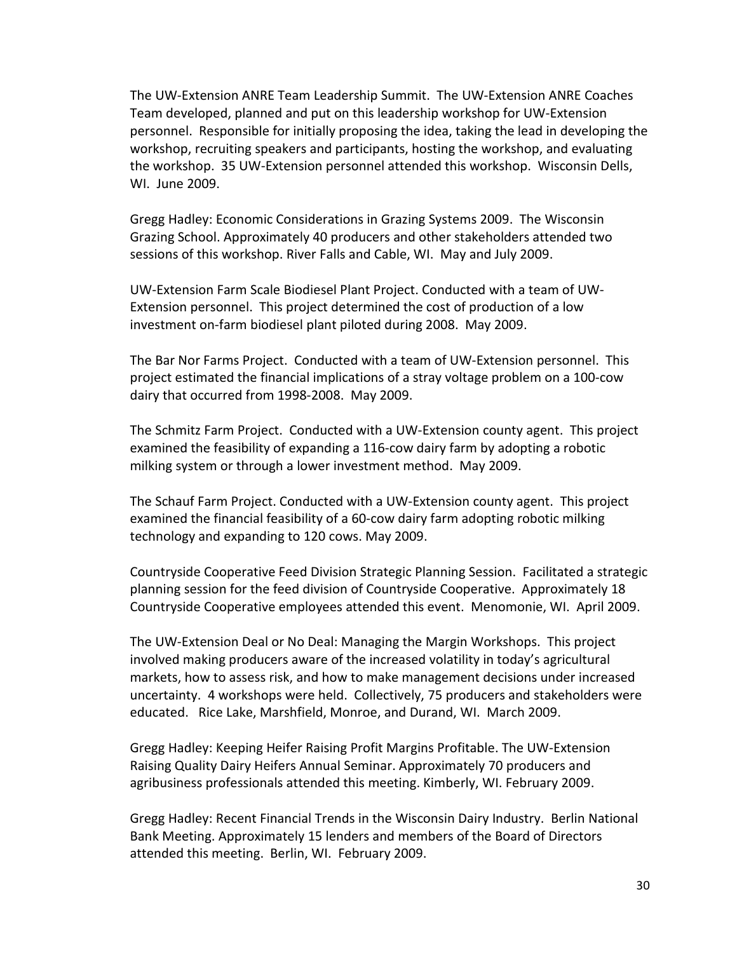The UW-Extension ANRE Team Leadership Summit. The UW-Extension ANRE Coaches Team developed, planned and put on this leadership workshop for UW-Extension personnel. Responsible for initially proposing the idea, taking the lead in developing the workshop, recruiting speakers and participants, hosting the workshop, and evaluating the workshop. 35 UW-Extension personnel attended this workshop. Wisconsin Dells, WI. June 2009.

Gregg Hadley: Economic Considerations in Grazing Systems 2009. The Wisconsin Grazing School. Approximately 40 producers and other stakeholders attended two sessions of this workshop. River Falls and Cable, WI. May and July 2009.

UW-Extension Farm Scale Biodiesel Plant Project. Conducted with a team of UW-Extension personnel. This project determined the cost of production of a low investment on-farm biodiesel plant piloted during 2008. May 2009.

The Bar Nor Farms Project. Conducted with a team of UW-Extension personnel. This project estimated the financial implications of a stray voltage problem on a 100-cow dairy that occurred from 1998-2008. May 2009.

The Schmitz Farm Project. Conducted with a UW-Extension county agent. This project examined the feasibility of expanding a 116-cow dairy farm by adopting a robotic milking system or through a lower investment method. May 2009.

The Schauf Farm Project. Conducted with a UW-Extension county agent. This project examined the financial feasibility of a 60-cow dairy farm adopting robotic milking technology and expanding to 120 cows. May 2009.

Countryside Cooperative Feed Division Strategic Planning Session. Facilitated a strategic planning session for the feed division of Countryside Cooperative. Approximately 18 Countryside Cooperative employees attended this event. Menomonie, WI. April 2009.

The UW-Extension Deal or No Deal: Managing the Margin Workshops. This project involved making producers aware of the increased volatility in today's agricultural markets, how to assess risk, and how to make management decisions under increased uncertainty. 4 workshops were held. Collectively, 75 producers and stakeholders were educated. Rice Lake, Marshfield, Monroe, and Durand, WI. March 2009.

Gregg Hadley: Keeping Heifer Raising Profit Margins Profitable. The UW-Extension Raising Quality Dairy Heifers Annual Seminar. Approximately 70 producers and agribusiness professionals attended this meeting. Kimberly, WI. February 2009.

Gregg Hadley: Recent Financial Trends in the Wisconsin Dairy Industry. Berlin National Bank Meeting. Approximately 15 lenders and members of the Board of Directors attended this meeting. Berlin, WI. February 2009.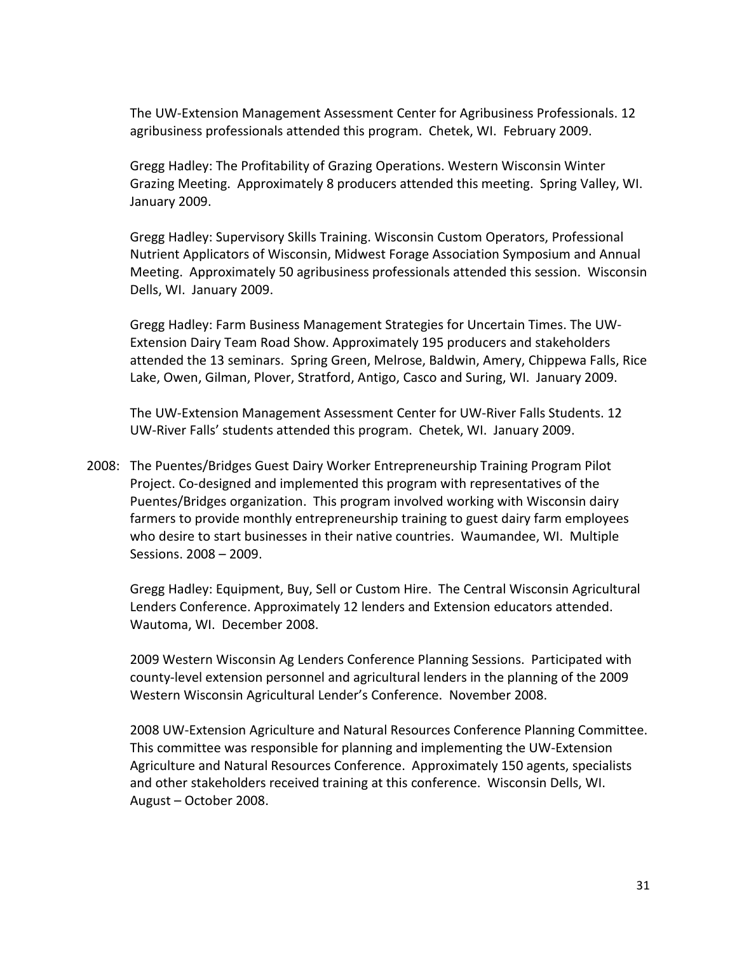The UW-Extension Management Assessment Center for Agribusiness Professionals. 12 agribusiness professionals attended this program. Chetek, WI. February 2009.

Gregg Hadley: The Profitability of Grazing Operations. Western Wisconsin Winter Grazing Meeting. Approximately 8 producers attended this meeting. Spring Valley, WI. January 2009.

Gregg Hadley: Supervisory Skills Training. Wisconsin Custom Operators, Professional Nutrient Applicators of Wisconsin, Midwest Forage Association Symposium and Annual Meeting. Approximately 50 agribusiness professionals attended this session. Wisconsin Dells, WI. January 2009.

Gregg Hadley: Farm Business Management Strategies for Uncertain Times. The UW-Extension Dairy Team Road Show. Approximately 195 producers and stakeholders attended the 13 seminars. Spring Green, Melrose, Baldwin, Amery, Chippewa Falls, Rice Lake, Owen, Gilman, Plover, Stratford, Antigo, Casco and Suring, WI. January 2009.

The UW-Extension Management Assessment Center for UW-River Falls Students. 12 UW-River Falls' students attended this program. Chetek, WI. January 2009.

2008: The Puentes/Bridges Guest Dairy Worker Entrepreneurship Training Program Pilot Project. Co-designed and implemented this program with representatives of the Puentes/Bridges organization. This program involved working with Wisconsin dairy farmers to provide monthly entrepreneurship training to guest dairy farm employees who desire to start businesses in their native countries. Waumandee, WI. Multiple Sessions. 2008 – 2009.

Gregg Hadley: Equipment, Buy, Sell or Custom Hire. The Central Wisconsin Agricultural Lenders Conference. Approximately 12 lenders and Extension educators attended. Wautoma, WI. December 2008.

2009 Western Wisconsin Ag Lenders Conference Planning Sessions. Participated with county-level extension personnel and agricultural lenders in the planning of the 2009 Western Wisconsin Agricultural Lender's Conference. November 2008.

2008 UW-Extension Agriculture and Natural Resources Conference Planning Committee. This committee was responsible for planning and implementing the UW-Extension Agriculture and Natural Resources Conference. Approximately 150 agents, specialists and other stakeholders received training at this conference. Wisconsin Dells, WI. August – October 2008.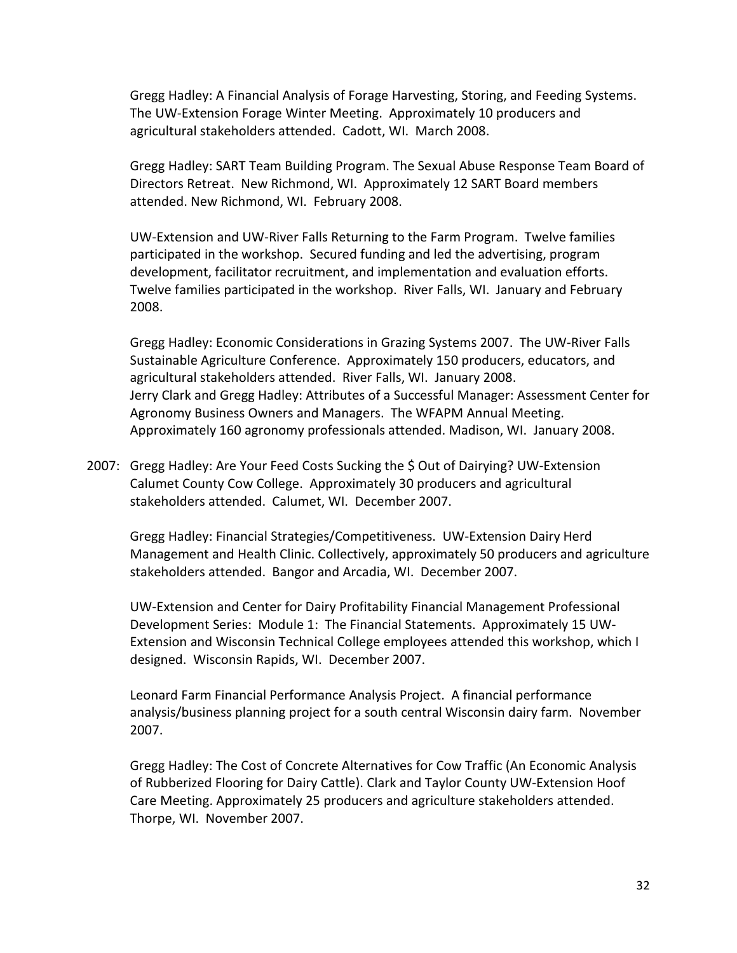Gregg Hadley: A Financial Analysis of Forage Harvesting, Storing, and Feeding Systems. The UW-Extension Forage Winter Meeting. Approximately 10 producers and agricultural stakeholders attended. Cadott, WI. March 2008.

Gregg Hadley: SART Team Building Program. The Sexual Abuse Response Team Board of Directors Retreat. New Richmond, WI. Approximately 12 SART Board members attended. New Richmond, WI. February 2008.

UW-Extension and UW-River Falls Returning to the Farm Program. Twelve families participated in the workshop. Secured funding and led the advertising, program development, facilitator recruitment, and implementation and evaluation efforts. Twelve families participated in the workshop. River Falls, WI. January and February 2008.

Gregg Hadley: Economic Considerations in Grazing Systems 2007. The UW-River Falls Sustainable Agriculture Conference. Approximately 150 producers, educators, and agricultural stakeholders attended. River Falls, WI. January 2008. Jerry Clark and Gregg Hadley: Attributes of a Successful Manager: Assessment Center for Agronomy Business Owners and Managers. The WFAPM Annual Meeting. Approximately 160 agronomy professionals attended. Madison, WI. January 2008.

2007: Gregg Hadley: Are Your Feed Costs Sucking the \$ Out of Dairying? UW-Extension Calumet County Cow College. Approximately 30 producers and agricultural stakeholders attended. Calumet, WI. December 2007.

Gregg Hadley: Financial Strategies/Competitiveness. UW-Extension Dairy Herd Management and Health Clinic. Collectively, approximately 50 producers and agriculture stakeholders attended. Bangor and Arcadia, WI. December 2007.

UW-Extension and Center for Dairy Profitability Financial Management Professional Development Series: Module 1: The Financial Statements. Approximately 15 UW-Extension and Wisconsin Technical College employees attended this workshop, which I designed. Wisconsin Rapids, WI. December 2007.

Leonard Farm Financial Performance Analysis Project. A financial performance analysis/business planning project for a south central Wisconsin dairy farm. November 2007.

Gregg Hadley: The Cost of Concrete Alternatives for Cow Traffic (An Economic Analysis of Rubberized Flooring for Dairy Cattle). Clark and Taylor County UW-Extension Hoof Care Meeting. Approximately 25 producers and agriculture stakeholders attended. Thorpe, WI. November 2007.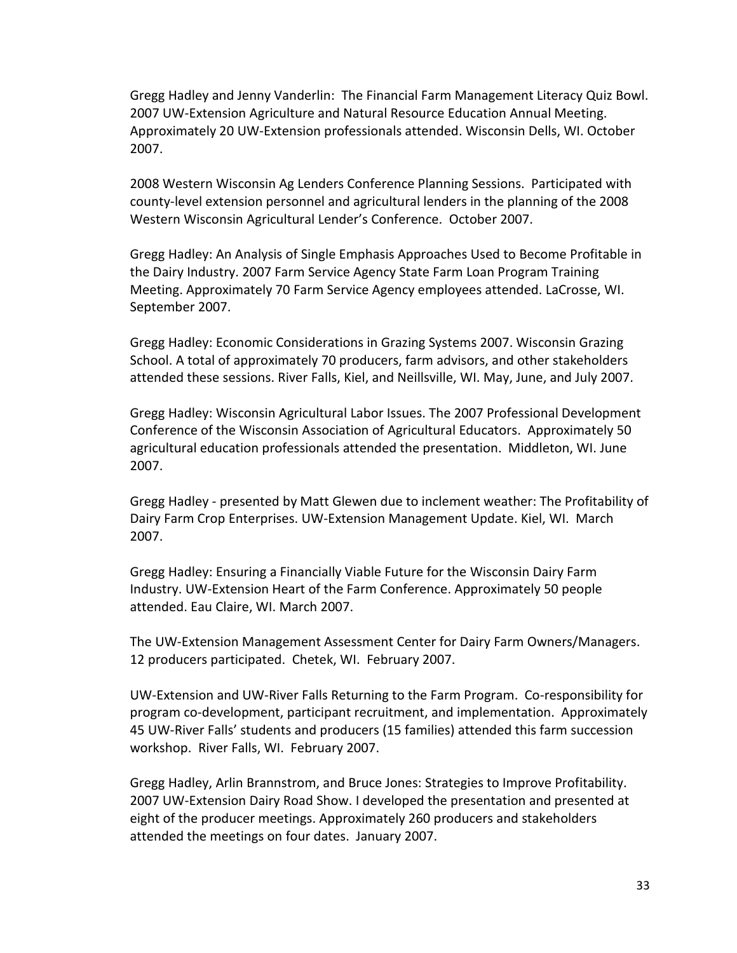Gregg Hadley and Jenny Vanderlin: The Financial Farm Management Literacy Quiz Bowl. 2007 UW-Extension Agriculture and Natural Resource Education Annual Meeting. Approximately 20 UW-Extension professionals attended. Wisconsin Dells, WI. October 2007.

2008 Western Wisconsin Ag Lenders Conference Planning Sessions. Participated with county-level extension personnel and agricultural lenders in the planning of the 2008 Western Wisconsin Agricultural Lender's Conference. October 2007.

Gregg Hadley: An Analysis of Single Emphasis Approaches Used to Become Profitable in the Dairy Industry. 2007 Farm Service Agency State Farm Loan Program Training Meeting. Approximately 70 Farm Service Agency employees attended. LaCrosse, WI. September 2007.

Gregg Hadley: Economic Considerations in Grazing Systems 2007. Wisconsin Grazing School. A total of approximately 70 producers, farm advisors, and other stakeholders attended these sessions. River Falls, Kiel, and Neillsville, WI. May, June, and July 2007.

Gregg Hadley: Wisconsin Agricultural Labor Issues. The 2007 Professional Development Conference of the Wisconsin Association of Agricultural Educators. Approximately 50 agricultural education professionals attended the presentation. Middleton, WI. June 2007.

Gregg Hadley - presented by Matt Glewen due to inclement weather: The Profitability of Dairy Farm Crop Enterprises. UW-Extension Management Update. Kiel, WI. March 2007.

Gregg Hadley: Ensuring a Financially Viable Future for the Wisconsin Dairy Farm Industry. UW-Extension Heart of the Farm Conference. Approximately 50 people attended. Eau Claire, WI. March 2007.

The UW-Extension Management Assessment Center for Dairy Farm Owners/Managers. 12 producers participated. Chetek, WI. February 2007.

UW-Extension and UW-River Falls Returning to the Farm Program. Co-responsibility for program co-development, participant recruitment, and implementation. Approximately 45 UW-River Falls' students and producers (15 families) attended this farm succession workshop. River Falls, WI. February 2007.

Gregg Hadley, Arlin Brannstrom, and Bruce Jones: Strategies to Improve Profitability. 2007 UW-Extension Dairy Road Show. I developed the presentation and presented at eight of the producer meetings. Approximately 260 producers and stakeholders attended the meetings on four dates. January 2007.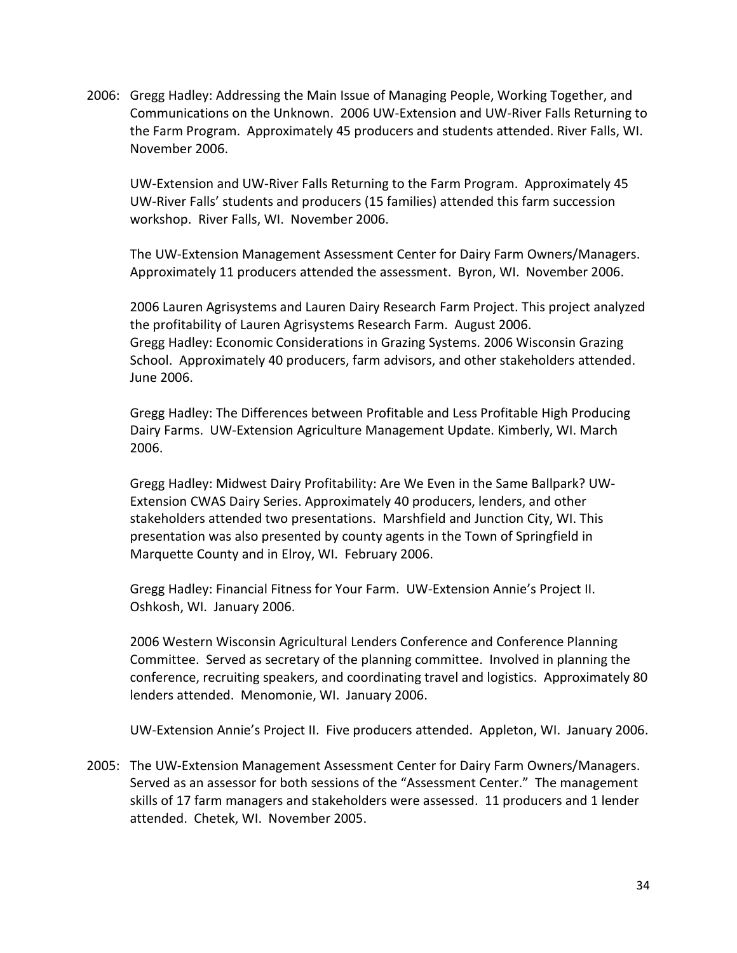2006: Gregg Hadley: Addressing the Main Issue of Managing People, Working Together, and Communications on the Unknown. 2006 UW-Extension and UW-River Falls Returning to the Farm Program. Approximately 45 producers and students attended. River Falls, WI. November 2006.

UW-Extension and UW-River Falls Returning to the Farm Program. Approximately 45 UW-River Falls' students and producers (15 families) attended this farm succession workshop. River Falls, WI. November 2006.

The UW-Extension Management Assessment Center for Dairy Farm Owners/Managers. Approximately 11 producers attended the assessment. Byron, WI. November 2006.

2006 Lauren Agrisystems and Lauren Dairy Research Farm Project. This project analyzed the profitability of Lauren Agrisystems Research Farm. August 2006. Gregg Hadley: Economic Considerations in Grazing Systems. 2006 Wisconsin Grazing School. Approximately 40 producers, farm advisors, and other stakeholders attended. June 2006.

Gregg Hadley: The Differences between Profitable and Less Profitable High Producing Dairy Farms. UW-Extension Agriculture Management Update. Kimberly, WI. March 2006.

Gregg Hadley: Midwest Dairy Profitability: Are We Even in the Same Ballpark? UW-Extension CWAS Dairy Series. Approximately 40 producers, lenders, and other stakeholders attended two presentations. Marshfield and Junction City, WI. This presentation was also presented by county agents in the Town of Springfield in Marquette County and in Elroy, WI. February 2006.

Gregg Hadley: Financial Fitness for Your Farm. UW-Extension Annie's Project II. Oshkosh, WI. January 2006.

2006 Western Wisconsin Agricultural Lenders Conference and Conference Planning Committee. Served as secretary of the planning committee. Involved in planning the conference, recruiting speakers, and coordinating travel and logistics. Approximately 80 lenders attended. Menomonie, WI. January 2006.

UW-Extension Annie's Project II. Five producers attended. Appleton, WI. January 2006.

2005: The UW-Extension Management Assessment Center for Dairy Farm Owners/Managers. Served as an assessor for both sessions of the "Assessment Center." The management skills of 17 farm managers and stakeholders were assessed. 11 producers and 1 lender attended. Chetek, WI. November 2005.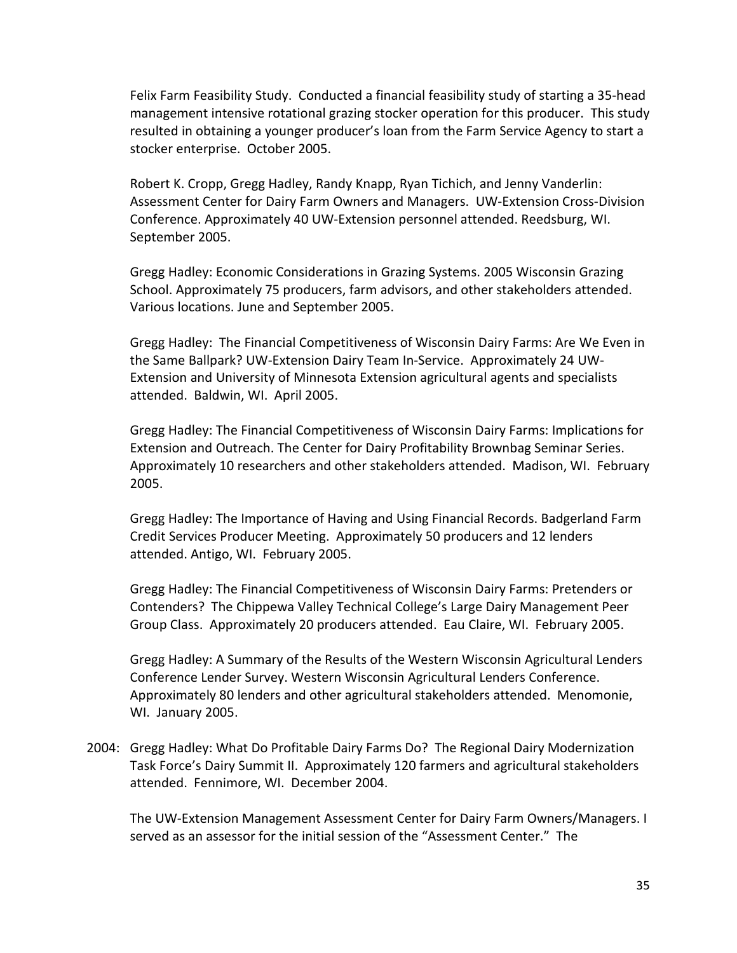Felix Farm Feasibility Study. Conducted a financial feasibility study of starting a 35-head management intensive rotational grazing stocker operation for this producer. This study resulted in obtaining a younger producer's loan from the Farm Service Agency to start a stocker enterprise. October 2005.

Robert K. Cropp, Gregg Hadley, Randy Knapp, Ryan Tichich, and Jenny Vanderlin: Assessment Center for Dairy Farm Owners and Managers. UW-Extension Cross-Division Conference. Approximately 40 UW-Extension personnel attended. Reedsburg, WI. September 2005.

Gregg Hadley: Economic Considerations in Grazing Systems. 2005 Wisconsin Grazing School. Approximately 75 producers, farm advisors, and other stakeholders attended. Various locations. June and September 2005.

Gregg Hadley: The Financial Competitiveness of Wisconsin Dairy Farms: Are We Even in the Same Ballpark? UW-Extension Dairy Team In-Service. Approximately 24 UW-Extension and University of Minnesota Extension agricultural agents and specialists attended. Baldwin, WI. April 2005.

Gregg Hadley: The Financial Competitiveness of Wisconsin Dairy Farms: Implications for Extension and Outreach. The Center for Dairy Profitability Brownbag Seminar Series. Approximately 10 researchers and other stakeholders attended. Madison, WI. February 2005.

Gregg Hadley: The Importance of Having and Using Financial Records. Badgerland Farm Credit Services Producer Meeting. Approximately 50 producers and 12 lenders attended. Antigo, WI. February 2005.

Gregg Hadley: The Financial Competitiveness of Wisconsin Dairy Farms: Pretenders or Contenders? The Chippewa Valley Technical College's Large Dairy Management Peer Group Class. Approximately 20 producers attended. Eau Claire, WI. February 2005.

Gregg Hadley: A Summary of the Results of the Western Wisconsin Agricultural Lenders Conference Lender Survey. Western Wisconsin Agricultural Lenders Conference. Approximately 80 lenders and other agricultural stakeholders attended. Menomonie, WI. January 2005.

2004: Gregg Hadley: What Do Profitable Dairy Farms Do? The Regional Dairy Modernization Task Force's Dairy Summit II. Approximately 120 farmers and agricultural stakeholders attended. Fennimore, WI. December 2004.

The UW-Extension Management Assessment Center for Dairy Farm Owners/Managers. I served as an assessor for the initial session of the "Assessment Center." The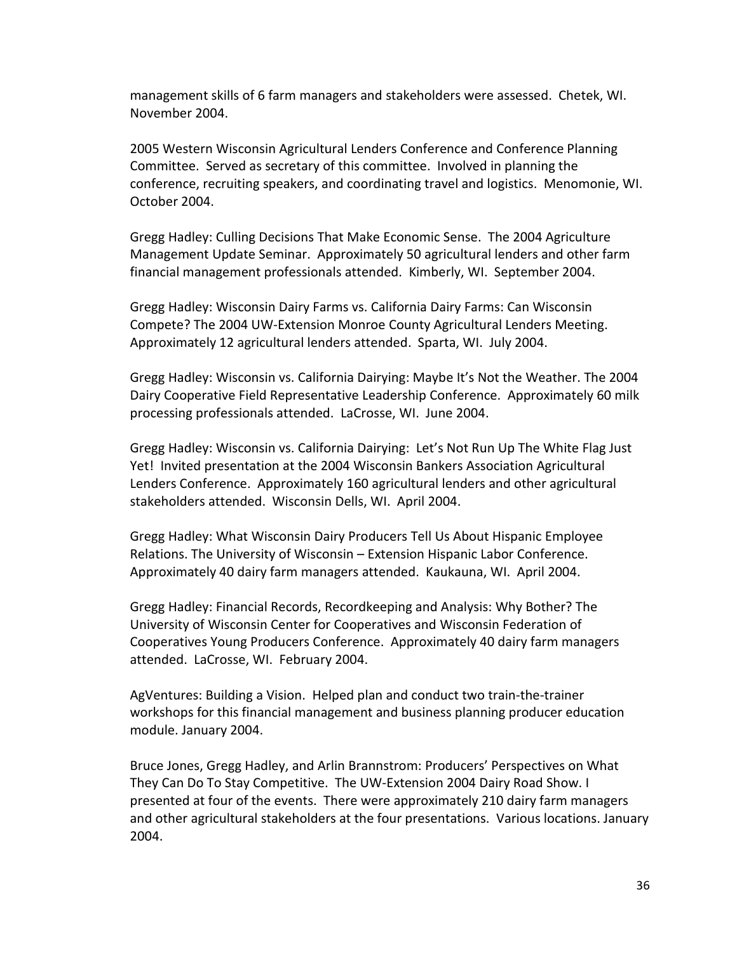management skills of 6 farm managers and stakeholders were assessed. Chetek, WI. November 2004.

2005 Western Wisconsin Agricultural Lenders Conference and Conference Planning Committee. Served as secretary of this committee. Involved in planning the conference, recruiting speakers, and coordinating travel and logistics. Menomonie, WI. October 2004.

Gregg Hadley: Culling Decisions That Make Economic Sense. The 2004 Agriculture Management Update Seminar. Approximately 50 agricultural lenders and other farm financial management professionals attended. Kimberly, WI. September 2004.

Gregg Hadley: Wisconsin Dairy Farms vs. California Dairy Farms: Can Wisconsin Compete? The 2004 UW-Extension Monroe County Agricultural Lenders Meeting. Approximately 12 agricultural lenders attended. Sparta, WI. July 2004.

Gregg Hadley: Wisconsin vs. California Dairying: Maybe It's Not the Weather. The 2004 Dairy Cooperative Field Representative Leadership Conference. Approximately 60 milk processing professionals attended. LaCrosse, WI. June 2004.

Gregg Hadley: Wisconsin vs. California Dairying: Let's Not Run Up The White Flag Just Yet! Invited presentation at the 2004 Wisconsin Bankers Association Agricultural Lenders Conference. Approximately 160 agricultural lenders and other agricultural stakeholders attended. Wisconsin Dells, WI. April 2004.

Gregg Hadley: What Wisconsin Dairy Producers Tell Us About Hispanic Employee Relations. The University of Wisconsin – Extension Hispanic Labor Conference. Approximately 40 dairy farm managers attended. Kaukauna, WI. April 2004.

Gregg Hadley: Financial Records, Recordkeeping and Analysis: Why Bother? The University of Wisconsin Center for Cooperatives and Wisconsin Federation of Cooperatives Young Producers Conference. Approximately 40 dairy farm managers attended. LaCrosse, WI. February 2004.

AgVentures: Building a Vision. Helped plan and conduct two train-the-trainer workshops for this financial management and business planning producer education module. January 2004.

Bruce Jones, Gregg Hadley, and Arlin Brannstrom: Producers' Perspectives on What They Can Do To Stay Competitive. The UW-Extension 2004 Dairy Road Show. I presented at four of the events. There were approximately 210 dairy farm managers and other agricultural stakeholders at the four presentations. Various locations. January 2004.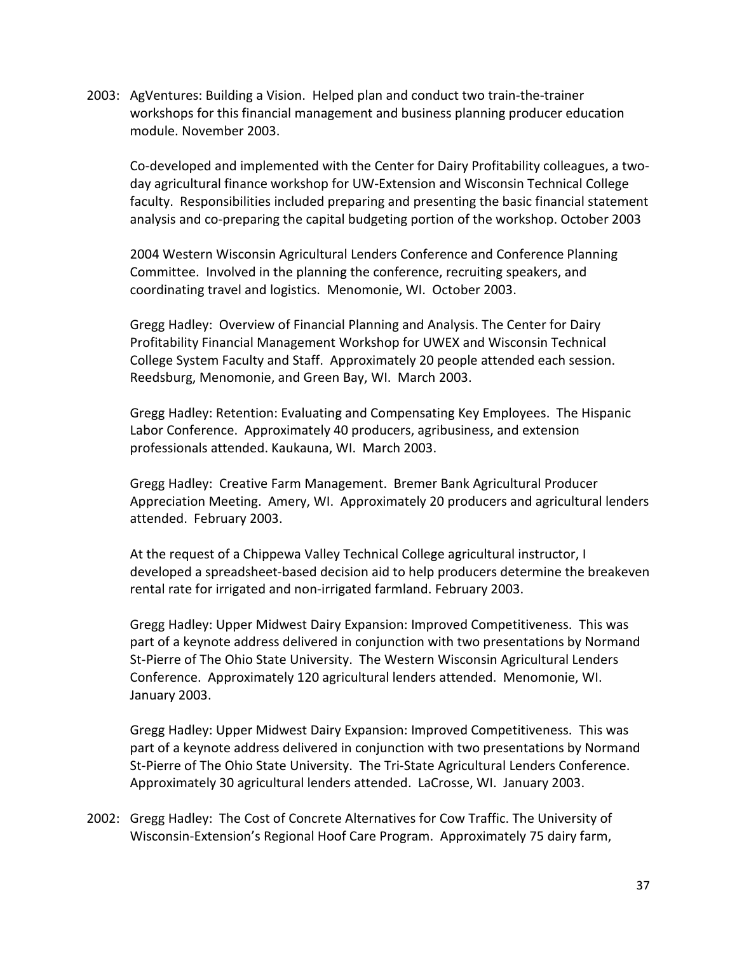2003: AgVentures: Building a Vision. Helped plan and conduct two train-the-trainer workshops for this financial management and business planning producer education module. November 2003.

Co-developed and implemented with the Center for Dairy Profitability colleagues, a twoday agricultural finance workshop for UW-Extension and Wisconsin Technical College faculty. Responsibilities included preparing and presenting the basic financial statement analysis and co-preparing the capital budgeting portion of the workshop. October 2003

2004 Western Wisconsin Agricultural Lenders Conference and Conference Planning Committee. Involved in the planning the conference, recruiting speakers, and coordinating travel and logistics. Menomonie, WI. October 2003.

Gregg Hadley: Overview of Financial Planning and Analysis. The Center for Dairy Profitability Financial Management Workshop for UWEX and Wisconsin Technical College System Faculty and Staff. Approximately 20 people attended each session. Reedsburg, Menomonie, and Green Bay, WI. March 2003.

Gregg Hadley: Retention: Evaluating and Compensating Key Employees. The Hispanic Labor Conference. Approximately 40 producers, agribusiness, and extension professionals attended. Kaukauna, WI. March 2003.

Gregg Hadley: Creative Farm Management. Bremer Bank Agricultural Producer Appreciation Meeting. Amery, WI. Approximately 20 producers and agricultural lenders attended. February 2003.

At the request of a Chippewa Valley Technical College agricultural instructor, I developed a spreadsheet-based decision aid to help producers determine the breakeven rental rate for irrigated and non-irrigated farmland. February 2003.

Gregg Hadley: Upper Midwest Dairy Expansion: Improved Competitiveness. This was part of a keynote address delivered in conjunction with two presentations by Normand St-Pierre of The Ohio State University. The Western Wisconsin Agricultural Lenders Conference. Approximately 120 agricultural lenders attended. Menomonie, WI. January 2003.

Gregg Hadley: Upper Midwest Dairy Expansion: Improved Competitiveness. This was part of a keynote address delivered in conjunction with two presentations by Normand St-Pierre of The Ohio State University. The Tri-State Agricultural Lenders Conference. Approximately 30 agricultural lenders attended. LaCrosse, WI. January 2003.

2002: Gregg Hadley: The Cost of Concrete Alternatives for Cow Traffic. The University of Wisconsin-Extension's Regional Hoof Care Program. Approximately 75 dairy farm,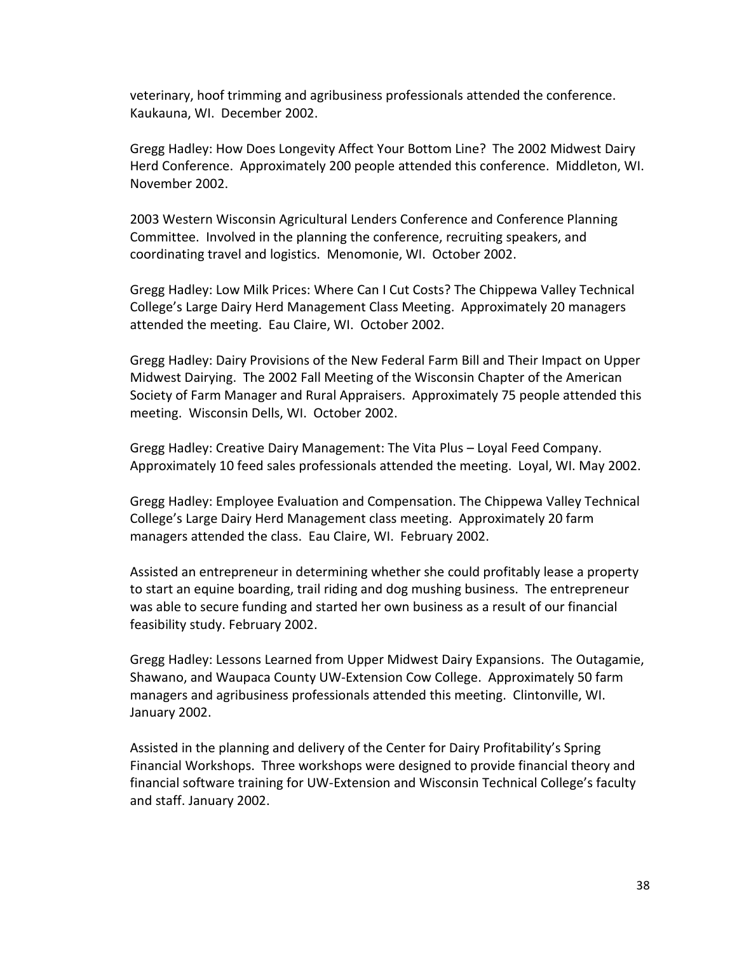veterinary, hoof trimming and agribusiness professionals attended the conference. Kaukauna, WI. December 2002.

Gregg Hadley: How Does Longevity Affect Your Bottom Line? The 2002 Midwest Dairy Herd Conference. Approximately 200 people attended this conference. Middleton, WI. November 2002.

2003 Western Wisconsin Agricultural Lenders Conference and Conference Planning Committee. Involved in the planning the conference, recruiting speakers, and coordinating travel and logistics. Menomonie, WI. October 2002.

Gregg Hadley: Low Milk Prices: Where Can I Cut Costs? The Chippewa Valley Technical College's Large Dairy Herd Management Class Meeting. Approximately 20 managers attended the meeting. Eau Claire, WI. October 2002.

Gregg Hadley: Dairy Provisions of the New Federal Farm Bill and Their Impact on Upper Midwest Dairying. The 2002 Fall Meeting of the Wisconsin Chapter of the American Society of Farm Manager and Rural Appraisers. Approximately 75 people attended this meeting. Wisconsin Dells, WI. October 2002.

Gregg Hadley: Creative Dairy Management: The Vita Plus – Loyal Feed Company. Approximately 10 feed sales professionals attended the meeting. Loyal, WI. May 2002.

Gregg Hadley: Employee Evaluation and Compensation. The Chippewa Valley Technical College's Large Dairy Herd Management class meeting. Approximately 20 farm managers attended the class. Eau Claire, WI. February 2002.

Assisted an entrepreneur in determining whether she could profitably lease a property to start an equine boarding, trail riding and dog mushing business. The entrepreneur was able to secure funding and started her own business as a result of our financial feasibility study. February 2002.

Gregg Hadley: Lessons Learned from Upper Midwest Dairy Expansions. The Outagamie, Shawano, and Waupaca County UW-Extension Cow College. Approximately 50 farm managers and agribusiness professionals attended this meeting. Clintonville, WI. January 2002.

Assisted in the planning and delivery of the Center for Dairy Profitability's Spring Financial Workshops. Three workshops were designed to provide financial theory and financial software training for UW-Extension and Wisconsin Technical College's faculty and staff. January 2002.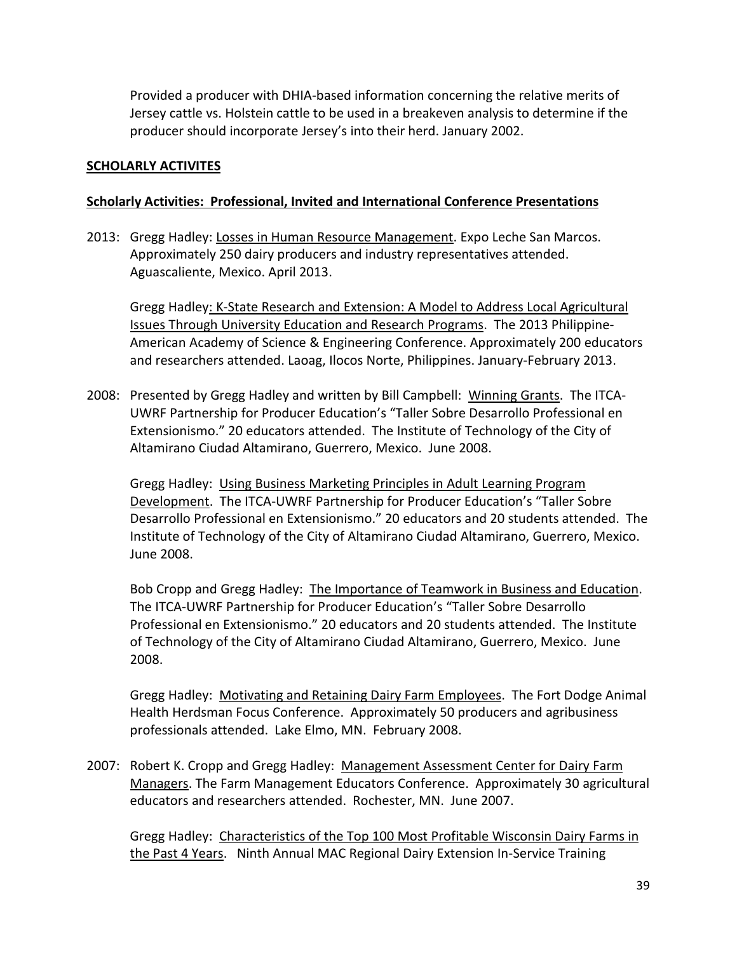Provided a producer with DHIA-based information concerning the relative merits of Jersey cattle vs. Holstein cattle to be used in a breakeven analysis to determine if the producer should incorporate Jersey's into their herd. January 2002.

### **SCHOLARLY ACTIVITES**

### **Scholarly Activities: Professional, Invited and International Conference Presentations**

2013: Gregg Hadley: Losses in Human Resource Management. Expo Leche San Marcos. Approximately 250 dairy producers and industry representatives attended. Aguascaliente, Mexico. April 2013.

Gregg Hadley: K-State Research and Extension: A Model to Address Local Agricultural Issues Through University Education and Research Programs. The 2013 Philippine-American Academy of Science & Engineering Conference. Approximately 200 educators and researchers attended. Laoag, Ilocos Norte, Philippines. January-February 2013.

2008: Presented by Gregg Hadley and written by Bill Campbell: Winning Grants. The ITCA-UWRF Partnership for Producer Education's "Taller Sobre Desarrollo Professional en Extensionismo." 20 educators attended. The Institute of Technology of the City of Altamirano Ciudad Altamirano, Guerrero, Mexico. June 2008.

Gregg Hadley: Using Business Marketing Principles in Adult Learning Program Development. The ITCA-UWRF Partnership for Producer Education's "Taller Sobre Desarrollo Professional en Extensionismo." 20 educators and 20 students attended. The Institute of Technology of the City of Altamirano Ciudad Altamirano, Guerrero, Mexico. June 2008.

Bob Cropp and Gregg Hadley: The Importance of Teamwork in Business and Education. The ITCA-UWRF Partnership for Producer Education's "Taller Sobre Desarrollo Professional en Extensionismo." 20 educators and 20 students attended. The Institute of Technology of the City of Altamirano Ciudad Altamirano, Guerrero, Mexico. June 2008.

Gregg Hadley: Motivating and Retaining Dairy Farm Employees. The Fort Dodge Animal Health Herdsman Focus Conference. Approximately 50 producers and agribusiness professionals attended. Lake Elmo, MN. February 2008.

2007: Robert K. Cropp and Gregg Hadley: Management Assessment Center for Dairy Farm Managers. The Farm Management Educators Conference. Approximately 30 agricultural educators and researchers attended. Rochester, MN. June 2007.

Gregg Hadley: Characteristics of the Top 100 Most Profitable Wisconsin Dairy Farms in the Past 4 Years. Ninth Annual MAC Regional Dairy Extension In-Service Training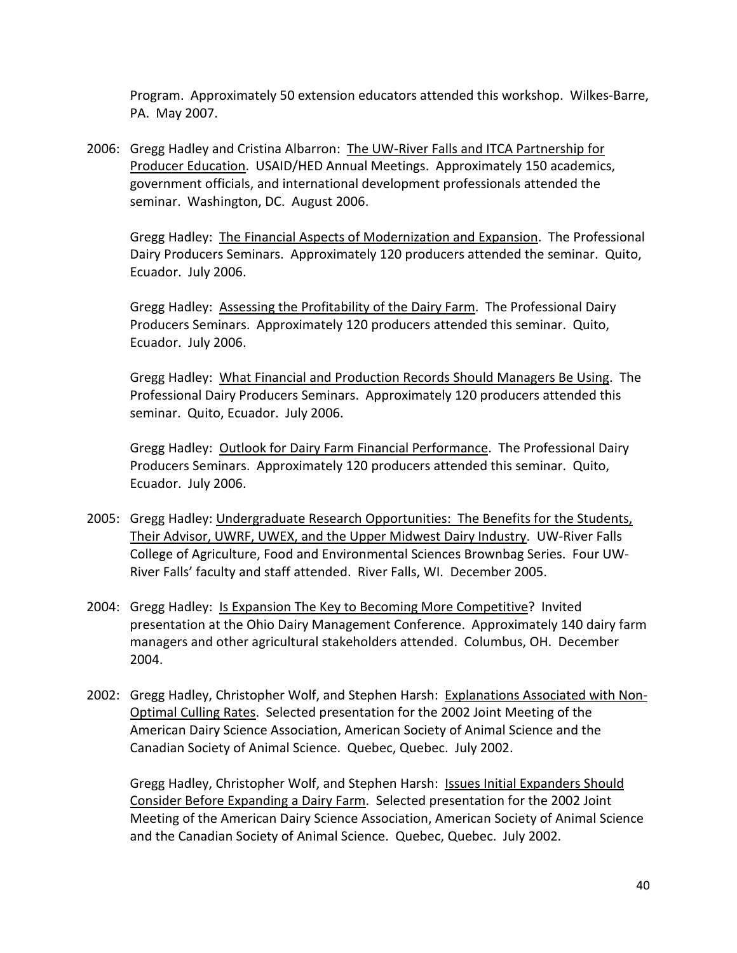Program. Approximately 50 extension educators attended this workshop. Wilkes-Barre, PA. May 2007.

2006: Gregg Hadley and Cristina Albarron: The UW-River Falls and ITCA Partnership for Producer Education. USAID/HED Annual Meetings. Approximately 150 academics, government officials, and international development professionals attended the seminar. Washington, DC. August 2006.

Gregg Hadley: The Financial Aspects of Modernization and Expansion. The Professional Dairy Producers Seminars. Approximately 120 producers attended the seminar. Quito, Ecuador. July 2006.

Gregg Hadley: Assessing the Profitability of the Dairy Farm. The Professional Dairy Producers Seminars. Approximately 120 producers attended this seminar. Quito, Ecuador. July 2006.

Gregg Hadley: What Financial and Production Records Should Managers Be Using. The Professional Dairy Producers Seminars. Approximately 120 producers attended this seminar. Quito, Ecuador. July 2006.

Gregg Hadley: Outlook for Dairy Farm Financial Performance. The Professional Dairy Producers Seminars. Approximately 120 producers attended this seminar. Quito, Ecuador. July 2006.

- 2005: Gregg Hadley: Undergraduate Research Opportunities: The Benefits for the Students, Their Advisor, UWRF, UWEX, and the Upper Midwest Dairy Industry. UW-River Falls College of Agriculture, Food and Environmental Sciences Brownbag Series. Four UW-River Falls' faculty and staff attended. River Falls, WI. December 2005.
- 2004: Gregg Hadley: Is Expansion The Key to Becoming More Competitive? Invited presentation at the Ohio Dairy Management Conference. Approximately 140 dairy farm managers and other agricultural stakeholders attended. Columbus, OH. December 2004.
- 2002: Gregg Hadley, Christopher Wolf, and Stephen Harsh: Explanations Associated with Non-Optimal Culling Rates. Selected presentation for the 2002 Joint Meeting of the American Dairy Science Association, American Society of Animal Science and the Canadian Society of Animal Science. Quebec, Quebec. July 2002.

Gregg Hadley, Christopher Wolf, and Stephen Harsh: Issues Initial Expanders Should Consider Before Expanding a Dairy Farm. Selected presentation for the 2002 Joint Meeting of the American Dairy Science Association, American Society of Animal Science and the Canadian Society of Animal Science. Quebec, Quebec. July 2002.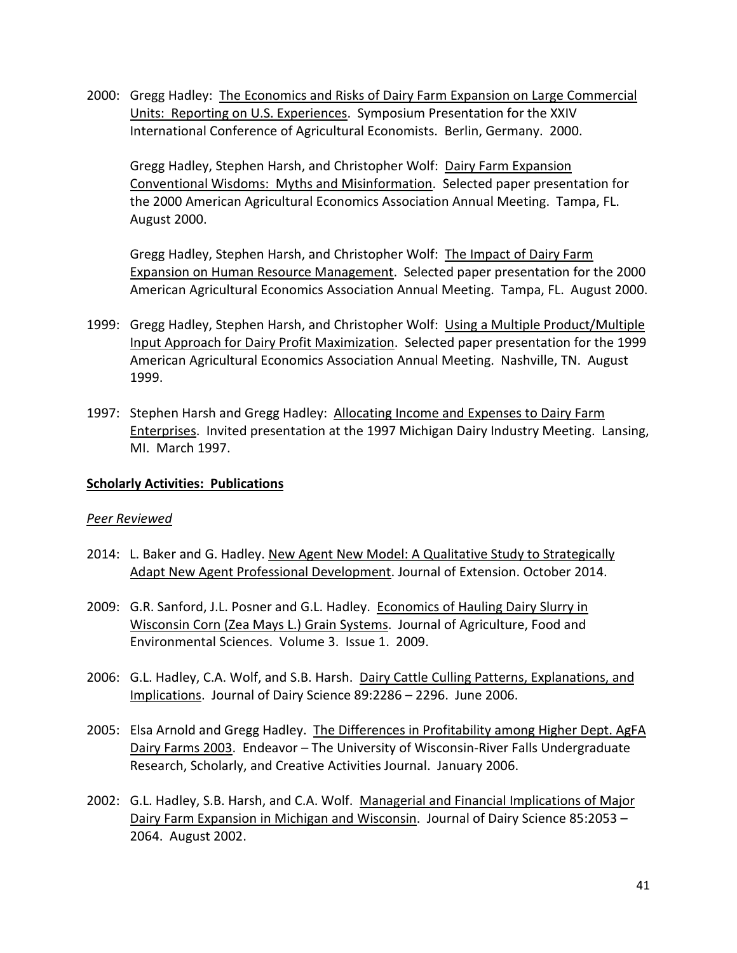2000: Gregg Hadley: The Economics and Risks of Dairy Farm Expansion on Large Commercial Units: Reporting on U.S. Experiences. Symposium Presentation for the XXIV International Conference of Agricultural Economists. Berlin, Germany. 2000.

Gregg Hadley, Stephen Harsh, and Christopher Wolf: Dairy Farm Expansion Conventional Wisdoms: Myths and Misinformation. Selected paper presentation for the 2000 American Agricultural Economics Association Annual Meeting. Tampa, FL. August 2000.

Gregg Hadley, Stephen Harsh, and Christopher Wolf: The Impact of Dairy Farm Expansion on Human Resource Management. Selected paper presentation for the 2000 American Agricultural Economics Association Annual Meeting. Tampa, FL. August 2000.

- 1999: Gregg Hadley, Stephen Harsh, and Christopher Wolf: Using a Multiple Product/Multiple Input Approach for Dairy Profit Maximization. Selected paper presentation for the 1999 American Agricultural Economics Association Annual Meeting. Nashville, TN. August 1999.
- 1997: Stephen Harsh and Gregg Hadley: Allocating Income and Expenses to Dairy Farm Enterprises. Invited presentation at the 1997 Michigan Dairy Industry Meeting. Lansing, MI. March 1997.

### **Scholarly Activities: Publications**

### *Peer Reviewed*

- 2014: L. Baker and G. Hadley. New Agent New Model: A Qualitative Study to Strategically Adapt New Agent Professional Development. Journal of Extension. October 2014.
- 2009: G.R. Sanford, J.L. Posner and G.L. Hadley. Economics of Hauling Dairy Slurry in Wisconsin Corn (Zea Mays L.) Grain Systems. Journal of Agriculture, Food and Environmental Sciences. Volume 3. Issue 1. 2009.
- 2006: G.L. Hadley, C.A. Wolf, and S.B. Harsh. Dairy Cattle Culling Patterns, Explanations, and Implications. Journal of Dairy Science 89:2286 – 2296. June 2006.
- 2005: Elsa Arnold and Gregg Hadley. The Differences in Profitability among Higher Dept. AgFA Dairy Farms 2003. Endeavor - The University of Wisconsin-River Falls Undergraduate Research, Scholarly, and Creative Activities Journal. January 2006.
- 2002: G.L. Hadley, S.B. Harsh, and C.A. Wolf. Managerial and Financial Implications of Major Dairy Farm Expansion in Michigan and Wisconsin. Journal of Dairy Science 85:2053 – 2064. August 2002.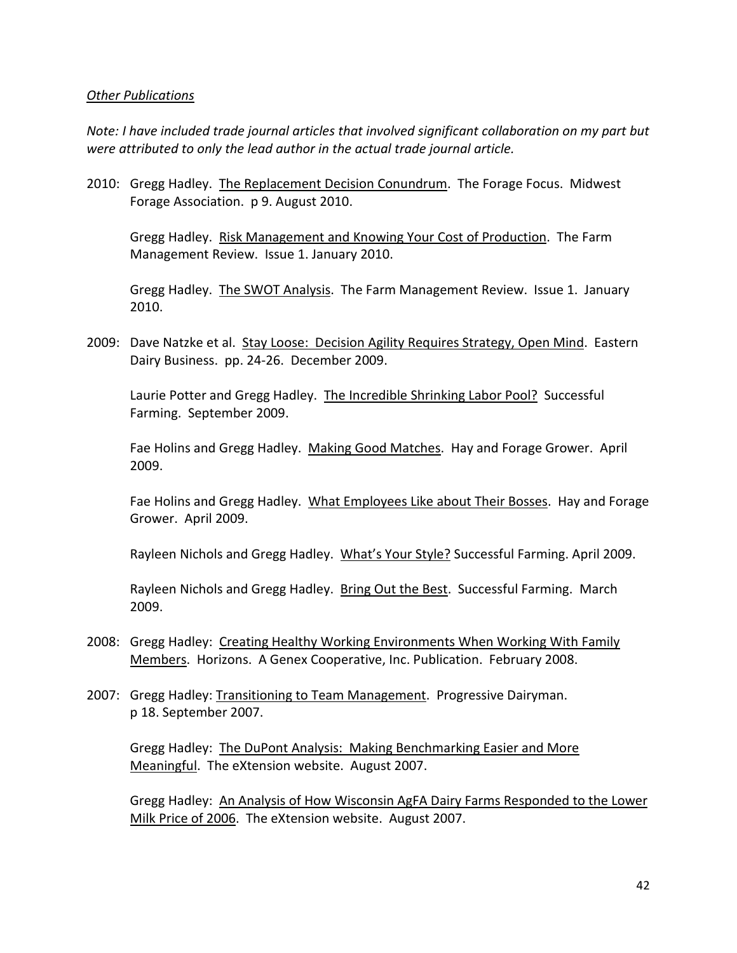### *Other Publications*

*Note: I have included trade journal articles that involved significant collaboration on my part but were attributed to only the lead author in the actual trade journal article.*

2010: Gregg Hadley. The Replacement Decision Conundrum. The Forage Focus. Midwest Forage Association. p 9. August 2010.

Gregg Hadley. Risk Management and Knowing Your Cost of Production. The Farm Management Review. Issue 1. January 2010.

Gregg Hadley. The SWOT Analysis. The Farm Management Review. Issue 1. January 2010.

2009: Dave Natzke et al. Stay Loose: Decision Agility Requires Strategy, Open Mind. Eastern Dairy Business. pp. 24-26. December 2009.

Laurie Potter and Gregg Hadley. The Incredible Shrinking Labor Pool? Successful Farming. September 2009.

Fae Holins and Gregg Hadley. Making Good Matches. Hay and Forage Grower. April 2009.

Fae Holins and Gregg Hadley. What Employees Like about Their Bosses. Hay and Forage Grower. April 2009.

Rayleen Nichols and Gregg Hadley. What's Your Style? Successful Farming. April 2009.

Rayleen Nichols and Gregg Hadley. Bring Out the Best. Successful Farming. March 2009.

- 2008: Gregg Hadley: Creating Healthy Working Environments When Working With Family Members. Horizons. A Genex Cooperative, Inc. Publication. February 2008.
- 2007: Gregg Hadley: Transitioning to Team Management. Progressive Dairyman. p 18. September 2007.

Gregg Hadley: The DuPont Analysis: Making Benchmarking Easier and More Meaningful. The eXtension website. August 2007.

Gregg Hadley: An Analysis of How Wisconsin AgFA Dairy Farms Responded to the Lower Milk Price of 2006. The eXtension website. August 2007.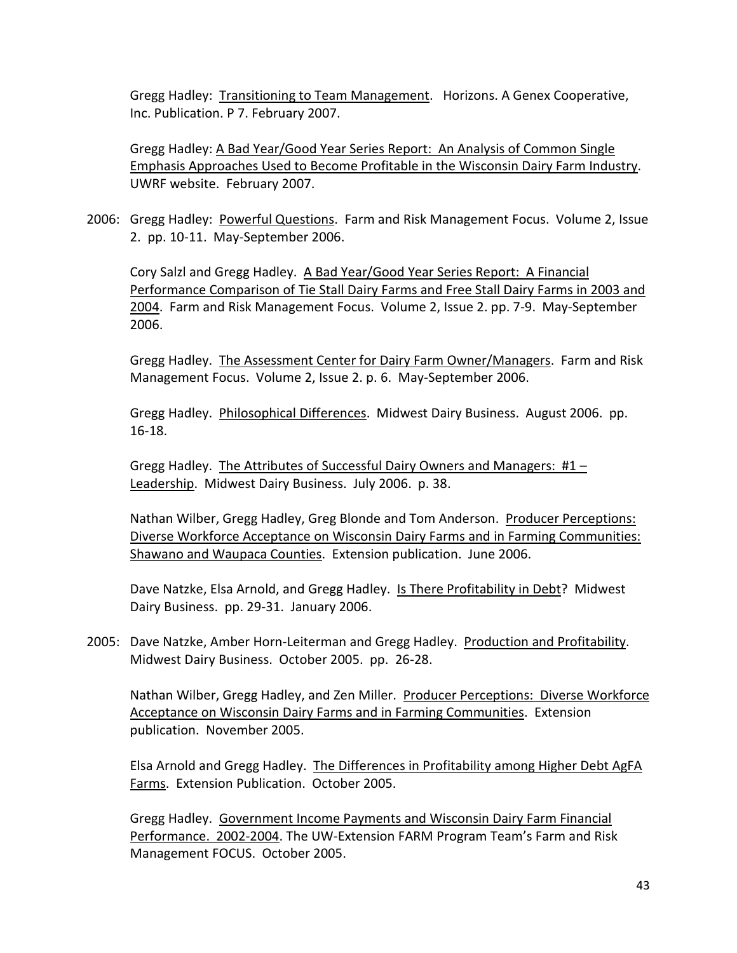Gregg Hadley: Transitioning to Team Management. Horizons. A Genex Cooperative, Inc. Publication. P 7. February 2007.

Gregg Hadley: A Bad Year/Good Year Series Report: An Analysis of Common Single Emphasis Approaches Used to Become Profitable in the Wisconsin Dairy Farm Industry. UWRF website. February 2007.

2006: Gregg Hadley: Powerful Questions. Farm and Risk Management Focus. Volume 2, Issue 2. pp. 10-11. May-September 2006.

Cory Salzl and Gregg Hadley. A Bad Year/Good Year Series Report: A Financial Performance Comparison of Tie Stall Dairy Farms and Free Stall Dairy Farms in 2003 and 2004. Farm and Risk Management Focus. Volume 2, Issue 2. pp. 7-9. May-September 2006.

Gregg Hadley. The Assessment Center for Dairy Farm Owner/Managers. Farm and Risk Management Focus. Volume 2, Issue 2. p. 6. May-September 2006.

Gregg Hadley. Philosophical Differences. Midwest Dairy Business. August 2006. pp. 16-18.

Gregg Hadley. The Attributes of Successful Dairy Owners and Managers:  $#1 -$ Leadership. Midwest Dairy Business. July 2006. p. 38.

Nathan Wilber, Gregg Hadley, Greg Blonde and Tom Anderson. Producer Perceptions: Diverse Workforce Acceptance on Wisconsin Dairy Farms and in Farming Communities: Shawano and Waupaca Counties. Extension publication. June 2006.

Dave Natzke, Elsa Arnold, and Gregg Hadley. Is There Profitability in Debt? Midwest Dairy Business. pp. 29-31. January 2006.

2005: Dave Natzke, Amber Horn-Leiterman and Gregg Hadley. Production and Profitability. Midwest Dairy Business. October 2005. pp. 26-28.

Nathan Wilber, Gregg Hadley, and Zen Miller. Producer Perceptions: Diverse Workforce Acceptance on Wisconsin Dairy Farms and in Farming Communities. Extension publication. November 2005.

Elsa Arnold and Gregg Hadley. The Differences in Profitability among Higher Debt AgFA Farms. Extension Publication. October 2005.

Gregg Hadley. Government Income Payments and Wisconsin Dairy Farm Financial Performance. 2002-2004. The UW-Extension FARM Program Team's Farm and Risk Management FOCUS. October 2005.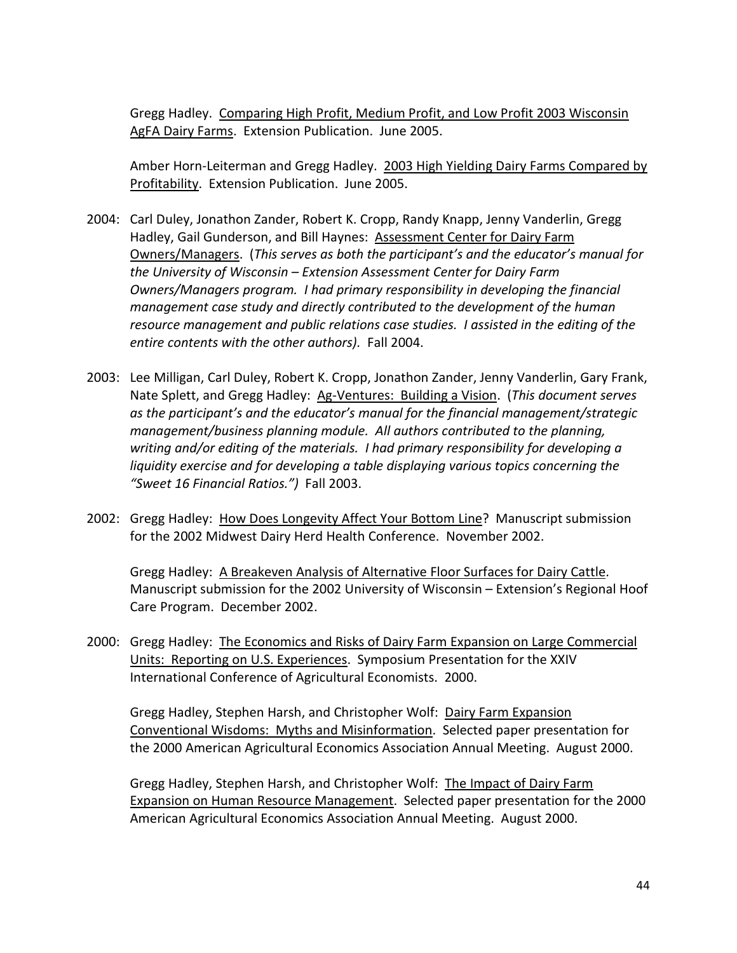Gregg Hadley. Comparing High Profit, Medium Profit, and Low Profit 2003 Wisconsin AgFA Dairy Farms. Extension Publication. June 2005.

Amber Horn-Leiterman and Gregg Hadley. 2003 High Yielding Dairy Farms Compared by Profitability. Extension Publication. June 2005.

- 2004: Carl Duley, Jonathon Zander, Robert K. Cropp, Randy Knapp, Jenny Vanderlin, Gregg Hadley, Gail Gunderson, and Bill Haynes: Assessment Center for Dairy Farm Owners/Managers. (*This serves as both the participant's and the educator's manual for the University of Wisconsin – Extension Assessment Center for Dairy Farm Owners/Managers program. I had primary responsibility in developing the financial management case study and directly contributed to the development of the human resource management and public relations case studies. I assisted in the editing of the entire contents with the other authors).* Fall 2004.
- 2003: Lee Milligan, Carl Duley, Robert K. Cropp, Jonathon Zander, Jenny Vanderlin, Gary Frank, Nate Splett, and Gregg Hadley: Ag-Ventures: Building a Vision. (*This document serves as the participant's and the educator's manual for the financial management/strategic management/business planning module. All authors contributed to the planning, writing and/or editing of the materials. I had primary responsibility for developing a liquidity exercise and for developing a table displaying various topics concerning the "Sweet 16 Financial Ratios.")* Fall 2003.
- 2002: Gregg Hadley: How Does Longevity Affect Your Bottom Line? Manuscript submission for the 2002 Midwest Dairy Herd Health Conference. November 2002.

Gregg Hadley: A Breakeven Analysis of Alternative Floor Surfaces for Dairy Cattle. Manuscript submission for the 2002 University of Wisconsin – Extension's Regional Hoof Care Program. December 2002.

2000: Gregg Hadley: The Economics and Risks of Dairy Farm Expansion on Large Commercial Units: Reporting on U.S. Experiences. Symposium Presentation for the XXIV International Conference of Agricultural Economists. 2000.

Gregg Hadley, Stephen Harsh, and Christopher Wolf: Dairy Farm Expansion Conventional Wisdoms: Myths and Misinformation. Selected paper presentation for the 2000 American Agricultural Economics Association Annual Meeting. August 2000.

Gregg Hadley, Stephen Harsh, and Christopher Wolf: The Impact of Dairy Farm Expansion on Human Resource Management. Selected paper presentation for the 2000 American Agricultural Economics Association Annual Meeting. August 2000.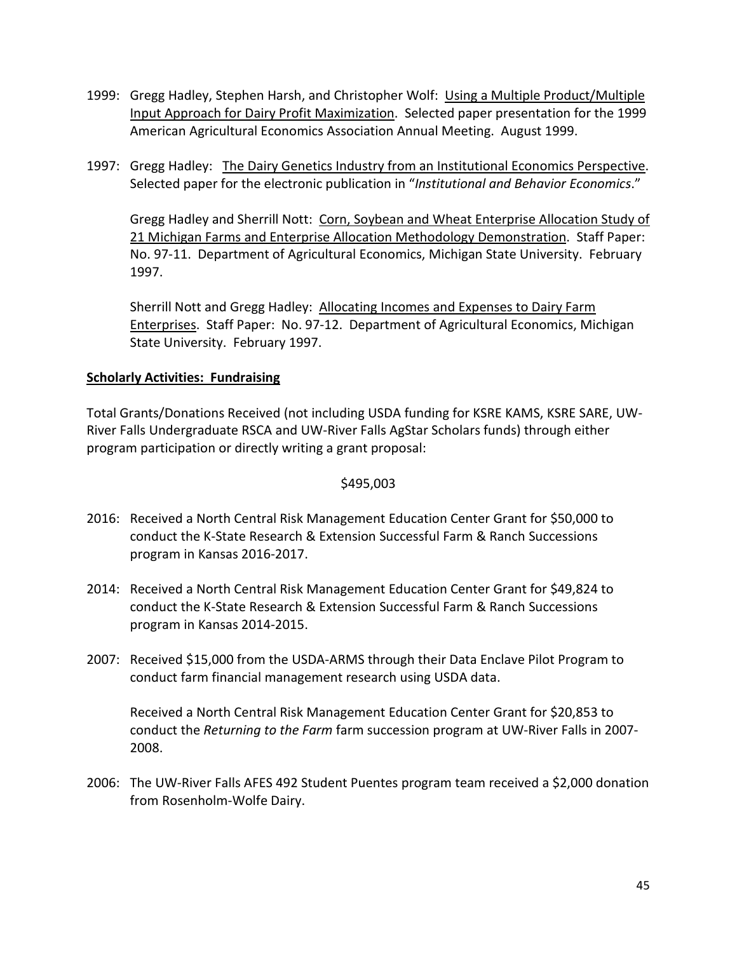- 1999: Gregg Hadley, Stephen Harsh, and Christopher Wolf: Using a Multiple Product/Multiple Input Approach for Dairy Profit Maximization. Selected paper presentation for the 1999 American Agricultural Economics Association Annual Meeting. August 1999.
- 1997: Gregg Hadley: The Dairy Genetics Industry from an Institutional Economics Perspective. Selected paper for the electronic publication in "*Institutional and Behavior Economics*."

Gregg Hadley and Sherrill Nott: Corn, Soybean and Wheat Enterprise Allocation Study of 21 Michigan Farms and Enterprise Allocation Methodology Demonstration. Staff Paper: No. 97-11. Department of Agricultural Economics, Michigan State University. February 1997.

Sherrill Nott and Gregg Hadley: Allocating Incomes and Expenses to Dairy Farm Enterprises. Staff Paper: No. 97-12. Department of Agricultural Economics, Michigan State University. February 1997.

## **Scholarly Activities: Fundraising**

Total Grants/Donations Received (not including USDA funding for KSRE KAMS, KSRE SARE, UW-River Falls Undergraduate RSCA and UW-River Falls AgStar Scholars funds) through either program participation or directly writing a grant proposal:

### \$495,003

- 2016: Received a North Central Risk Management Education Center Grant for \$50,000 to conduct the K-State Research & Extension Successful Farm & Ranch Successions program in Kansas 2016-2017.
- 2014: Received a North Central Risk Management Education Center Grant for \$49,824 to conduct the K-State Research & Extension Successful Farm & Ranch Successions program in Kansas 2014-2015.
- 2007: Received \$15,000 from the USDA-ARMS through their Data Enclave Pilot Program to conduct farm financial management research using USDA data.

Received a North Central Risk Management Education Center Grant for \$20,853 to conduct the *Returning to the Farm* farm succession program at UW-River Falls in 2007- 2008.

2006: The UW-River Falls AFES 492 Student Puentes program team received a \$2,000 donation from Rosenholm-Wolfe Dairy.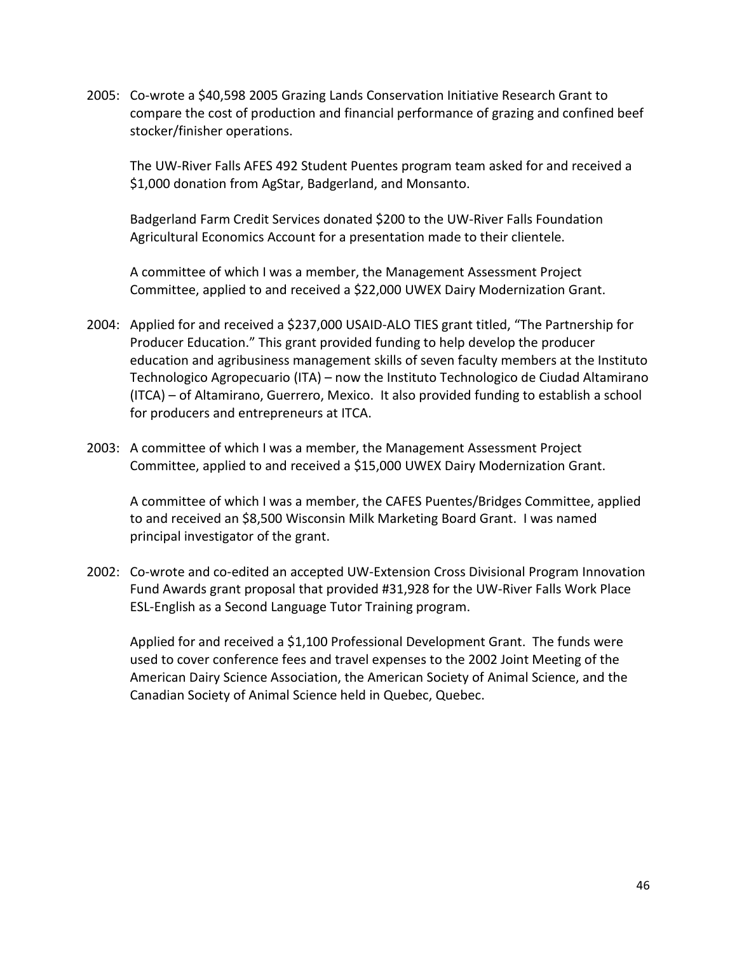2005: Co-wrote a \$40,598 2005 Grazing Lands Conservation Initiative Research Grant to compare the cost of production and financial performance of grazing and confined beef stocker/finisher operations.

The UW-River Falls AFES 492 Student Puentes program team asked for and received a \$1,000 donation from AgStar, Badgerland, and Monsanto.

Badgerland Farm Credit Services donated \$200 to the UW-River Falls Foundation Agricultural Economics Account for a presentation made to their clientele.

A committee of which I was a member, the Management Assessment Project Committee, applied to and received a \$22,000 UWEX Dairy Modernization Grant.

- 2004: Applied for and received a \$237,000 USAID-ALO TIES grant titled, "The Partnership for Producer Education." This grant provided funding to help develop the producer education and agribusiness management skills of seven faculty members at the Instituto Technologico Agropecuario (ITA) – now the Instituto Technologico de Ciudad Altamirano (ITCA) – of Altamirano, Guerrero, Mexico. It also provided funding to establish a school for producers and entrepreneurs at ITCA.
- 2003: A committee of which I was a member, the Management Assessment Project Committee, applied to and received a \$15,000 UWEX Dairy Modernization Grant.

A committee of which I was a member, the CAFES Puentes/Bridges Committee, applied to and received an \$8,500 Wisconsin Milk Marketing Board Grant. I was named principal investigator of the grant.

2002: Co-wrote and co-edited an accepted UW-Extension Cross Divisional Program Innovation Fund Awards grant proposal that provided #31,928 for the UW-River Falls Work Place ESL-English as a Second Language Tutor Training program.

Applied for and received a \$1,100 Professional Development Grant. The funds were used to cover conference fees and travel expenses to the 2002 Joint Meeting of the American Dairy Science Association, the American Society of Animal Science, and the Canadian Society of Animal Science held in Quebec, Quebec.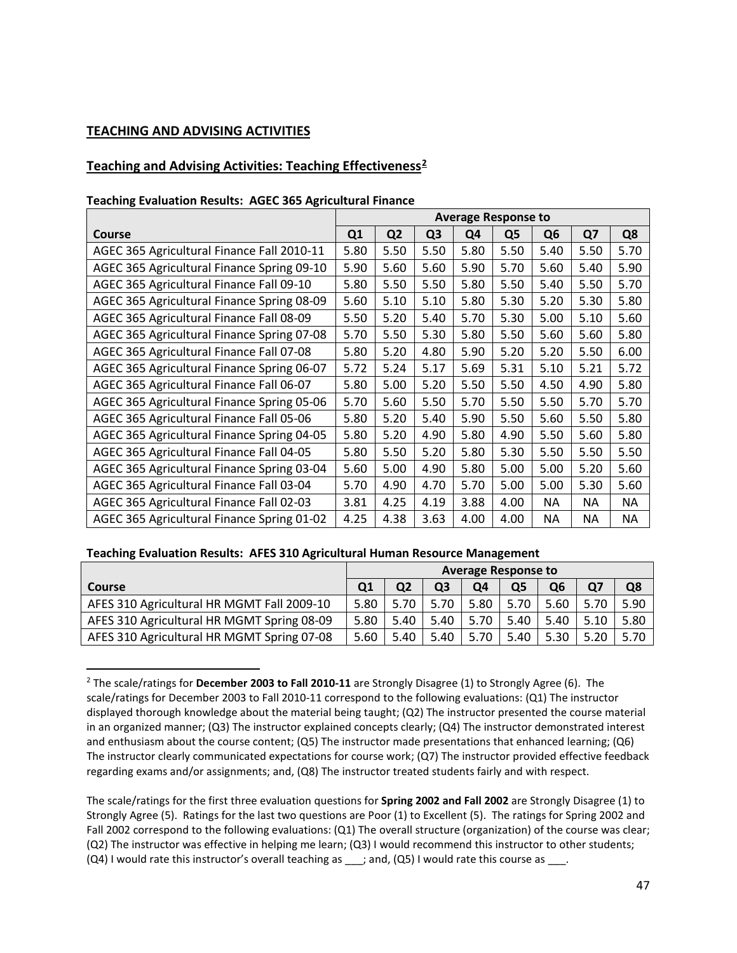#### **TEACHING AND ADVISING ACTIVITIES**

### **Teaching and Advising Activities: Teaching Effectiveness[2](#page-46-0)**

#### **Teaching Evaluation Results: AGEC 365 Agricultural Finance**

|                                            | <b>Average Response to</b> |                |                |      |      |                |           |           |
|--------------------------------------------|----------------------------|----------------|----------------|------|------|----------------|-----------|-----------|
| <b>Course</b>                              | Q1                         | Q <sub>2</sub> | Q <sub>3</sub> | Q4   | Q5   | Q <sub>6</sub> | Q7        | Q8        |
| AGEC 365 Agricultural Finance Fall 2010-11 | 5.80                       | 5.50           | 5.50           | 5.80 | 5.50 | 5.40           | 5.50      | 5.70      |
| AGEC 365 Agricultural Finance Spring 09-10 | 5.90                       | 5.60           | 5.60           | 5.90 | 5.70 | 5.60           | 5.40      | 5.90      |
| AGEC 365 Agricultural Finance Fall 09-10   | 5.80                       | 5.50           | 5.50           | 5.80 | 5.50 | 5.40           | 5.50      | 5.70      |
| AGEC 365 Agricultural Finance Spring 08-09 | 5.60                       | 5.10           | 5.10           | 5.80 | 5.30 | 5.20           | 5.30      | 5.80      |
| AGEC 365 Agricultural Finance Fall 08-09   | 5.50                       | 5.20           | 5.40           | 5.70 | 5.30 | 5.00           | 5.10      | 5.60      |
| AGEC 365 Agricultural Finance Spring 07-08 | 5.70                       | 5.50           | 5.30           | 5.80 | 5.50 | 5.60           | 5.60      | 5.80      |
| AGEC 365 Agricultural Finance Fall 07-08   | 5.80                       | 5.20           | 4.80           | 5.90 | 5.20 | 5.20           | 5.50      | 6.00      |
| AGEC 365 Agricultural Finance Spring 06-07 | 5.72                       | 5.24           | 5.17           | 5.69 | 5.31 | 5.10           | 5.21      | 5.72      |
| AGEC 365 Agricultural Finance Fall 06-07   | 5.80                       | 5.00           | 5.20           | 5.50 | 5.50 | 4.50           | 4.90      | 5.80      |
| AGEC 365 Agricultural Finance Spring 05-06 | 5.70                       | 5.60           | 5.50           | 5.70 | 5.50 | 5.50           | 5.70      | 5.70      |
| AGEC 365 Agricultural Finance Fall 05-06   | 5.80                       | 5.20           | 5.40           | 5.90 | 5.50 | 5.60           | 5.50      | 5.80      |
| AGEC 365 Agricultural Finance Spring 04-05 | 5.80                       | 5.20           | 4.90           | 5.80 | 4.90 | 5.50           | 5.60      | 5.80      |
| AGEC 365 Agricultural Finance Fall 04-05   | 5.80                       | 5.50           | 5.20           | 5.80 | 5.30 | 5.50           | 5.50      | 5.50      |
| AGEC 365 Agricultural Finance Spring 03-04 | 5.60                       | 5.00           | 4.90           | 5.80 | 5.00 | 5.00           | 5.20      | 5.60      |
| AGEC 365 Agricultural Finance Fall 03-04   | 5.70                       | 4.90           | 4.70           | 5.70 | 5.00 | 5.00           | 5.30      | 5.60      |
| AGEC 365 Agricultural Finance Fall 02-03   | 3.81                       | 4.25           | 4.19           | 3.88 | 4.00 | <b>NA</b>      | <b>NA</b> | <b>NA</b> |
| AGEC 365 Agricultural Finance Spring 01-02 | 4.25                       | 4.38           | 3.63           | 4.00 | 4.00 | <b>NA</b>      | <b>NA</b> | <b>NA</b> |

#### **Teaching Evaluation Results: AFES 310 Agricultural Human Resource Management**

|                                            | <b>Average Response to</b> |                |      |      |      |                |      |      |
|--------------------------------------------|----------------------------|----------------|------|------|------|----------------|------|------|
| <b>Course</b>                              |                            | Q <sub>2</sub> | Q3   | Q4   | Q5   | Q <sub>6</sub> | Q7   | Q8   |
| AFES 310 Agricultural HR MGMT Fall 2009-10 | 5.80                       | 5.70           | 5.70 | 5.80 | 5.70 | 5.60           | 5.70 | 5.90 |
| AFES 310 Agricultural HR MGMT Spring 08-09 | 5.80                       | 5.40           | 5.40 | 5.70 | 5.40 | 5.40           | 5.10 | 5.80 |
| AFES 310 Agricultural HR MGMT Spring 07-08 | 5.60                       | 5.40           | 5.40 | 5.70 | 5.40 | 5.30           | 5.20 | 5.70 |

<span id="page-46-0"></span> <sup>2</sup> The scale/ratings for **December 2003 to Fall 2010-11** are Strongly Disagree (1) to Strongly Agree (6). The scale/ratings for December 2003 to Fall 2010-11 correspond to the following evaluations: (Q1) The instructor displayed thorough knowledge about the material being taught; (Q2) The instructor presented the course material in an organized manner; (Q3) The instructor explained concepts clearly; (Q4) The instructor demonstrated interest and enthusiasm about the course content; (Q5) The instructor made presentations that enhanced learning; (Q6) The instructor clearly communicated expectations for course work; (Q7) The instructor provided effective feedback regarding exams and/or assignments; and, (Q8) The instructor treated students fairly and with respect.

The scale/ratings for the first three evaluation questions for **Spring 2002 and Fall 2002** are Strongly Disagree (1) to Strongly Agree (5). Ratings for the last two questions are Poor (1) to Excellent (5). The ratings for Spring 2002 and Fall 2002 correspond to the following evaluations: (Q1) The overall structure (organization) of the course was clear; (Q2) The instructor was effective in helping me learn; (Q3) I would recommend this instructor to other students;  $(Q4)$  I would rate this instructor's overall teaching as  $\_\_$ ; and,  $(Q5)$  I would rate this course as  $\_\_$ .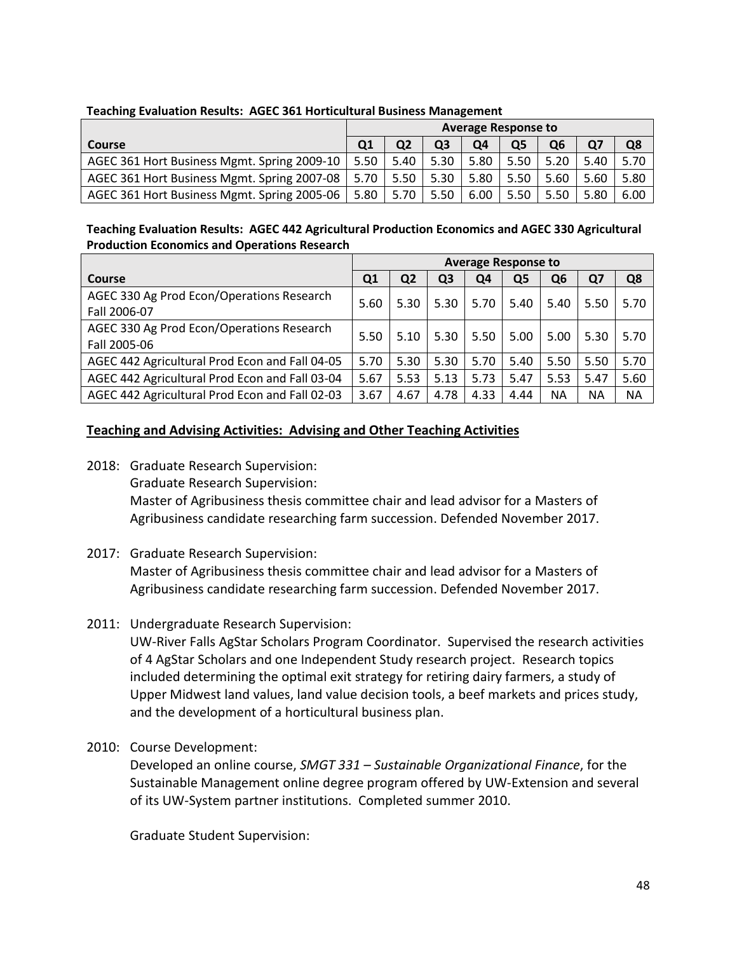|                                             | <b>Average Response to</b> |                |      |      |      |                |      |      |
|---------------------------------------------|----------------------------|----------------|------|------|------|----------------|------|------|
| <b>Course</b>                               |                            | Q <sub>2</sub> | Q3   | Q4   | Q5   | Q <sub>6</sub> |      | Q8   |
| AGEC 361 Hort Business Mgmt. Spring 2009-10 | 5.50                       | 5.40           | 5.30 | 5.80 | 5.50 | 5.20           | 5.40 | 5.70 |
| AGEC 361 Hort Business Mgmt. Spring 2007-08 | 5.70                       | 5.50           | 5.30 | 5.80 | 5.50 | 5.60           | 5.60 | 5.80 |
| AGEC 361 Hort Business Mgmt. Spring 2005-06 | 5.80                       | 5.70           | 5.50 | 6.00 | 5.50 | 5.50           | 5.80 | 6.00 |

#### **Teaching Evaluation Results: AGEC 361 Horticultural Business Management**

#### **Teaching Evaluation Results: AGEC 442 Agricultural Production Economics and AGEC 330 Agricultural Production Economics and Operations Research**

|                                                           | <b>Average Response to</b> |                |      |      |      |           |           |           |
|-----------------------------------------------------------|----------------------------|----------------|------|------|------|-----------|-----------|-----------|
| Course                                                    | Q1                         | Q <sub>2</sub> | Q3   | Q4   | Q5   | Q6        | Q7        | Q8        |
| AGEC 330 Ag Prod Econ/Operations Research<br>Fall 2006-07 | 5.60                       | 5.30           | 5.30 | 5.70 | 5.40 | 5.40      | 5.50      | 5.70      |
| AGEC 330 Ag Prod Econ/Operations Research<br>Fall 2005-06 | 5.50                       | 5.10           | 5.30 | 5.50 | 5.00 | 5.00      | 5.30      | 5.70      |
| AGEC 442 Agricultural Prod Econ and Fall 04-05            | 5.70                       | 5.30           | 5.30 | 5.70 | 5.40 | 5.50      | 5.50      | 5.70      |
| AGEC 442 Agricultural Prod Econ and Fall 03-04            | 5.67                       | 5.53           | 5.13 | 5.73 | 5.47 | 5.53      | 5.47      | 5.60      |
| AGEC 442 Agricultural Prod Econ and Fall 02-03            | 3.67                       | 4.67           | 4.78 | 4.33 | 4.44 | <b>NA</b> | <b>NA</b> | <b>NA</b> |

## **Teaching and Advising Activities: Advising and Other Teaching Activities**

- 2018: Graduate Research Supervision: Graduate Research Supervision: Master of Agribusiness thesis committee chair and lead advisor for a Masters of Agribusiness candidate researching farm succession. Defended November 2017.
- 2017: Graduate Research Supervision:

Master of Agribusiness thesis committee chair and lead advisor for a Masters of Agribusiness candidate researching farm succession. Defended November 2017.

2011: Undergraduate Research Supervision:

UW-River Falls AgStar Scholars Program Coordinator. Supervised the research activities of 4 AgStar Scholars and one Independent Study research project. Research topics included determining the optimal exit strategy for retiring dairy farmers, a study of Upper Midwest land values, land value decision tools, a beef markets and prices study, and the development of a horticultural business plan.

2010: Course Development:

Developed an online course, *SMGT 331 – Sustainable Organizational Finance*, for the Sustainable Management online degree program offered by UW-Extension and several of its UW-System partner institutions. Completed summer 2010.

Graduate Student Supervision: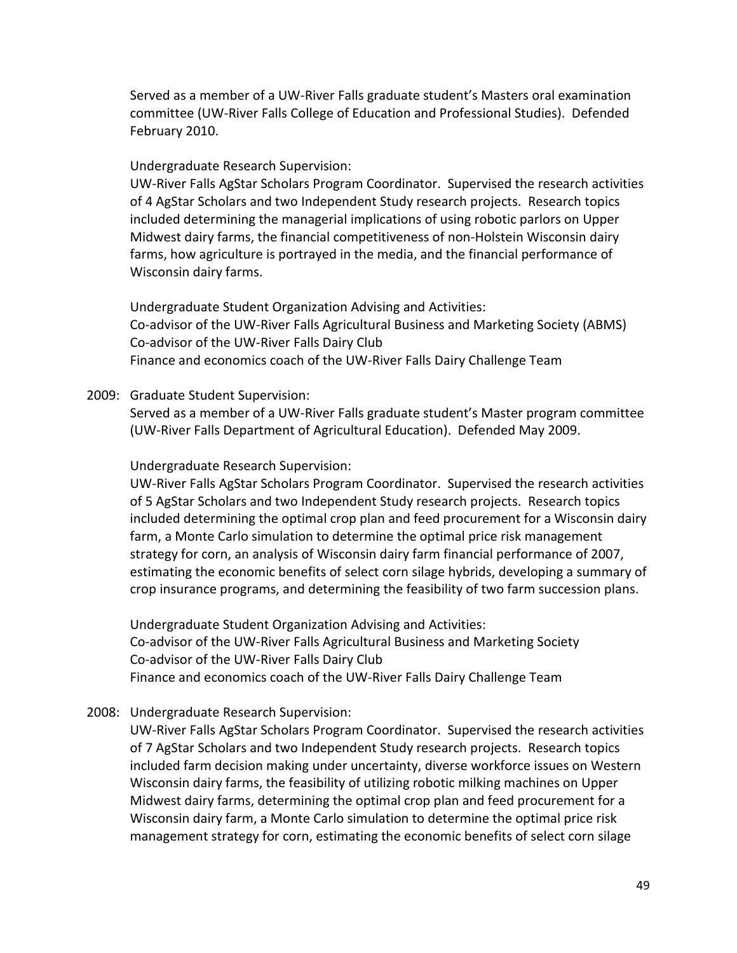Served as a member of a UW-River Falls graduate student's Masters oral examination committee (UW-River Falls College of Education and Professional Studies). Defended February 2010.

### Undergraduate Research Supervision:

UW-River Falls AgStar Scholars Program Coordinator. Supervised the research activities of 4 AgStar Scholars and two Independent Study research projects. Research topics included determining the managerial implications of using robotic parlors on Upper Midwest dairy farms, the financial competitiveness of non-Holstein Wisconsin dairy farms, how agriculture is portrayed in the media, and the financial performance of Wisconsin dairy farms.

Undergraduate Student Organization Advising and Activities: Co-advisor of the UW-River Falls Agricultural Business and Marketing Society (ABMS) Co-advisor of the UW-River Falls Dairy Club Finance and economics coach of the UW-River Falls Dairy Challenge Team

#### 2009: Graduate Student Supervision:

Served as a member of a UW-River Falls graduate student's Master program committee (UW-River Falls Department of Agricultural Education). Defended May 2009.

#### Undergraduate Research Supervision:

UW-River Falls AgStar Scholars Program Coordinator. Supervised the research activities of 5 AgStar Scholars and two Independent Study research projects. Research topics included determining the optimal crop plan and feed procurement for a Wisconsin dairy farm, a Monte Carlo simulation to determine the optimal price risk management strategy for corn, an analysis of Wisconsin dairy farm financial performance of 2007, estimating the economic benefits of select corn silage hybrids, developing a summary of crop insurance programs, and determining the feasibility of two farm succession plans.

Undergraduate Student Organization Advising and Activities: Co-advisor of the UW-River Falls Agricultural Business and Marketing Society Co-advisor of the UW-River Falls Dairy Club Finance and economics coach of the UW-River Falls Dairy Challenge Team

#### 2008: Undergraduate Research Supervision:

UW-River Falls AgStar Scholars Program Coordinator. Supervised the research activities of 7 AgStar Scholars and two Independent Study research projects. Research topics included farm decision making under uncertainty, diverse workforce issues on Western Wisconsin dairy farms, the feasibility of utilizing robotic milking machines on Upper Midwest dairy farms, determining the optimal crop plan and feed procurement for a Wisconsin dairy farm, a Monte Carlo simulation to determine the optimal price risk management strategy for corn, estimating the economic benefits of select corn silage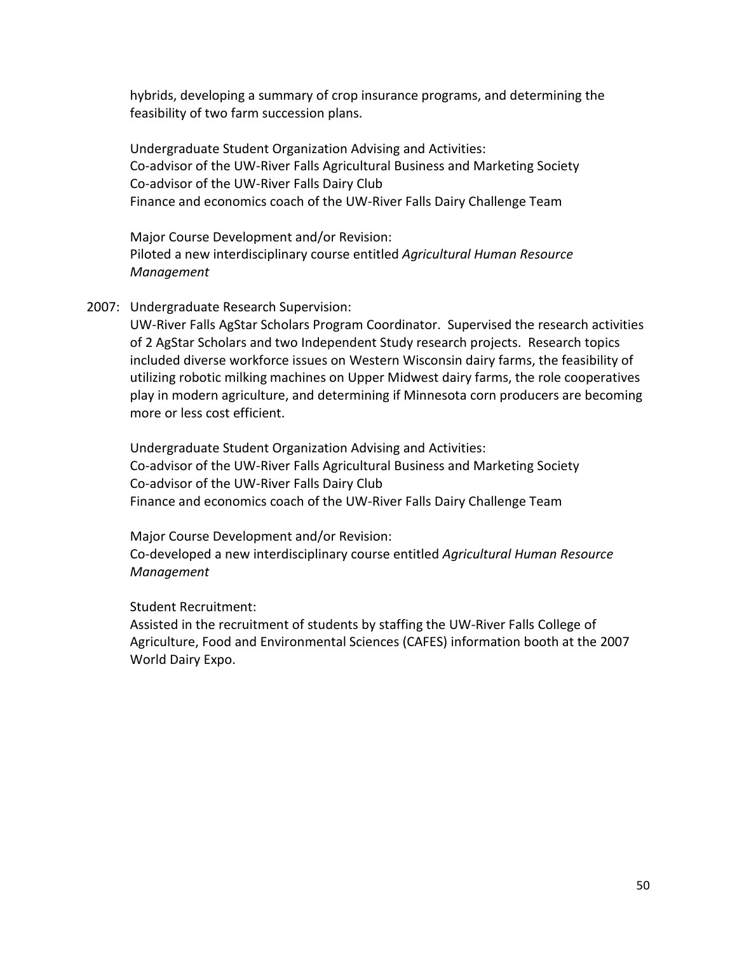hybrids, developing a summary of crop insurance programs, and determining the feasibility of two farm succession plans.

Undergraduate Student Organization Advising and Activities: Co-advisor of the UW-River Falls Agricultural Business and Marketing Society Co-advisor of the UW-River Falls Dairy Club Finance and economics coach of the UW-River Falls Dairy Challenge Team

Major Course Development and/or Revision: Piloted a new interdisciplinary course entitled *Agricultural Human Resource Management*

2007: Undergraduate Research Supervision:

UW-River Falls AgStar Scholars Program Coordinator. Supervised the research activities of 2 AgStar Scholars and two Independent Study research projects. Research topics included diverse workforce issues on Western Wisconsin dairy farms, the feasibility of utilizing robotic milking machines on Upper Midwest dairy farms, the role cooperatives play in modern agriculture, and determining if Minnesota corn producers are becoming more or less cost efficient.

Undergraduate Student Organization Advising and Activities: Co-advisor of the UW-River Falls Agricultural Business and Marketing Society Co-advisor of the UW-River Falls Dairy Club Finance and economics coach of the UW-River Falls Dairy Challenge Team

Major Course Development and/or Revision: Co-developed a new interdisciplinary course entitled *Agricultural Human Resource Management*

Student Recruitment:

Assisted in the recruitment of students by staffing the UW-River Falls College of Agriculture, Food and Environmental Sciences (CAFES) information booth at the 2007 World Dairy Expo.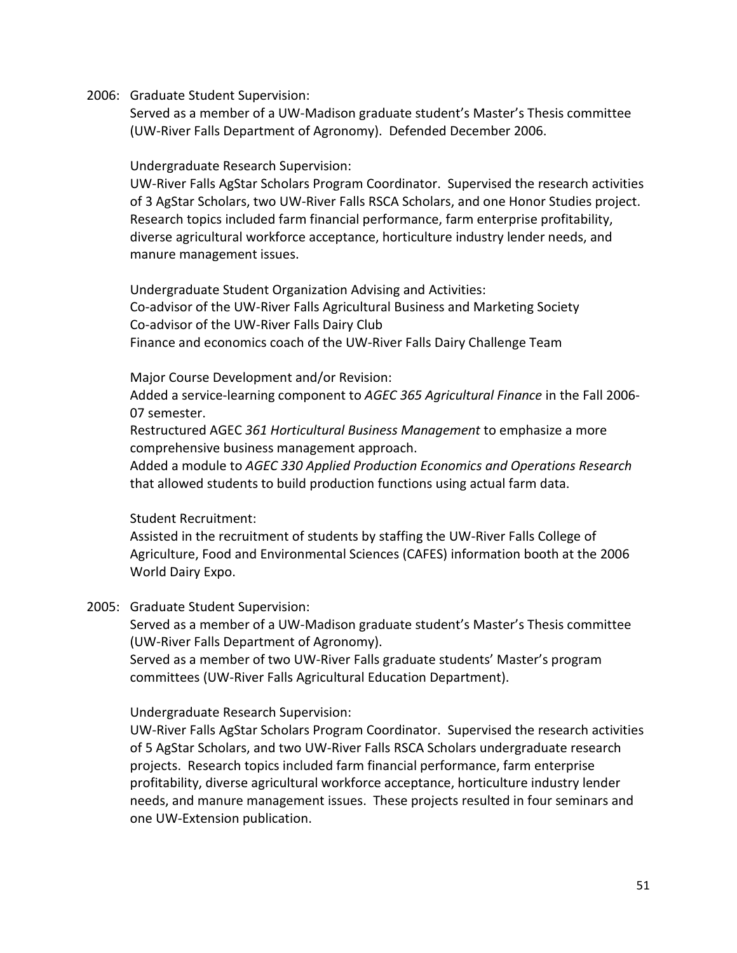2006: Graduate Student Supervision:

Served as a member of a UW-Madison graduate student's Master's Thesis committee (UW-River Falls Department of Agronomy). Defended December 2006.

Undergraduate Research Supervision:

UW-River Falls AgStar Scholars Program Coordinator. Supervised the research activities of 3 AgStar Scholars, two UW-River Falls RSCA Scholars, and one Honor Studies project. Research topics included farm financial performance, farm enterprise profitability, diverse agricultural workforce acceptance, horticulture industry lender needs, and manure management issues.

Undergraduate Student Organization Advising and Activities: Co-advisor of the UW-River Falls Agricultural Business and Marketing Society Co-advisor of the UW-River Falls Dairy Club Finance and economics coach of the UW-River Falls Dairy Challenge Team

Major Course Development and/or Revision:

Added a service-learning component to *AGEC 365 Agricultural Finance* in the Fall 2006- 07 semester.

Restructured AGEC *361 Horticultural Business Management* to emphasize a more comprehensive business management approach.

Added a module to *AGEC 330 Applied Production Economics and Operations Research* that allowed students to build production functions using actual farm data.

Student Recruitment:

Assisted in the recruitment of students by staffing the UW-River Falls College of Agriculture, Food and Environmental Sciences (CAFES) information booth at the 2006 World Dairy Expo.

2005: Graduate Student Supervision:

Served as a member of a UW-Madison graduate student's Master's Thesis committee (UW-River Falls Department of Agronomy).

Served as a member of two UW-River Falls graduate students' Master's program committees (UW-River Falls Agricultural Education Department).

Undergraduate Research Supervision:

UW-River Falls AgStar Scholars Program Coordinator. Supervised the research activities of 5 AgStar Scholars, and two UW-River Falls RSCA Scholars undergraduate research projects. Research topics included farm financial performance, farm enterprise profitability, diverse agricultural workforce acceptance, horticulture industry lender needs, and manure management issues. These projects resulted in four seminars and one UW-Extension publication.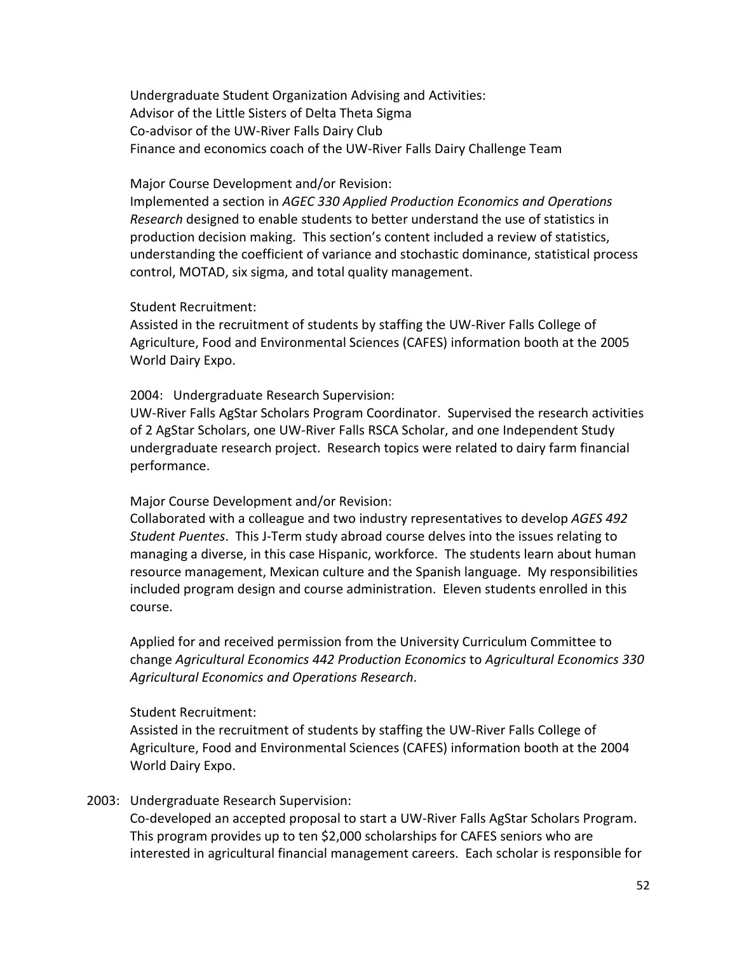Undergraduate Student Organization Advising and Activities: Advisor of the Little Sisters of Delta Theta Sigma Co-advisor of the UW-River Falls Dairy Club Finance and economics coach of the UW-River Falls Dairy Challenge Team

#### Major Course Development and/or Revision:

Implemented a section in *AGEC 330 Applied Production Economics and Operations Research* designed to enable students to better understand the use of statistics in production decision making. This section's content included a review of statistics, understanding the coefficient of variance and stochastic dominance, statistical process control, MOTAD, six sigma, and total quality management.

#### Student Recruitment:

Assisted in the recruitment of students by staffing the UW-River Falls College of Agriculture, Food and Environmental Sciences (CAFES) information booth at the 2005 World Dairy Expo.

#### 2004: Undergraduate Research Supervision:

UW-River Falls AgStar Scholars Program Coordinator. Supervised the research activities of 2 AgStar Scholars, one UW-River Falls RSCA Scholar, and one Independent Study undergraduate research project. Research topics were related to dairy farm financial performance.

#### Major Course Development and/or Revision:

Collaborated with a colleague and two industry representatives to develop *AGES 492 Student Puentes*. This J-Term study abroad course delves into the issues relating to managing a diverse, in this case Hispanic, workforce. The students learn about human resource management, Mexican culture and the Spanish language. My responsibilities included program design and course administration. Eleven students enrolled in this course.

Applied for and received permission from the University Curriculum Committee to change *Agricultural Economics 442 Production Economics* to *Agricultural Economics 330 Agricultural Economics and Operations Research*.

#### Student Recruitment:

Assisted in the recruitment of students by staffing the UW-River Falls College of Agriculture, Food and Environmental Sciences (CAFES) information booth at the 2004 World Dairy Expo.

#### 2003: Undergraduate Research Supervision:

Co-developed an accepted proposal to start a UW-River Falls AgStar Scholars Program. This program provides up to ten \$2,000 scholarships for CAFES seniors who are interested in agricultural financial management careers. Each scholar is responsible for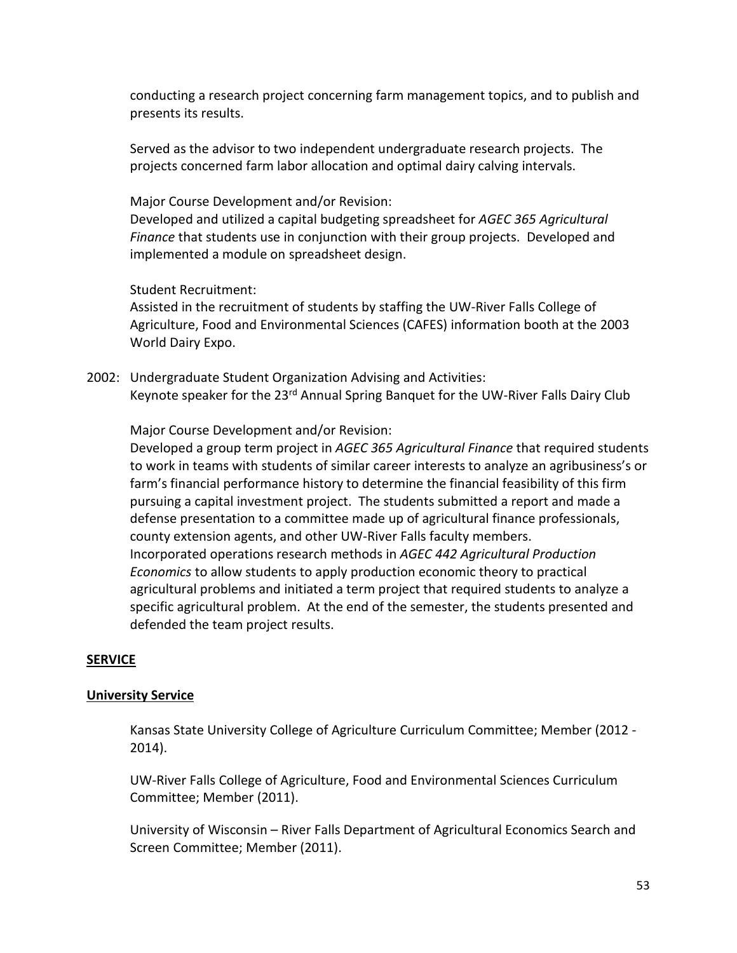conducting a research project concerning farm management topics, and to publish and presents its results.

Served as the advisor to two independent undergraduate research projects. The projects concerned farm labor allocation and optimal dairy calving intervals.

Major Course Development and/or Revision:

Developed and utilized a capital budgeting spreadsheet for *AGEC 365 Agricultural Finance* that students use in conjunction with their group projects. Developed and implemented a module on spreadsheet design.

Student Recruitment:

Assisted in the recruitment of students by staffing the UW-River Falls College of Agriculture, Food and Environmental Sciences (CAFES) information booth at the 2003 World Dairy Expo.

2002: Undergraduate Student Organization Advising and Activities: Keynote speaker for the 23<sup>rd</sup> Annual Spring Banquet for the UW-River Falls Dairy Club

Major Course Development and/or Revision:

Developed a group term project in *AGEC 365 Agricultural Finance* that required students to work in teams with students of similar career interests to analyze an agribusiness's or farm's financial performance history to determine the financial feasibility of this firm pursuing a capital investment project. The students submitted a report and made a defense presentation to a committee made up of agricultural finance professionals, county extension agents, and other UW-River Falls faculty members. Incorporated operations research methods in *AGEC 442 Agricultural Production Economics* to allow students to apply production economic theory to practical agricultural problems and initiated a term project that required students to analyze a specific agricultural problem. At the end of the semester, the students presented and defended the team project results.

### **SERVICE**

### **University Service**

Kansas State University College of Agriculture Curriculum Committee; Member (2012 - 2014).

UW-River Falls College of Agriculture, Food and Environmental Sciences Curriculum Committee; Member (2011).

University of Wisconsin – River Falls Department of Agricultural Economics Search and Screen Committee; Member (2011).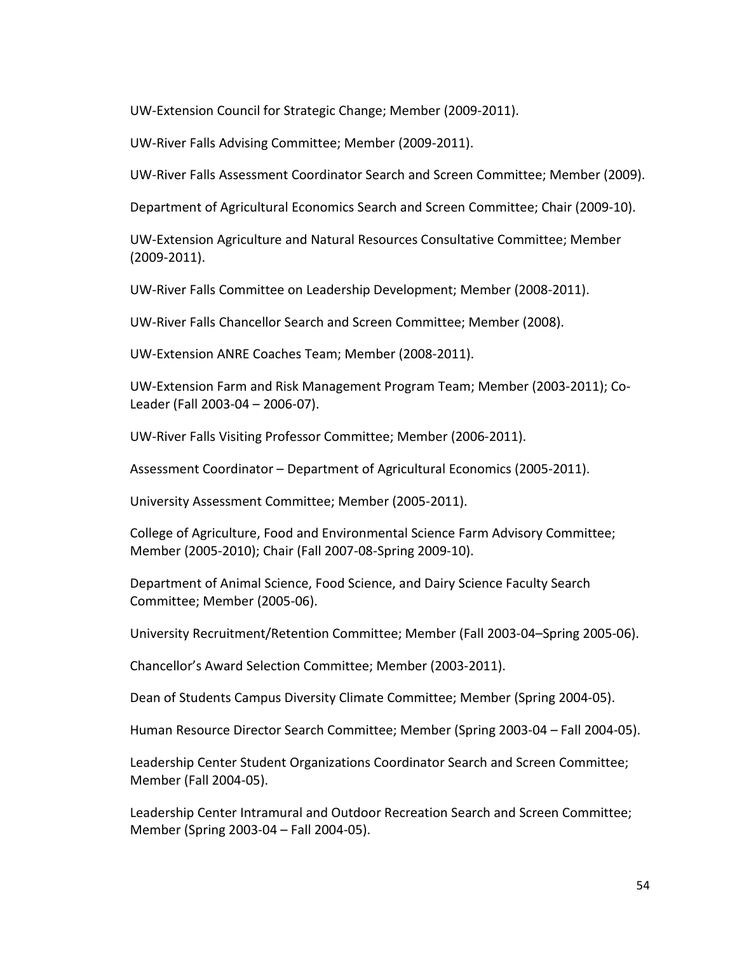UW-Extension Council for Strategic Change; Member (2009-2011).

UW-River Falls Advising Committee; Member (2009-2011).

UW-River Falls Assessment Coordinator Search and Screen Committee; Member (2009).

Department of Agricultural Economics Search and Screen Committee; Chair (2009-10).

UW-Extension Agriculture and Natural Resources Consultative Committee; Member (2009-2011).

UW-River Falls Committee on Leadership Development; Member (2008-2011).

UW-River Falls Chancellor Search and Screen Committee; Member (2008).

UW-Extension ANRE Coaches Team; Member (2008-2011).

UW-Extension Farm and Risk Management Program Team; Member (2003-2011); Co-Leader (Fall 2003-04 – 2006-07).

UW-River Falls Visiting Professor Committee; Member (2006-2011).

Assessment Coordinator – Department of Agricultural Economics (2005-2011).

University Assessment Committee; Member (2005-2011).

College of Agriculture, Food and Environmental Science Farm Advisory Committee; Member (2005-2010); Chair (Fall 2007-08-Spring 2009-10).

Department of Animal Science, Food Science, and Dairy Science Faculty Search Committee; Member (2005-06).

University Recruitment/Retention Committee; Member (Fall 2003-04–Spring 2005-06).

Chancellor's Award Selection Committee; Member (2003-2011).

Dean of Students Campus Diversity Climate Committee; Member (Spring 2004-05).

Human Resource Director Search Committee; Member (Spring 2003-04 – Fall 2004-05).

Leadership Center Student Organizations Coordinator Search and Screen Committee; Member (Fall 2004-05).

Leadership Center Intramural and Outdoor Recreation Search and Screen Committee; Member (Spring 2003-04 – Fall 2004-05).